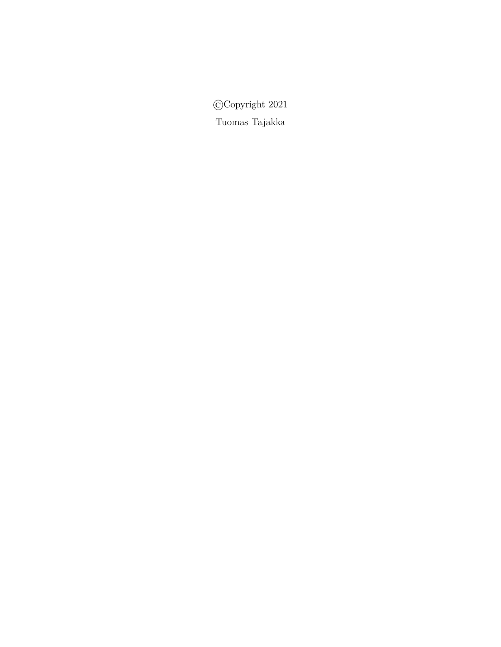©Copyright 2021 Tuomas Tajakka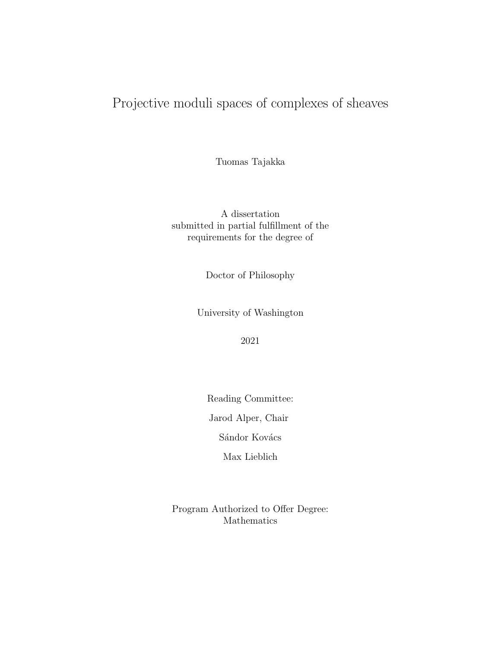# Projective moduli spaces of complexes of sheaves

Tuomas Tajakka

A dissertation submitted in partial fulfillment of the requirements for the degree of

Doctor of Philosophy

University of Washington

2021

Reading Committee:

Jarod Alper, Chair

Sándor Kovács

Max Lieblich

Program Authorized to Offer Degree: Mathematics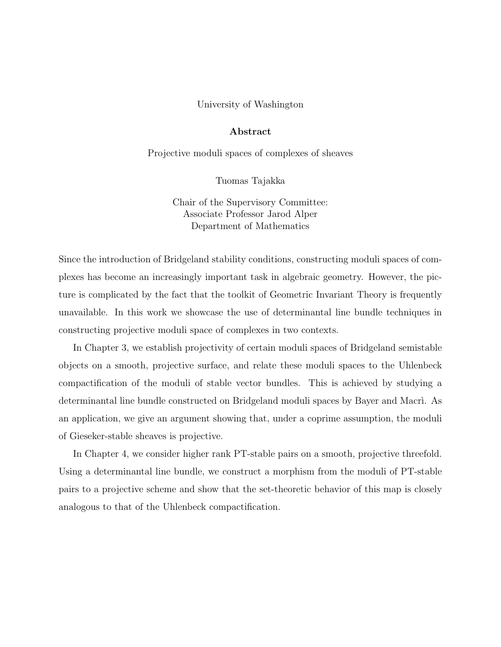### University of Washington

## Abstract

Projective moduli spaces of complexes of sheaves

Tuomas Tajakka

Chair of the Supervisory Committee: Associate Professor Jarod Alper Department of Mathematics

Since the introduction of Bridgeland stability conditions, constructing moduli spaces of complexes has become an increasingly important task in algebraic geometry. However, the picture is complicated by the fact that the toolkit of Geometric Invariant Theory is frequently unavailable. In this work we showcase the use of determinantal line bundle techniques in constructing projective moduli space of complexes in two contexts.

In Chapter 3, we establish projectivity of certain moduli spaces of Bridgeland semistable objects on a smooth, projective surface, and relate these moduli spaces to the Uhlenbeck compactification of the moduli of stable vector bundles. This is achieved by studying a determinantal line bundle constructed on Bridgeland moduli spaces by Bayer and Macri. As an application, we give an argument showing that, under a coprime assumption, the moduli of Gieseker-stable sheaves is projective.

In Chapter 4, we consider higher rank PT-stable pairs on a smooth, projective threefold. Using a determinantal line bundle, we construct a morphism from the moduli of PT-stable pairs to a projective scheme and show that the set-theoretic behavior of this map is closely analogous to that of the Uhlenbeck compactification.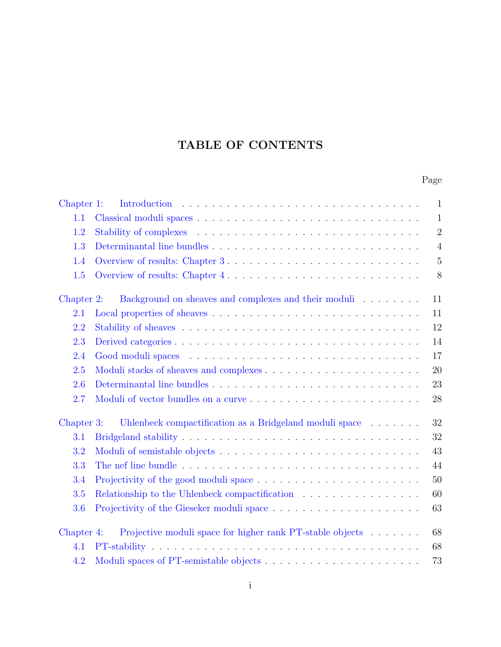# TABLE OF CONTENTS

# Page

| Chapter 1: |                                                                                                                                                                                                                                | $\mathbf{1}$   |
|------------|--------------------------------------------------------------------------------------------------------------------------------------------------------------------------------------------------------------------------------|----------------|
| 1.1        |                                                                                                                                                                                                                                | $\mathbf{1}$   |
| 1.2        |                                                                                                                                                                                                                                | $\sqrt{2}$     |
| 1.3        |                                                                                                                                                                                                                                | $\overline{4}$ |
| 1.4        | Overview of results: Chapter 3                                                                                                                                                                                                 | $5\,$          |
| 1.5        | Overview of results: Chapter 4                                                                                                                                                                                                 | 8              |
| Chapter 2: | Background on sheaves and complexes and their moduli $\hfill\ldots$ $\ldots$ $\ldots$ $\ldots$                                                                                                                                 | 11             |
| 2.1        |                                                                                                                                                                                                                                | 11             |
| 2.2        |                                                                                                                                                                                                                                | 12             |
| 2.3        |                                                                                                                                                                                                                                | 14             |
| 2.4        |                                                                                                                                                                                                                                | 17             |
| 2.5        |                                                                                                                                                                                                                                | 20             |
| 2.6        |                                                                                                                                                                                                                                | 23             |
| 2.7        |                                                                                                                                                                                                                                | 28             |
| Chapter 3: | Uhlenbeck compactification as a Bridgeland moduli space when we have the set of the set of the space of the space of the space of the space of the space of the space of the space of the space of the space of the space of t | 32             |
| 3.1        |                                                                                                                                                                                                                                | 32             |
| 3.2        |                                                                                                                                                                                                                                | 43             |
| 3.3        |                                                                                                                                                                                                                                | 44             |
| 3.4        |                                                                                                                                                                                                                                | $50\,$         |
| 3.5        | Relationship to the Uhlenbeck compactification                                                                                                                                                                                 | 60             |
| 3.6        |                                                                                                                                                                                                                                | 63             |
| Chapter 4: | Projective moduli space for higher rank PT-stable objects                                                                                                                                                                      | 68             |
| 4.1        |                                                                                                                                                                                                                                | 68             |
| 4.2        |                                                                                                                                                                                                                                | 73             |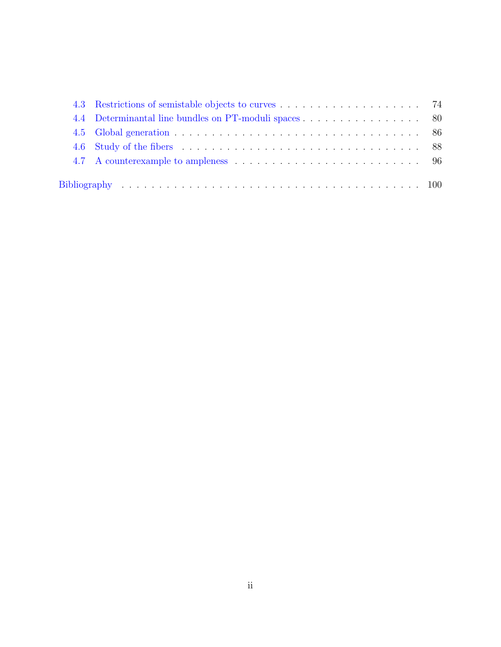| 4.4 Determinantal line bundles on PT-moduli spaces 80 |  |
|-------------------------------------------------------|--|
|                                                       |  |
|                                                       |  |
|                                                       |  |
|                                                       |  |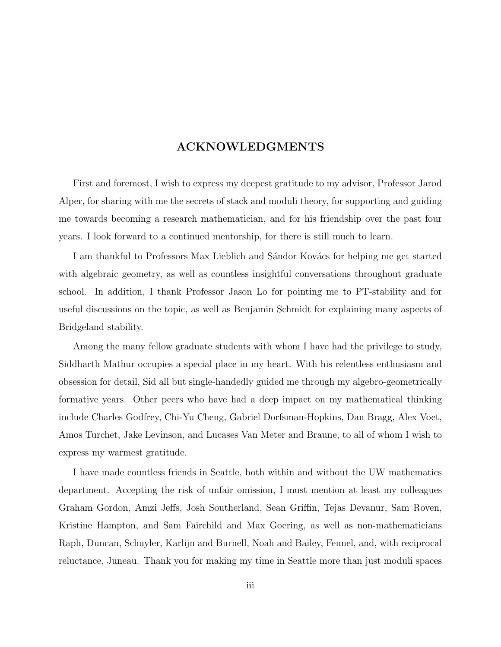# ACKNOWLEDGMENTS

First and foremost, I wish to express my deepest gratitude to my advisor, Professor Jarod Alper, for sharing with me the secrets of stack and moduli theory, for supporting and guiding me towards becoming a research mathematician, and for his friendship over the past four years. I look forward to a continued mentorship, for there is still much to learn.

I am thankful to Professors Max Lieblich and Sándor Kovács for helping me get started with algebraic geometry, as well as countless insightful conversations throughout graduate school. In addition, I thank Professor Jason Lo for pointing me to PT-stability and for useful discussions on the topic, as well as Benjamin Schmidt for explaining many aspects of Bridgeland stability.

Among the many fellow graduate students with whom I have had the privilege to study, Siddharth Mathur occupies a special place in my heart. With his relentless enthusiasm and obsession for detail, Sid all but single-handedly guided me through my algebro-geometrically formative years. Other peers who have had a deep impact on my mathematical thinking include Charles Godfrey, Chi-Yu Cheng, Gabriel Dorfsman-Hopkins, Dan Bragg, Alex Voet, Amos Turchet, Jake Levinson, and Lucases Van Meter and Braune, to all of whom I wish to express my warmest gratitude.

I have made countless friends in Seattle, both within and without the UW mathematics department. Accepting the risk of unfair omission, I must mention at least my colleagues Graham Gordon, Amzi Jeffs, Josh Southerland, Sean Griffin, Tejas Devanur, Sam Roven, Kristine Hampton, and Sam Fairchild and Max Goering, as well as non-mathematicians Raph, Duncan, Schuyler, Karlijn and Burnell, Noah and Bailey, Fennel, and, with reciprocal reluctance, Juneau. Thank you for making my time in Seattle more than just moduli spaces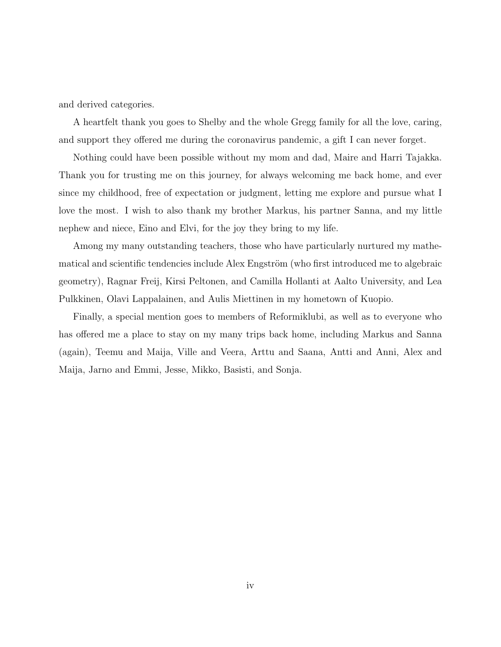and derived categories.

A heartfelt thank you goes to Shelby and the whole Gregg family for all the love, caring, and support they offered me during the coronavirus pandemic, a gift I can never forget.

Nothing could have been possible without my mom and dad, Maire and Harri Tajakka. Thank you for trusting me on this journey, for always welcoming me back home, and ever since my childhood, free of expectation or judgment, letting me explore and pursue what I love the most. I wish to also thank my brother Markus, his partner Sanna, and my little nephew and niece, Eino and Elvi, for the joy they bring to my life.

Among my many outstanding teachers, those who have particularly nurtured my mathematical and scientific tendencies include Alex Engström (who first introduced me to algebraic geometry), Ragnar Freij, Kirsi Peltonen, and Camilla Hollanti at Aalto University, and Lea Pulkkinen, Olavi Lappalainen, and Aulis Miettinen in my hometown of Kuopio.

Finally, a special mention goes to members of Reformiklubi, as well as to everyone who has offered me a place to stay on my many trips back home, including Markus and Sanna (again), Teemu and Maija, Ville and Veera, Arttu and Saana, Antti and Anni, Alex and Maija, Jarno and Emmi, Jesse, Mikko, Basisti, and Sonja.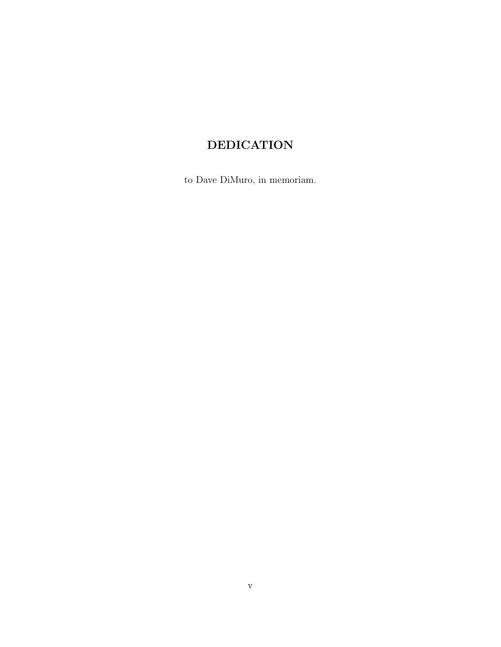# DEDICATION

to Dave DiMuro, in memoriam.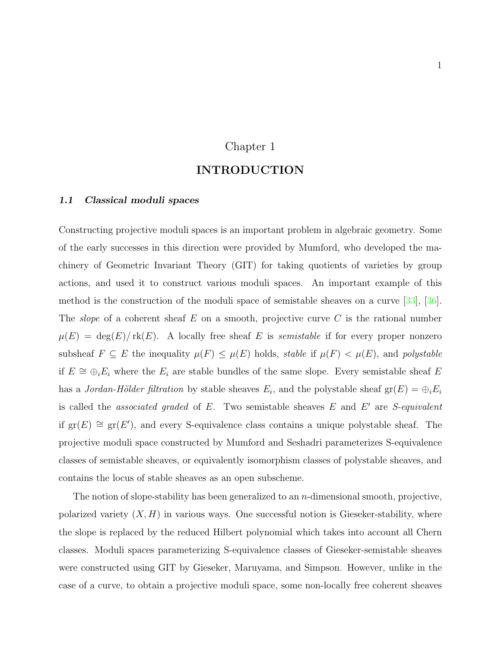# Chapter 1

## INTRODUCTION

### <span id="page-8-1"></span><span id="page-8-0"></span>1.1 Classical moduli spaces

Constructing projective moduli spaces is an important problem in algebraic geometry. Some of the early successes in this direction were provided by Mumford, who developed the machinery of Geometric Invariant Theory (GIT) for taking quotients of varieties by group actions, and used it to construct various moduli spaces. An important example of this method is the construction of the moduli space of semistable sheaves on a curve [\[33\]](#page-109-0), [\[36\]](#page-109-1). The *slope* of a coherent sheaf  $E$  on a smooth, projective curve  $C$  is the rational number  $\mu(E) = \deg(E)/\text{rk}(E)$ . A locally free sheaf E is semistable if for every proper nonzero subsheaf  $F \subseteq E$  the inequality  $\mu(F) \leq \mu(E)$  holds, stable if  $\mu(F) < \mu(E)$ , and polystable if  $E \cong \bigoplus_i E_i$  where the  $E_i$  are stable bundles of the same slope. Every semistable sheaf E has a *Jordan-Hölder filtration* by stable sheaves  $E_i$ , and the polystable sheaf  $gr(E) = \bigoplus_i E_i$ is called the *associated graded* of  $E$ . Two semistable sheaves  $E$  and  $E'$  are *S-equivalent* if  $gr(E) \cong gr(E')$ , and every S-equivalence class contains a unique polystable sheaf. The projective moduli space constructed by Mumford and Seshadri parameterizes S-equivalence classes of semistable sheaves, or equivalently isomorphism classes of polystable sheaves, and contains the locus of stable sheaves as an open subscheme.

The notion of slope-stability has been generalized to an n-dimensional smooth, projective, polarized variety  $(X, H)$  in various ways. One successful notion is Gieseker-stability, where the slope is replaced by the reduced Hilbert polynomial which takes into account all Chern classes. Moduli spaces parameterizing S-equivalence classes of Gieseker-semistable sheaves were constructed using GIT by Gieseker, Maruyama, and Simpson. However, unlike in the case of a curve, to obtain a projective moduli space, some non-locally free coherent sheaves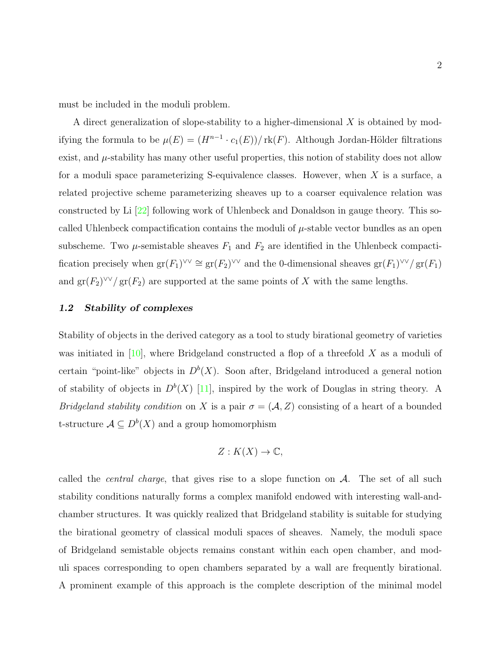must be included in the moduli problem.

A direct generalization of slope-stability to a higher-dimensional  $X$  is obtained by modifying the formula to be  $\mu(E) = (H^{n-1} \cdot c_1(E))/\text{rk}(F)$ . Although Jordan-Hölder filtrations exist, and  $\mu$ -stability has many other useful properties, this notion of stability does not allow for a moduli space parameterizing S-equivalence classes. However, when X is a surface, a related projective scheme parameterizing sheaves up to a coarser equivalence relation was constructed by Li [\[22\]](#page-108-0) following work of Uhlenbeck and Donaldson in gauge theory. This socalled Uhlenbeck compactification contains the moduli of  $\mu$ -stable vector bundles as an open subscheme. Two  $\mu$ -semistable sheaves  $F_1$  and  $F_2$  are identified in the Uhlenbeck compactification precisely when  $\text{gr}(F_1)^{\vee\vee} \cong \text{gr}(F_2)^{\vee\vee}$  and the 0-dimensional sheaves  $\text{gr}(F_1)^{\vee\vee}/\text{gr}(F_1)$ and  $\operatorname{gr}(F_2)^{\vee\vee}/\operatorname{gr}(F_2)$  are supported at the same points of X with the same lengths.

## <span id="page-9-0"></span>1.2 Stability of complexes

Stability of objects in the derived category as a tool to study birational geometry of varieties was initiated in  $[10]$ , where Bridgeland constructed a flop of a threefold X as a moduli of certain "point-like" objects in  $D^b(X)$ . Soon after, Bridgeland introduced a general notion of stability of objects in  $D^b(X)$  [\[11\]](#page-107-2), inspired by the work of Douglas in string theory. A Bridgeland stability condition on X is a pair  $\sigma = (\mathcal{A}, Z)$  consisting of a heart of a bounded t-structure  $A \subseteq D^b(X)$  and a group homomorphism

$$
Z: K(X) \to \mathbb{C},
$$

called the *central charge*, that gives rise to a slope function on  $A$ . The set of all such stability conditions naturally forms a complex manifold endowed with interesting wall-andchamber structures. It was quickly realized that Bridgeland stability is suitable for studying the birational geometry of classical moduli spaces of sheaves. Namely, the moduli space of Bridgeland semistable objects remains constant within each open chamber, and moduli spaces corresponding to open chambers separated by a wall are frequently birational. A prominent example of this approach is the complete description of the minimal model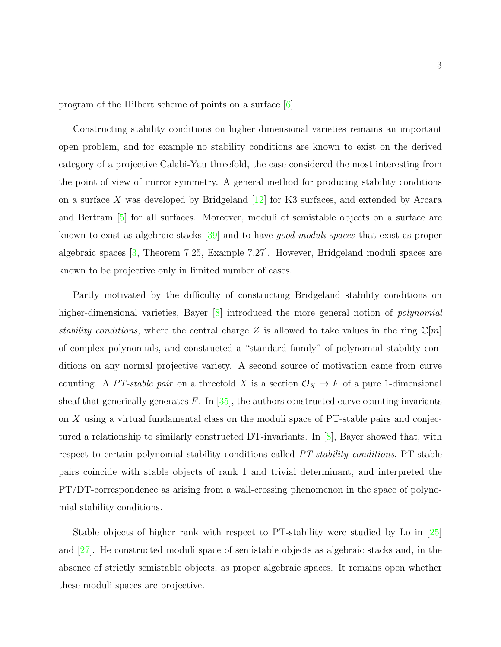program of the Hilbert scheme of points on a surface [\[6\]](#page-107-3).

Constructing stability conditions on higher dimensional varieties remains an important open problem, and for example no stability conditions are known to exist on the derived category of a projective Calabi-Yau threefold, the case considered the most interesting from the point of view of mirror symmetry. A general method for producing stability conditions on a surface X was developed by Bridgeland  $|12|$  for K3 surfaces, and extended by Arcara and Bertram [\[5\]](#page-107-5) for all surfaces. Moreover, moduli of semistable objects on a surface are known to exist as algebraic stacks [\[39\]](#page-110-0) and to have good moduli spaces that exist as proper algebraic spaces [\[3,](#page-107-6) Theorem 7.25, Example 7.27]. However, Bridgeland moduli spaces are known to be projective only in limited number of cases.

Partly motivated by the difficulty of constructing Bridgeland stability conditions on higher-dimensional varieties, Bayer [\[8\]](#page-107-7) introduced the more general notion of *polynomial* stability conditions, where the central charge Z is allowed to take values in the ring  $\mathbb{C}[m]$ of complex polynomials, and constructed a "standard family" of polynomial stability conditions on any normal projective variety. A second source of motivation came from curve counting. A PT-stable pair on a threefold X is a section  $\mathcal{O}_X \to F$  of a pure 1-dimensional sheaf that generically generates  $F$ . In [\[35\]](#page-109-2), the authors constructed curve counting invariants on X using a virtual fundamental class on the moduli space of PT-stable pairs and conjectured a relationship to similarly constructed DT-invariants. In [\[8\]](#page-107-7), Bayer showed that, with respect to certain polynomial stability conditions called *PT-stability conditions*, PT-stable pairs coincide with stable objects of rank 1 and trivial determinant, and interpreted the PT/DT-correspondence as arising from a wall-crossing phenomenon in the space of polynomial stability conditions.

Stable objects of higher rank with respect to PT-stability were studied by Lo in [\[25\]](#page-108-1) and [\[27\]](#page-109-3). He constructed moduli space of semistable objects as algebraic stacks and, in the absence of strictly semistable objects, as proper algebraic spaces. It remains open whether these moduli spaces are projective.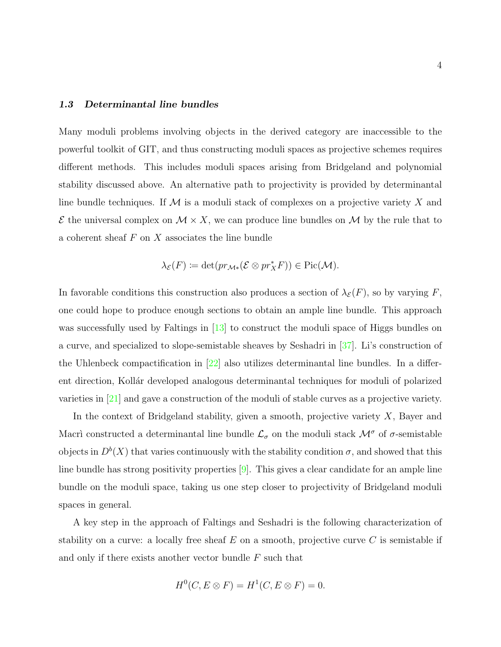## <span id="page-11-0"></span>1.3 Determinantal line bundles

Many moduli problems involving objects in the derived category are inaccessible to the powerful toolkit of GIT, and thus constructing moduli spaces as projective schemes requires different methods. This includes moduli spaces arising from Bridgeland and polynomial stability discussed above. An alternative path to projectivity is provided by determinantal line bundle techniques. If  $M$  is a moduli stack of complexes on a projective variety  $X$  and  $\mathcal E$  the universal complex on  $\mathcal M \times X$ , we can produce line bundles on  $\mathcal M$  by the rule that to a coherent sheaf  $F$  on  $X$  associates the line bundle

$$
\lambda_{\mathcal{E}}(F) := \det(pr_{\mathcal{M}*}(\mathcal{E} \otimes pr_X^*F)) \in Pic(\mathcal{M}).
$$

In favorable conditions this construction also produces a section of  $\lambda_{\mathcal{E}}(F)$ , so by varying F, one could hope to produce enough sections to obtain an ample line bundle. This approach was successfully used by Faltings in [\[13\]](#page-108-2) to construct the moduli space of Higgs bundles on a curve, and specialized to slope-semistable sheaves by Seshadri in [\[37\]](#page-109-4). Li's construction of the Uhlenbeck compactification in  $[22]$  also utilizes determinantal line bundles. In a different direction, Kollár developed analogous determinantal techniques for moduli of polarized varieties in [\[21\]](#page-108-3) and gave a construction of the moduli of stable curves as a projective variety.

In the context of Bridgeland stability, given a smooth, projective variety X, Bayer and Macri constructed a determinantal line bundle  $\mathcal{L}_{\sigma}$  on the moduli stack  $\mathcal{M}^{\sigma}$  of  $\sigma$ -semistable objects in  $D^b(X)$  that varies continuously with the stability condition  $\sigma$ , and showed that this line bundle has strong positivity properties  $[9]$ . This gives a clear candidate for an ample line bundle on the moduli space, taking us one step closer to projectivity of Bridgeland moduli spaces in general.

A key step in the approach of Faltings and Seshadri is the following characterization of stability on a curve: a locally free sheaf  $E$  on a smooth, projective curve  $C$  is semistable if and only if there exists another vector bundle F such that

$$
H^0(C, E \otimes F) = H^1(C, E \otimes F) = 0.
$$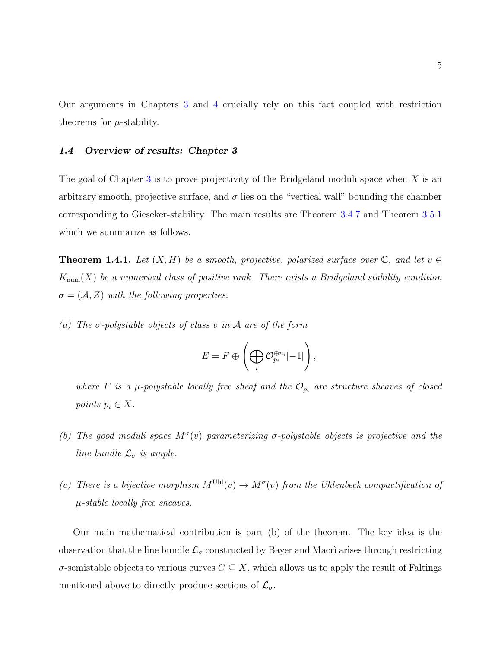Our arguments in Chapters [3](#page-39-0) and [4](#page-75-0) crucially rely on this fact coupled with restriction theorems for  $\mu$ -stability.

## <span id="page-12-0"></span>1.4 Overview of results: Chapter 3

The goal of Chapter [3](#page-39-0) is to prove projectivity of the Bridgeland moduli space when  $X$  is an arbitrary smooth, projective surface, and  $\sigma$  lies on the "vertical wall" bounding the chamber corresponding to Gieseker-stability. The main results are Theorem [3.4.7](#page-66-0) and Theorem [3.5.1](#page-68-0) which we summarize as follows.

**Theorem 1.4.1.** Let  $(X, H)$  be a smooth, projective, polarized surface over  $\mathbb{C}$ , and let  $v \in$  $K_{\text{num}}(X)$  be a numerical class of positive rank. There exists a Bridgeland stability condition  $\sigma = (\mathcal{A}, Z)$  with the following properties.

(a) The  $\sigma$ -polystable objects of class v in  $\mathcal A$  are of the form

$$
E = F \oplus \left(\bigoplus_i \mathcal{O}_{p_i}^{\oplus n_i}[-1]\right),\,
$$

where F is a  $\mu$ -polystable locally free sheaf and the  $\mathcal{O}_{p_i}$  are structure sheaves of closed points  $p_i \in X$ .

- (b) The good moduli space  $M^{\sigma}(v)$  parameterizing  $\sigma$ -polystable objects is projective and the line bundle  $\mathcal{L}_{\sigma}$  is ample.
- (c) There is a bijective morphism  $M^{\text{Uhl}}(v) \to M^{\sigma}(v)$  from the Uhlenbeck compactification of  $\mu$ -stable locally free sheaves.

Our main mathematical contribution is part (b) of the theorem. The key idea is the observation that the line bundle  $\mathcal{L}_{\sigma}$  constructed by Bayer and Macri arises through restricting  $\sigma$ -semistable objects to various curves  $C \subseteq X$ , which allows us to apply the result of Faltings mentioned above to directly produce sections of  $\mathcal{L}_{\sigma}$ .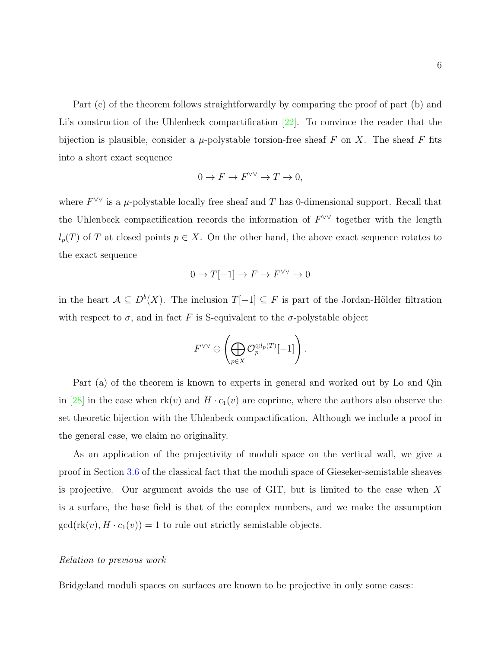Part (c) of the theorem follows straightforwardly by comparing the proof of part (b) and Li's construction of the Uhlenbeck compactification [\[22\]](#page-108-0). To convince the reader that the bijection is plausible, consider a  $\mu$ -polystable torsion-free sheaf F on X. The sheaf F fits into a short exact sequence

$$
0 \to F \to F^{\vee\vee} \to T \to 0,
$$

where  $F^{\vee\vee}$  is a  $\mu$ -polystable locally free sheaf and T has 0-dimensional support. Recall that the Uhlenbeck compactification records the information of  $F^{\vee\vee}$  together with the length  $l_p(T)$  of T at closed points  $p \in X$ . On the other hand, the above exact sequence rotates to the exact sequence

$$
0 \to T[-1] \to F \to F^{\vee\vee} \to 0
$$

in the heart  $A \subseteq D^b(X)$ . The inclusion  $T[-1] \subseteq F$  is part of the Jordan-Hölder filtration with respect to  $\sigma$ , and in fact F is S-equivalent to the  $\sigma$ -polystable object

$$
F^{\vee\vee} \oplus \left(\bigoplus_{p\in X} \mathcal{O}_p^{\oplus l_p(T)}[-1]\right).
$$

Part (a) of the theorem is known to experts in general and worked out by Lo and Qin in [\[28\]](#page-109-5) in the case when  $rk(v)$  and  $H \cdot c_1(v)$  are coprime, where the authors also observe the set theoretic bijection with the Uhlenbeck compactification. Although we include a proof in the general case, we claim no originality.

As an application of the projectivity of moduli space on the vertical wall, we give a proof in Section [3.6](#page-70-0) of the classical fact that the moduli space of Gieseker-semistable sheaves is projective. Our argument avoids the use of GIT, but is limited to the case when X is a surface, the base field is that of the complex numbers, and we make the assumption  $gcd(rk(v), H \cdot c_1(v)) = 1$  to rule out strictly semistable objects.

### Relation to previous work

Bridgeland moduli spaces on surfaces are known to be projective in only some cases: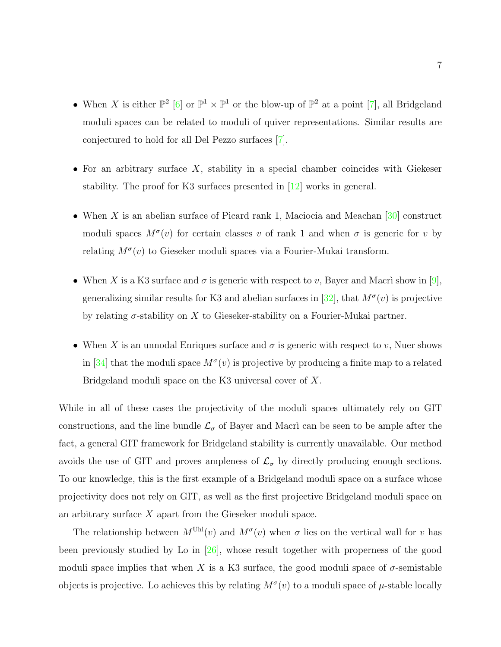- When X is either  $\mathbb{P}^2$  [\[6\]](#page-107-3) or  $\mathbb{P}^1 \times \mathbb{P}^1$  or the blow-up of  $\mathbb{P}^2$  at a point [\[7\]](#page-107-9), all Bridgeland moduli spaces can be related to moduli of quiver representations. Similar results are conjectured to hold for all Del Pezzo surfaces [\[7\]](#page-107-9).
- For an arbitrary surface  $X$ , stability in a special chamber coincides with Giekeser stability. The proof for K3 surfaces presented in [\[12\]](#page-107-4) works in general.
- When X is an abelian surface of Picard rank 1, Maciocia and Meachan  $[30]$  construct moduli spaces  $M^{\sigma}(v)$  for certain classes v of rank 1 and when  $\sigma$  is generic for v by relating  $M^{\sigma}(v)$  to Gieseker moduli spaces via a Fourier-Mukai transform.
- When X is a K3 surface and  $\sigma$  is generic with respect to v, Bayer and Macri show in [\[9\]](#page-107-8), generalizing similar results for K3 and abelian surfaces in  $[32]$ , that  $M^{\sigma}(v)$  is projective by relating  $\sigma$ -stability on X to Gieseker-stability on a Fourier-Mukai partner.
- When X is an unnodal Enriques surface and  $\sigma$  is generic with respect to v, Nuer shows in [\[34\]](#page-109-8) that the moduli space  $M^{\sigma}(v)$  is projective by producing a finite map to a related Bridgeland moduli space on the K3 universal cover of X.

While in all of these cases the projectivity of the moduli spaces ultimately rely on GIT constructions, and the line bundle  $\mathcal{L}_{\sigma}$  of Bayer and Macri can be seen to be ample after the fact, a general GIT framework for Bridgeland stability is currently unavailable. Our method avoids the use of GIT and proves ampleness of  $\mathcal{L}_{\sigma}$  by directly producing enough sections. To our knowledge, this is the first example of a Bridgeland moduli space on a surface whose projectivity does not rely on GIT, as well as the first projective Bridgeland moduli space on an arbitrary surface X apart from the Gieseker moduli space.

The relationship between  $M^{\text{Uhl}}(v)$  and  $M^{\sigma}(v)$  when  $\sigma$  lies on the vertical wall for v has been previously studied by Lo in [\[26\]](#page-109-9), whose result together with properness of the good moduli space implies that when X is a K3 surface, the good moduli space of  $\sigma$ -semistable objects is projective. Lo achieves this by relating  $M^{\sigma}(v)$  to a moduli space of  $\mu$ -stable locally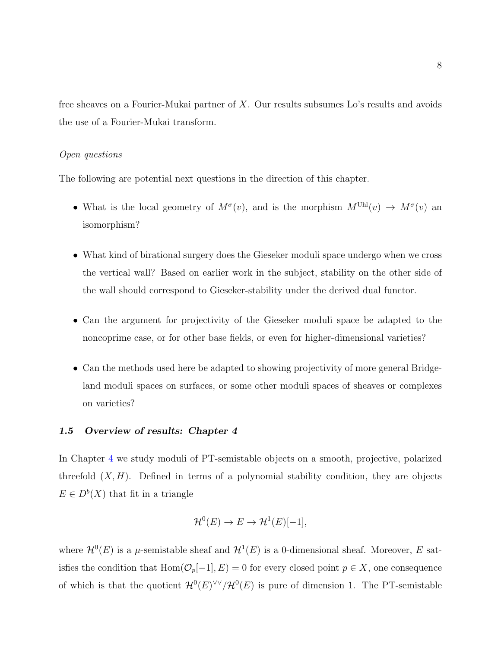free sheaves on a Fourier-Mukai partner of  $X$ . Our results subsumes Lo's results and avoids the use of a Fourier-Mukai transform.

## Open questions

The following are potential next questions in the direction of this chapter.

- What is the local geometry of  $M^{\sigma}(v)$ , and is the morphism  $M^{Uhl}(v) \to M^{\sigma}(v)$  and isomorphism?
- What kind of birational surgery does the Gieseker moduli space undergo when we cross the vertical wall? Based on earlier work in the subject, stability on the other side of the wall should correspond to Gieseker-stability under the derived dual functor.
- Can the argument for projectivity of the Gieseker moduli space be adapted to the noncoprime case, or for other base fields, or even for higher-dimensional varieties?
- Can the methods used here be adapted to showing projectivity of more general Bridgeland moduli spaces on surfaces, or some other moduli spaces of sheaves or complexes on varieties?

## <span id="page-15-0"></span>1.5 Overview of results: Chapter 4

In Chapter [4](#page-75-0) we study moduli of PT-semistable objects on a smooth, projective, polarized threefold  $(X, H)$ . Defined in terms of a polynomial stability condition, they are objects  $E \in D^b(X)$  that fit in a triangle

$$
\mathcal{H}^0(E) \to E \to \mathcal{H}^1(E)[-1],
$$

where  $\mathcal{H}^0(E)$  is a  $\mu$ -semistable sheaf and  $\mathcal{H}^1(E)$  is a 0-dimensional sheaf. Moreover, E satisfies the condition that  $\text{Hom}(\mathcal{O}_p[-1], E) = 0$  for every closed point  $p \in X$ , one consequence of which is that the quotient  $\mathcal{H}^0(E)^{\vee\vee}/\mathcal{H}^0(E)$  is pure of dimension 1. The PT-semistable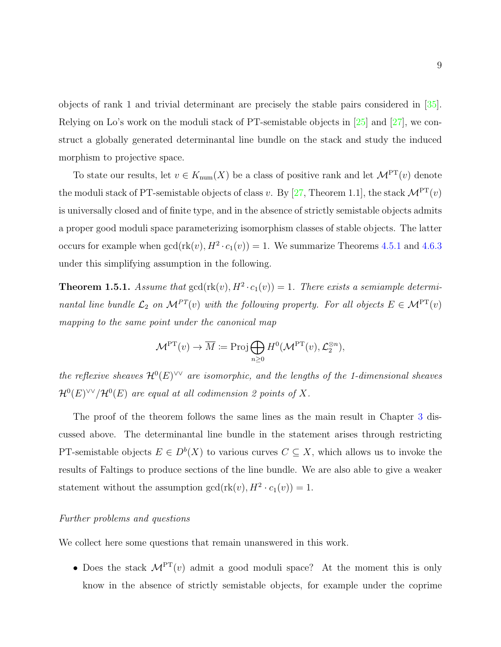objects of rank 1 and trivial determinant are precisely the stable pairs considered in [\[35\]](#page-109-2). Relying on Lo's work on the moduli stack of PT-semistable objects in [\[25\]](#page-108-1) and [\[27\]](#page-109-3), we construct a globally generated determinantal line bundle on the stack and study the induced morphism to projective space.

To state our results, let  $v \in K_{\text{num}}(X)$  be a class of positive rank and let  $\mathcal{M}^{\text{PT}}(v)$  denote the moduli stack of PT-semistable objects of class v. By [\[27,](#page-109-3) Theorem 1.1], the stack  $\mathcal{M}^{\text{PT}}(v)$ is universally closed and of finite type, and in the absence of strictly semistable objects admits a proper good moduli space parameterizing isomorphism classes of stable objects. The latter occurs for example when  $gcd(r k(v), H^2 \cdot c_1(v)) = 1$ . We summarize Theorems [4.5.1](#page-93-1) and [4.6.3](#page-100-0) under this simplifying assumption in the following.

**Theorem 1.5.1.** Assume that  $gcd(\text{rk}(v), H^2 \cdot c_1(v)) = 1$ . There exists a semiample determinantal line bundle  $\mathcal{L}_2$  on  $\mathcal{M}^{PT}(v)$  with the following property. For all objects  $E \in \mathcal{M}^{PT}(v)$ mapping to the same point under the canonical map

$$
\mathcal{M}^{\mathrm{PT}}(v) \to \overline{M} \coloneqq \operatorname{Proj} \bigoplus_{n \geq 0} H^0(\mathcal{M}^{\mathrm{PT}}(v), \mathcal{L}_2^{\otimes n}),
$$

the reflexive sheaves  $\mathcal{H}^0(E)^{\vee\vee}$  are isomorphic, and the lengths of the 1-dimensional sheaves  $\mathcal{H}^0(E)^{\vee\vee}/\mathcal{H}^0(E)$  are equal at all codimension 2 points of X.

The proof of the theorem follows the same lines as the main result in Chapter [3](#page-39-0) discussed above. The determinantal line bundle in the statement arises through restricting PT-semistable objects  $E \in D^b(X)$  to various curves  $C \subseteq X$ , which allows us to invoke the results of Faltings to produce sections of the line bundle. We are also able to give a weaker statement without the assumption  $gcd(r k(v), H^2 \cdot c_1(v)) = 1$ .

## Further problems and questions

We collect here some questions that remain unanswered in this work.

• Does the stack  $M^{PT}(v)$  admit a good moduli space? At the moment this is only know in the absence of strictly semistable objects, for example under the coprime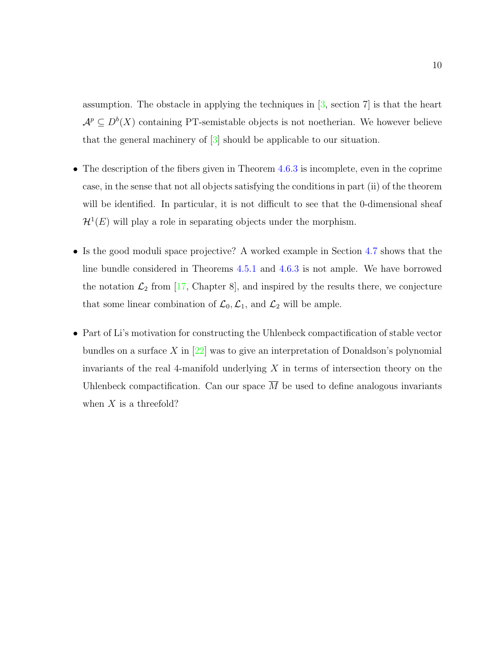assumption. The obstacle in applying the techniques in  $[3, \text{ section 7}]$  is that the heart  $\mathcal{A}^p \subseteq D^b(X)$  containing PT-semistable objects is not noetherian. We however believe that the general machinery of [\[3\]](#page-107-6) should be applicable to our situation.

- The description of the fibers given in Theorem [4.6.3](#page-100-0) is incomplete, even in the coprime case, in the sense that not all objects satisfying the conditions in part (ii) of the theorem will be identified. In particular, it is not difficult to see that the 0-dimensional sheaf  $\mathcal{H}^1(E)$  will play a role in separating objects under the morphism.
- Is the good moduli space projective? A worked example in Section [4.7](#page-103-0) shows that the line bundle considered in Theorems [4.5.1](#page-93-1) and [4.6.3](#page-100-0) is not ample. We have borrowed the notation  $\mathcal{L}_2$  from [\[17,](#page-108-4) Chapter 8], and inspired by the results there, we conjecture that some linear combination of  $\mathcal{L}_0$ ,  $\mathcal{L}_1$ , and  $\mathcal{L}_2$  will be ample.
- Part of Li's motivation for constructing the Uhlenbeck compactification of stable vector bundles on a surface  $X$  in  $[22]$  was to give an interpretation of Donaldson's polynomial invariants of the real 4-manifold underlying  $X$  in terms of intersection theory on the Uhlenbeck compactification. Can our space  $\overline{M}$  be used to define analogous invariants when  $X$  is a threefold?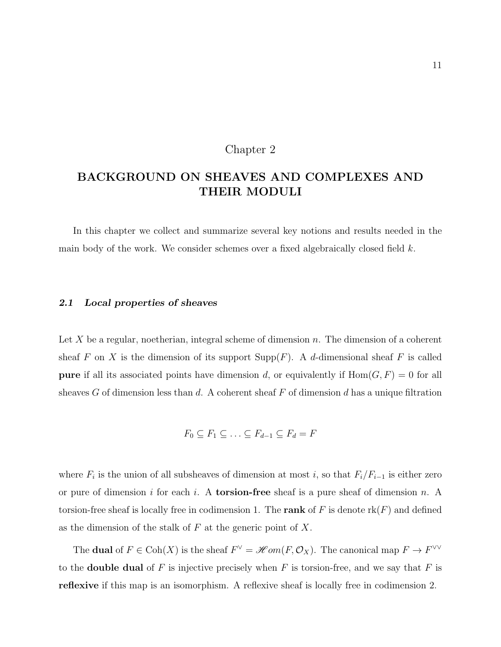## Chapter 2

# <span id="page-18-0"></span>BACKGROUND ON SHEAVES AND COMPLEXES AND THEIR MODULI

In this chapter we collect and summarize several key notions and results needed in the main body of the work. We consider schemes over a fixed algebraically closed field  $k$ .

## <span id="page-18-1"></span>2.1 Local properties of sheaves

Let X be a regular, noetherian, integral scheme of dimension  $n$ . The dimension of a coherent sheaf F on X is the dimension of its support  $\text{Supp}(F)$ . A d-dimensional sheaf F is called **pure** if all its associated points have dimension d, or equivalently if  $Hom(G, F) = 0$  for all sheaves  $G$  of dimension less than  $d$ . A coherent sheaf  $F$  of dimension  $d$  has a unique filtration

$$
F_0 \subseteq F_1 \subseteq \ldots \subseteq F_{d-1} \subseteq F_d = F
$$

where  $F_i$  is the union of all subsheaves of dimension at most i, so that  $F_i/F_{i-1}$  is either zero or pure of dimension i for each i. A **torsion-free** sheaf is a pure sheaf of dimension n. A torsion-free sheaf is locally free in codimension 1. The rank of F is denote  $rk(F)$  and defined as the dimension of the stalk of  $F$  at the generic point of  $X$ .

The **dual** of  $F \in \text{Coh}(X)$  is the sheaf  $F^{\vee} = \mathcal{H}om(F, \mathcal{O}_X)$ . The canonical map  $F \to F^{\vee\vee}$ to the **double dual** of F is injective precisely when F is torsion-free, and we say that F is reflexive if this map is an isomorphism. A reflexive sheaf is locally free in codimension 2.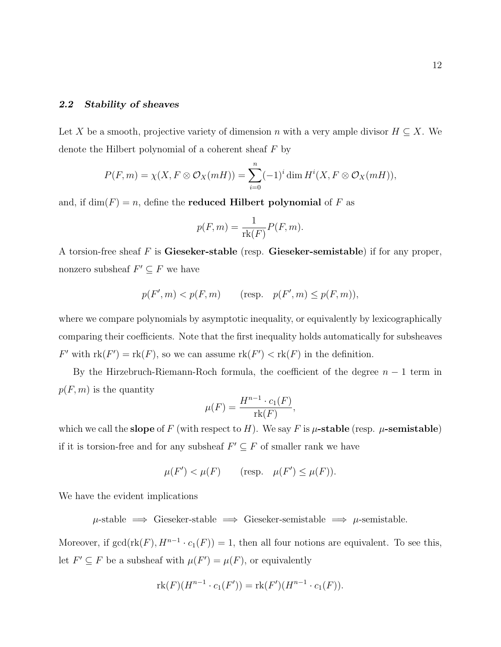## <span id="page-19-0"></span>2.2 Stability of sheaves

Let X be a smooth, projective variety of dimension n with a very ample divisor  $H \subseteq X$ . We denote the Hilbert polynomial of a coherent sheaf  $F$  by

$$
P(F,m) = \chi(X, F \otimes \mathcal{O}_X(mH)) = \sum_{i=0}^n (-1)^i \dim H^i(X, F \otimes \mathcal{O}_X(mH)),
$$

and, if  $\dim(F) = n$ , define the **reduced Hilbert polynomial** of F as

$$
p(F, m) = \frac{1}{\text{rk}(F)} P(F, m).
$$

A torsion-free sheaf F is Gieseker-stable (resp. Gieseker-semistable) if for any proper, nonzero subsheaf  $F' \subseteq F$  we have

$$
p(F', m) < p(F, m) \qquad \text{(resp.} \quad p(F', m) \le p(F, m)\text{)},
$$

where we compare polynomials by asymptotic inequality, or equivalently by lexicographically comparing their coefficients. Note that the first inequality holds automatically for subsheaves F' with  $rk(F') = rk(F)$ , so we can assume  $rk(F') < rk(F)$  in the definition.

By the Hirzebruch-Riemann-Roch formula, the coefficient of the degree  $n-1$  term in  $p(F, m)$  is the quantity

$$
\mu(F) = \frac{H^{n-1} \cdot c_1(F)}{\text{rk}(F)}
$$

,

which we call the slope of F (with respect to H). We say F is  $\mu$ -stable (resp.  $\mu$ -semistable) if it is torsion-free and for any subsheaf  $F' \subseteq F$  of smaller rank we have

$$
\mu(F') < \mu(F) \qquad \text{(resp.} \quad \mu(F') \le \mu(F)\text{)}.
$$

We have the evident implications

 $\mu$ -stable  $\implies$  Gieseker-stable  $\implies$  Gieseker-semistable  $\implies$   $\mu$ -semistable.

Moreover, if  $gcd(\text{rk}(F), H^{n-1} \cdot c_1(F)) = 1$ , then all four notions are equivalent. To see this, let  $F' \subseteq F$  be a subsheaf with  $\mu(F') = \mu(F)$ , or equivalently

$$
rk(F)(H^{n-1} \cdot c_1(F')) = rk(F')(H^{n-1} \cdot c_1(F)).
$$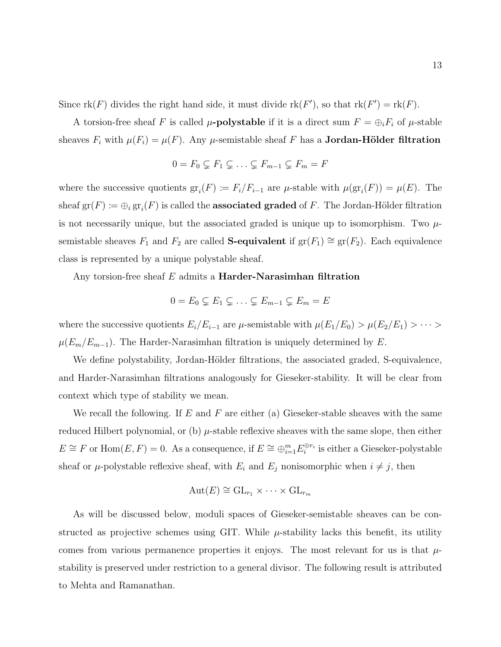Since  $rk(F)$  divides the right hand side, it must divide  $rk(F')$ , so that  $rk(F') = rk(F)$ .

A torsion-free sheaf F is called  $\mu$ -**polystable** if it is a direct sum  $F = \bigoplus_i F_i$  of  $\mu$ -stable sheaves  $F_i$  with  $\mu(F_i) = \mu(F)$ . Any  $\mu$ -semistable sheaf F has a **Jordan-Hölder filtration** 

$$
0 = F_0 \subsetneq F_1 \subsetneq \ldots \subsetneq F_{m-1} \subsetneq F_m = F
$$

where the successive quotients  $gr_i(F) := F_i/F_{i-1}$  are  $\mu$ -stable with  $\mu(gr_i(F)) = \mu(E)$ . The sheaf  $\mathrm{gr}(F) \coloneqq \oplus_i \mathrm{gr}_i(F)$  is called the **associated graded** of  $F$ . The Jordan-Hölder filtration is not necessarily unique, but the associated graded is unique up to isomorphism. Two  $\mu$ semistable sheaves  $F_1$  and  $F_2$  are called S-equivalent if  $gr(F_1) \cong gr(F_2)$ . Each equivalence class is represented by a unique polystable sheaf.

Any torsion-free sheaf  $E$  admits a **Harder-Narasimhan filtration** 

$$
0 = E_0 \subsetneq E_1 \subsetneq \ldots \subsetneq E_{m-1} \subsetneq E_m = E
$$

where the successive quotients  $E_i/E_{i-1}$  are  $\mu$ -semistable with  $\mu(E_1/E_0) > \mu(E_2/E_1) > \cdots >$  $\mu(E_m/E_{m-1})$ . The Harder-Narasimhan filtration is uniquely determined by E.

We define polystability, Jordan-Hölder filtrations, the associated graded, S-equivalence, and Harder-Narasimhan filtrations analogously for Gieseker-stability. It will be clear from context which type of stability we mean.

We recall the following. If  $E$  and  $F$  are either (a) Gieseker-stable sheaves with the same reduced Hilbert polynomial, or (b)  $\mu$ -stable reflexive sheaves with the same slope, then either  $E \cong F$  or  $\text{Hom}(E, F) = 0$ . As a consequence, if  $E \cong \bigoplus_{i=1}^{m} E_i^{\oplus r_i}$  is either a Gieseker-polystable sheaf or  $\mu$ -polystable reflexive sheaf, with  $E_i$  and  $E_j$  nonisomorphic when  $i \neq j$ , then

$$
Aut(E) \cong GL_{r_1} \times \cdots \times GL_{r_m}
$$

As will be discussed below, moduli spaces of Gieseker-semistable sheaves can be constructed as projective schemes using GIT. While  $\mu$ -stability lacks this benefit, its utility comes from various permanence properties it enjoys. The most relevant for us is that  $\mu$ stability is preserved under restriction to a general divisor. The following result is attributed to Mehta and Ramanathan.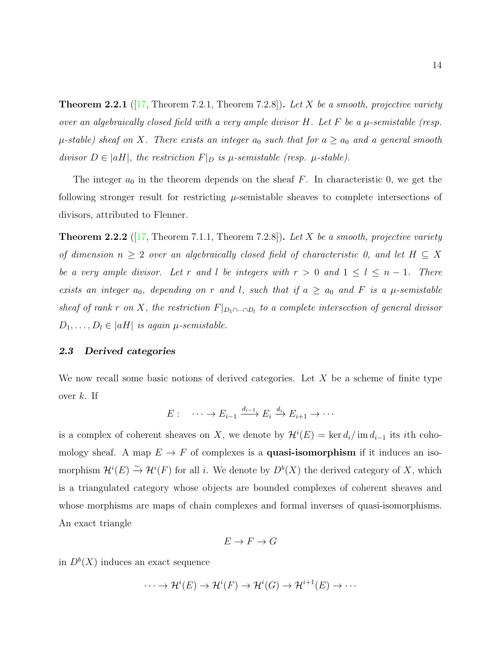**Theorem 2.2.1** ([\[17,](#page-108-4) Theorem 7.2.1, Theorem 7.2.8]). Let X be a smooth, projective variety over an algebraically closed field with a very ample divisor  $H$ . Let  $F$  be a  $\mu$ -semistable (resp.  $\mu$ -stable) sheaf on X. There exists an integer  $a_0$  such that for  $a \ge a_0$  and a general smooth divisor  $D \in |aH|$ , the restriction  $F|_D$  is  $\mu$ -semistable (resp.  $\mu$ -stable).

The integer  $a_0$  in the theorem depends on the sheaf F. In characteristic 0, we get the following stronger result for restricting  $\mu$ -semistable sheaves to complete intersections of divisors, attributed to Flenner.

**Theorem 2.2.2** ([\[17,](#page-108-4) Theorem 7.1.1, Theorem 7.2.8]). Let X be a smooth, projective variety of dimension  $n \geq 2$  over an algebraically closed field of characteristic 0, and let  $H \subseteq X$ be a very ample divisor. Let r and l be integers with  $r > 0$  and  $1 \leq l \leq n - 1$ . There exists an integer  $a_0$ , depending on r and l, such that if  $a \ge a_0$  and F is a  $\mu$ -semistable sheaf of rank r on X, the restriction  $F|_{D_1 \cap \dots \cap D_l}$  to a complete intersection of general divisor  $D_1, \ldots, D_l \in |aH|$  is again  $\mu$ -semistable.

### <span id="page-21-0"></span>2.3 Derived categories

We now recall some basic notions of derived categories. Let  $X$  be a scheme of finite type over  $k$ . If

$$
E: \quad \cdots \to E_{i-1} \xrightarrow{d_{i-1}} E_i \xrightarrow{d_i} E_{i+1} \to \cdots
$$

is a complex of coherent sheaves on X, we denote by  $\mathcal{H}^i(E) = \ker d_i / \text{im } d_{i-1}$  its *i*th cohomology sheaf. A map  $E \to F$  of complexes is a **quasi-isomorphism** if it induces an isomorphism  $\mathcal{H}^i(E) \xrightarrow{\sim} \mathcal{H}^i(F)$  for all i. We denote by  $D^b(X)$  the derived category of X, which is a triangulated category whose objects are bounded complexes of coherent sheaves and whose morphisms are maps of chain complexes and formal inverses of quasi-isomorphisms. An exact triangle

$$
E \to F \to G
$$

in  $D^b(X)$  induces an exact sequence

 $\cdots \to \mathcal{H}^i(E) \to \mathcal{H}^i(F) \to \mathcal{H}^i(G) \to \mathcal{H}^{i+1}(E) \to \cdots$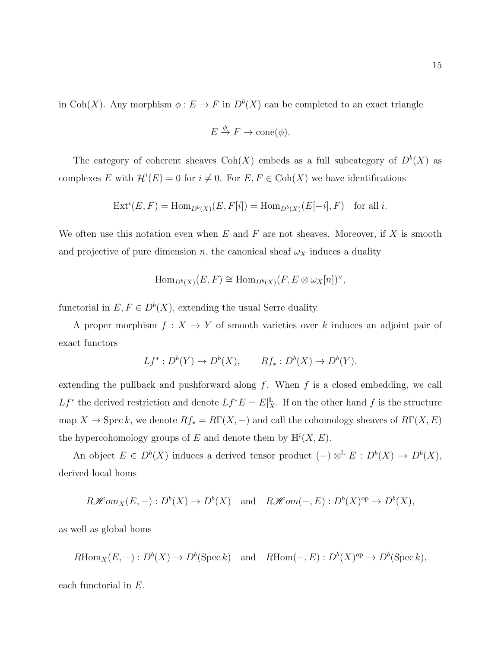in Coh(X). Any morphism  $\phi: E \to F$  in  $D^b(X)$  can be completed to an exact triangle

$$
E \xrightarrow{\phi} F \to \text{cone}(\phi).
$$

The category of coherent sheaves  $\text{Coh}(X)$  embeds as a full subcategory of  $D^b(X)$  as complexes E with  $\mathcal{H}^i(E) = 0$  for  $i \neq 0$ . For  $E, F \in \text{Coh}(X)$  we have identifications

$$
Ext^i(E, F) = Hom_{D^b(X)}(E, F[i]) = Hom_{D^b(X)}(E[-i], F) \text{ for all } i.
$$

We often use this notation even when  $E$  and  $F$  are not sheaves. Moreover, if  $X$  is smooth and projective of pure dimension n, the canonical sheaf  $\omega_X$  induces a duality

$$
\operatorname{Hom}_{D^b(X)}(E,F) \cong \operatorname{Hom}_{D^b(X)}(F, E \otimes \omega_X[n])^{\vee},
$$

functorial in  $E, F \in D^b(X)$ , extending the usual Serre duality.

A proper morphism  $f: X \to Y$  of smooth varieties over k induces an adjoint pair of exact functors

$$
Lf^*: D^b(Y) \to D^b(X), \qquad Rf_*: D^b(X) \to D^b(Y).
$$

extending the pullback and pushforward along  $f$ . When  $f$  is a closed embedding, we call  $Lf^*$  the derived restriction and denote  $Lf^*E = E|_X^{\mathbb{L}}$ . If on the other hand f is the structure map  $X \to \operatorname{Spec} k$ , we denote  $Rf_* = R\Gamma(X, -)$  and call the cohomology sheaves of  $R\Gamma(X, E)$ the hypercohomology groups of E and denote them by  $\mathbb{H}^{i}(X, E)$ .

An object  $E \in D^b(X)$  induces a derived tensor product  $(-) \otimes^{\mathbb{L}} E : D^b(X) \to D^b(X)$ , derived local homs

$$
R\mathscr{H}om_X(E,-): D^b(X) \to D^b(X) \text{ and } R\mathscr{H}om(-,E): D^b(X)^{\text{op}} \to D^b(X),
$$

as well as global homs

$$
R\text{Hom}_X(E,-): D^b(X) \to D^b(\text{Spec } k)
$$
 and  $R\text{Hom}(-, E): D^b(X)^{\text{op}} \to D^b(\text{Spec } k)$ ,

each functorial in E.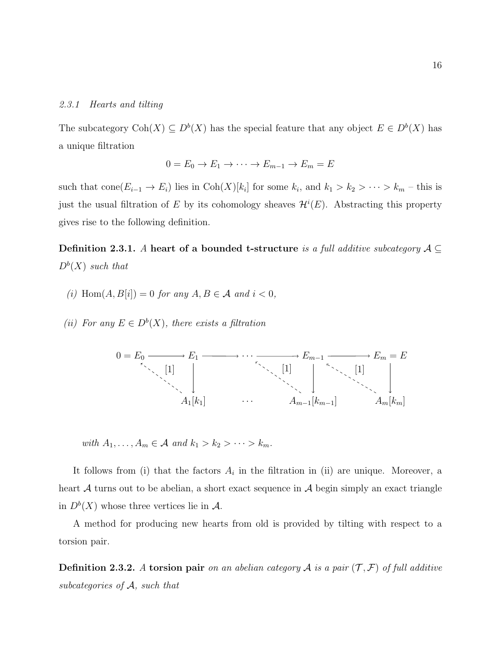### 2.3.1 Hearts and tilting

The subcategory  $\text{Coh}(X) \subseteq D^b(X)$  has the special feature that any object  $E \in D^b(X)$  has a unique filtration

$$
0 = E_0 \to E_1 \to \cdots \to E_{m-1} \to E_m = E
$$

such that  $cone(E_{i-1} \to E_i)$  lies in  $Coh(X)[k_i]$  for some  $k_i$ , and  $k_1 > k_2 > \cdots > k_m$  – this is just the usual filtration of E by its cohomology sheaves  $\mathcal{H}^i(E)$ . Abstracting this property gives rise to the following definition.

Definition 2.3.1. A heart of a bounded t-structure is a full additive subcategory  $A \subseteq$  $D^b(X)$  such that

- (i)  $\text{Hom}(A, B[i]) = 0$  for any  $A, B \in \mathcal{A}$  and  $i < 0$ ,
- (ii) For any  $E \in D^b(X)$ , there exists a filtration



with  $A_1, \ldots, A_m \in \mathcal{A}$  and  $k_1 > k_2 > \cdots > k_m$ .

It follows from (i) that the factors  $A_i$  in the filtration in (ii) are unique. Moreover, a heart  $A$  turns out to be abelian, a short exact sequence in  $A$  begin simply an exact triangle in  $D^b(X)$  whose three vertices lie in A.

A method for producing new hearts from old is provided by tilting with respect to a torsion pair.

**Definition 2.3.2.** A torsion pair on an abelian category A is a pair  $(\mathcal{T}, \mathcal{F})$  of full additive subcategories of  $A$ , such that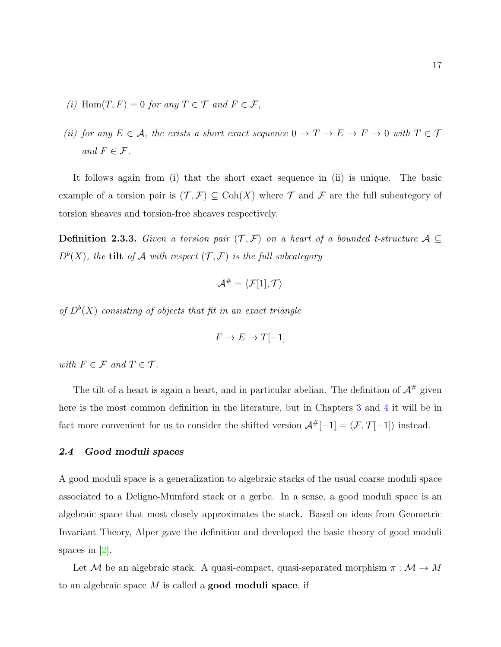- (i) Hom $(T, F) = 0$  for any  $T \in \mathcal{T}$  and  $F \in \mathcal{F}$ ,
- (ii) for any  $E \in \mathcal{A}$ , the exists a short exact sequence  $0 \to T \to E \to F \to 0$  with  $T \in \mathcal{T}$ and  $F \in \mathcal{F}$ .

It follows again from (i) that the short exact sequence in (ii) is unique. The basic example of a torsion pair is  $(\mathcal{T}, \mathcal{F}) \subseteq \text{Coh}(X)$  where  $\mathcal{T}$  and  $\mathcal{F}$  are the full subcategory of torsion sheaves and torsion-free sheaves respectively.

Definition 2.3.3. Given a torsion pair  $(\mathcal{T}, \mathcal{F})$  on a heart of a bounded t-structure  $\mathcal{A} \subseteq$  $D^{b}(X)$ , the tilt of A with respect  $(\mathcal{T}, \mathcal{F})$  is the full subcategory

$$
\mathcal{A}^\#=\langle \mathcal{F}[1],\mathcal{T}\rangle
$$

of  $D^b(X)$  consisting of objects that fit in an exact triangle

$$
F \to E \to T[-1]
$$

with  $F \in \mathcal{F}$  and  $T \in \mathcal{T}$ .

The tilt of a heart is again a heart, and in particular abelian. The definition of  $A^{\#}$  given here is the most common definition in the literature, but in Chapters [3](#page-39-0) and [4](#page-75-0) it will be in fact more convenient for us to consider the shifted version  $\mathcal{A}^{\#}[-1] = \langle \mathcal{F}, \mathcal{T}[-1] \rangle$  instead.

## <span id="page-24-0"></span>2.4 Good moduli spaces

A good moduli space is a generalization to algebraic stacks of the usual coarse moduli space associated to a Deligne-Mumford stack or a gerbe. In a sense, a good moduli space is an algebraic space that most closely approximates the stack. Based on ideas from Geometric Invariant Theory, Alper gave the definition and developed the basic theory of good moduli spaces in  $|2|$ .

Let  ${\mathcal M}$  be an algebraic stack. A quasi-compact, quasi-separated morphism  $\pi: {\mathcal M} \to M$ to an algebraic space  $M$  is called a **good moduli space**, if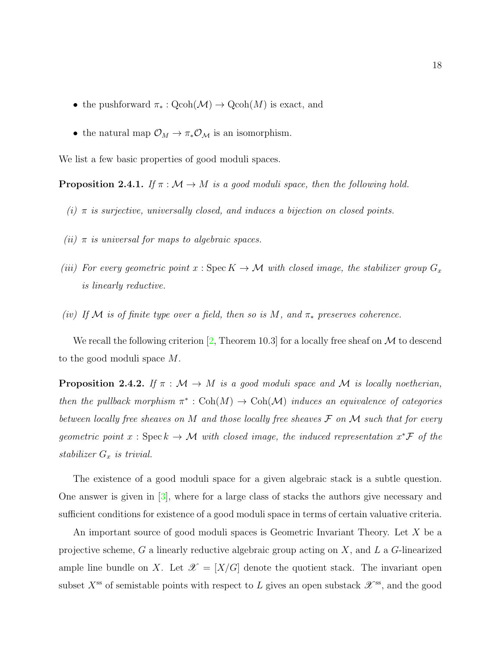- the pushforward  $\pi_* : \text{Qcoh}(\mathcal{M}) \to \text{Qcoh}(M)$  is exact, and
- the natural map  $\mathcal{O}_M \to \pi_* \mathcal{O}_M$  is an isomorphism.

We list a few basic properties of good moduli spaces.

**Proposition 2.4.1.** If  $\pi : \mathcal{M} \to M$  is a good moduli space, then the following hold.

- (i)  $\pi$  is surjective, universally closed, and induces a bijection on closed points.
- (ii)  $\pi$  is universal for maps to algebraic spaces.
- (iii) For every geometric point  $x : \operatorname{Spec} K \to M$  with closed image, the stabilizer group  $G_x$ is linearly reductive.
- (iv) If M is of finite type over a field, then so is M, and  $\pi_*$  preserves coherence.

We recall the following criterion  $[2,$  Theorem 10.3 for a locally free sheaf on M to descend to the good moduli space M.

**Proposition 2.4.2.** If  $\pi : \mathcal{M} \to M$  is a good moduli space and M is locally noetherian, then the pullback morphism  $\pi^*: \text{Coh}(M) \to \text{Coh}(\mathcal{M})$  induces an equivalence of categories between locally free sheaves on M and those locally free sheaves  $\mathcal F$  on M such that for every geometric point  $x : \text{Spec } k \to M$  with closed image, the induced representation  $x^* \mathcal{F}$  of the stabilizer  $G_x$  is trivial.

The existence of a good moduli space for a given algebraic stack is a subtle question. One answer is given in [\[3\]](#page-107-6), where for a large class of stacks the authors give necessary and sufficient conditions for existence of a good moduli space in terms of certain valuative criteria.

An important source of good moduli spaces is Geometric Invariant Theory. Let X be a projective scheme,  $G$  a linearly reductive algebraic group acting on  $X$ , and  $L$  a  $G$ -linearized ample line bundle on X. Let  $\mathscr{X} = [X/G]$  denote the quotient stack. The invariant open subset  $X^{\text{ss}}$  of semistable points with respect to L gives an open substack  $\mathscr{X}^{\text{ss}}$ , and the good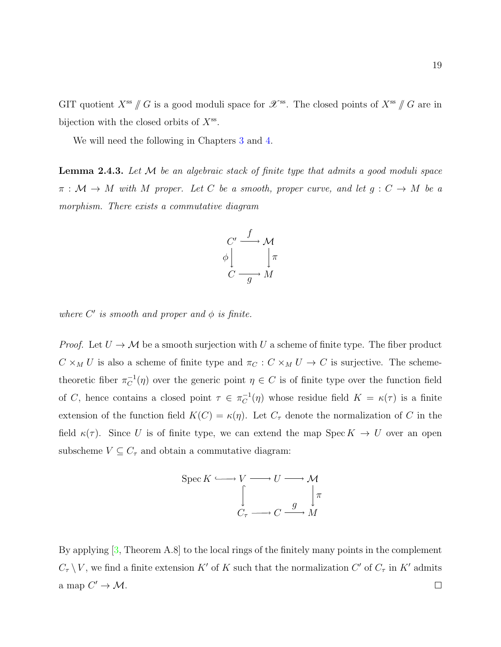GIT quotient  $X^{ss}$  // G is a good moduli space for  $\mathscr{X}^{ss}$ . The closed points of  $X^{ss}$  // G are in bijection with the closed orbits of  $X^{\text{ss}}$ .

We will need the following in Chapters [3](#page-39-0) and [4.](#page-75-0)

**Lemma 2.4.3.** Let  $M$  be an algebraic stack of finite type that admits a good moduli space  $\pi : \mathcal{M} \to M$  with M proper. Let C be a smooth, proper curve, and let  $g : C \to M$  be a morphism. There exists a commutative diagram



where  $C'$  is smooth and proper and  $\phi$  is finite.

*Proof.* Let  $U \to M$  be a smooth surjection with U a scheme of finite type. The fiber product  $C \times_M U$  is also a scheme of finite type and  $\pi_C : C \times_M U \to C$  is surjective. The schemetheoretic fiber  $\pi_C^{-1}$  $C^{-1}(\eta)$  over the generic point  $\eta \in C$  is of finite type over the function field of C, hence contains a closed point  $\tau \in \pi_C^{-1}$  $C^{-1}(\eta)$  whose residue field  $K = \kappa(\tau)$  is a finite extension of the function field  $K(C) = \kappa(\eta)$ . Let  $C_{\tau}$  denote the normalization of C in the field  $\kappa(\tau)$ . Since U is of finite type, we can extend the map Spec  $K \to U$  over an open subscheme  $V \subseteq C_{\tau}$  and obtain a commutative diagram:



By applying [\[3,](#page-107-6) Theorem A.8] to the local rings of the finitely many points in the complement  $C_{\tau} \setminus V$ , we find a finite extension K' of K such that the normalization C' of  $C_{\tau}$  in K' admits a map  $C' \to M$ .  $\Box$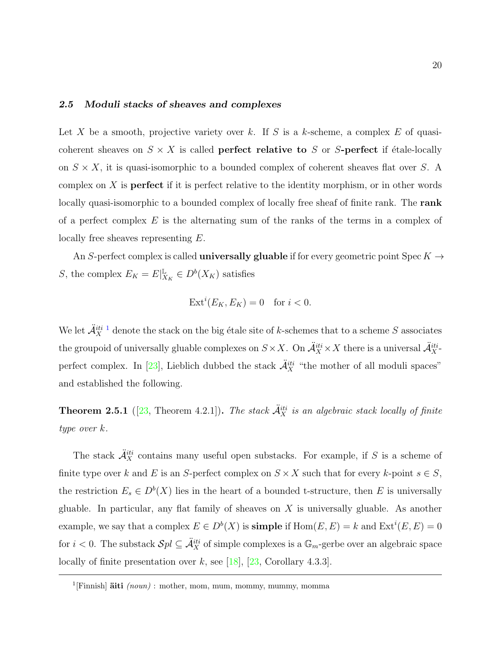## <span id="page-27-0"></span>2.5 Moduli stacks of sheaves and complexes

Let X be a smooth, projective variety over k. If S is a k-scheme, a complex E of quasicoherent sheaves on  $S \times X$  is called **perfect relative to** S or S-**perfect** if étale-locally on  $S \times X$ , it is quasi-isomorphic to a bounded complex of coherent sheaves flat over S. A complex on  $X$  is **perfect** if it is perfect relative to the identity morphism, or in other words locally quasi-isomorphic to a bounded complex of locally free sheaf of finite rank. The **rank** of a perfect complex  $E$  is the alternating sum of the ranks of the terms in a complex of locally free sheaves representing E.

An S-perfect complex is called **universally gluable** if for every geometric point Spec  $K \rightarrow$ S, the complex  $E_K = E|_X^{\mathbb{L}}$  $\mathcal{L}_{X_K} \in D^b(X_K)$  satisfies

$$
Ext^i(E_K, E_K) = 0 \quad \text{for } i < 0.
$$

We let  $\ddot{\mathcal{A}}_X^{iti-1}$  $\ddot{\mathcal{A}}_X^{iti-1}$  $\ddot{\mathcal{A}}_X^{iti-1}$  denote the stack on the big étale site of k-schemes that to a scheme S associates the groupoid of universally gluable complexes on  $S \times X$ . On  $\ddot{\mathcal{A}}_X^{iti} \times X$  there is a universal  $\ddot{\mathcal{A}}_X^{iti}$ . perfect complex. In [\[23\]](#page-108-5), Lieblich dubbed the stack  $\ddot{A}^{iti}_{X}$  "the mother of all moduli spaces" and established the following.

**Theorem 2.5.1** ([\[23,](#page-108-5) Theorem 4.2.1]). The stack  $\ddot{A}^{iti}_{X}$  is an algebraic stack locally of finite type over k.

The stack  $\ddot{A}^{iti}_X$  contains many useful open substacks. For example, if S is a scheme of finite type over k and E is an S-perfect complex on  $S \times X$  such that for every k-point  $s \in S$ , the restriction  $E_s \in D^b(X)$  lies in the heart of a bounded t-structure, then E is universally gluable. In particular, any flat family of sheaves on  $X$  is universally gluable. As another example, we say that a complex  $E \in D^b(X)$  is **simple** if  $Hom(E, E) = k$  and  $Ext^i(E, E) = 0$ for  $i < 0$ . The substack  $\mathcal{S}pl \subseteq \mathcal{A}_X^{iti}$  of simple complexes is a  $\mathbb{G}_m$ -gerbe over an algebraic space locally of finite presentation over k, see [\[18\]](#page-108-6), [\[23,](#page-108-5) Corollary 4.3.3].

<span id="page-27-1"></span><sup>&</sup>lt;sup>1</sup>[Finnish]  $\ddot{a}$ iti (noun) : mother, mom, mum, mommy, mummy, momma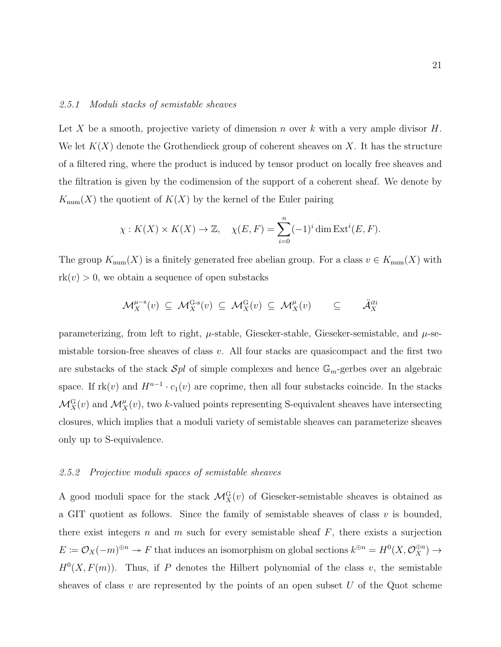### 2.5.1 Moduli stacks of semistable sheaves

Let X be a smooth, projective variety of dimension n over k with a very ample divisor  $H$ . We let  $K(X)$  denote the Grothendieck group of coherent sheaves on X. It has the structure of a filtered ring, where the product is induced by tensor product on locally free sheaves and the filtration is given by the codimension of the support of a coherent sheaf. We denote by  $K_{\text{num}}(X)$  the quotient of  $K(X)$  by the kernel of the Euler pairing

$$
\chi: K(X) \times K(X) \to \mathbb{Z}, \quad \chi(E, F) = \sum_{i=0}^{n} (-1)^{i} \dim \operatorname{Ext}^{i}(E, F).
$$

The group  $K_{\text{num}}(X)$  is a finitely generated free abelian group. For a class  $v \in K_{\text{num}}(X)$  with  $rk(v) > 0$ , we obtain a sequence of open substacks

$$
\mathcal{M}_X^{\mu-s}(v) \subseteq \mathcal{M}_X^{\mathrm{G-s}}(v) \subseteq \mathcal{M}_X^{\mathrm{G}}(v) \subseteq \mathcal{M}_X^{\mu}(v) \subseteq \tilde{\mathcal{A}}_X^{iti}
$$

parameterizing, from left to right,  $\mu$ -stable, Gieseker-stable, Gieseker-semistable, and  $\mu$ -semistable torsion-free sheaves of class  $v$ . All four stacks are quasicompact and the first two are substacks of the stack  $\mathcal{S}pl$  of simple complexes and hence  $\mathbb{G}_m$ -gerbes over an algebraic space. If  $rk(v)$  and  $H^{n-1} \cdot c_1(v)$  are coprime, then all four substacks coincide. In the stacks  $\mathcal{M}_X^{\text{G}}(v)$  and  $\mathcal{M}_X^{\mu}(v)$ , two k-valued points representing S-equivalent sheaves have intersecting closures, which implies that a moduli variety of semistable sheaves can parameterize sheaves only up to S-equivalence.

### 2.5.2 Projective moduli spaces of semistable sheaves

A good moduli space for the stack  $\mathcal{M}_X^{\mathcal{G}}(v)$  of Gieseker-semistable sheaves is obtained as a GIT quotient as follows. Since the family of semistable sheaves of class  $v$  is bounded, there exist integers n and m such for every semistable sheaf  $F$ , there exists a surjection  $E \coloneqq \mathcal{O}_X(-m)^{\oplus n} \to F$  that induces an isomorphism on global sections  $k^{\oplus n} = H^0(X, \mathcal{O}_X^{\oplus n}) \to$  $H^0(X, F(m))$ . Thus, if P denotes the Hilbert polynomial of the class v, the semistable sheaves of class v are represented by the points of an open subset U of the Quot scheme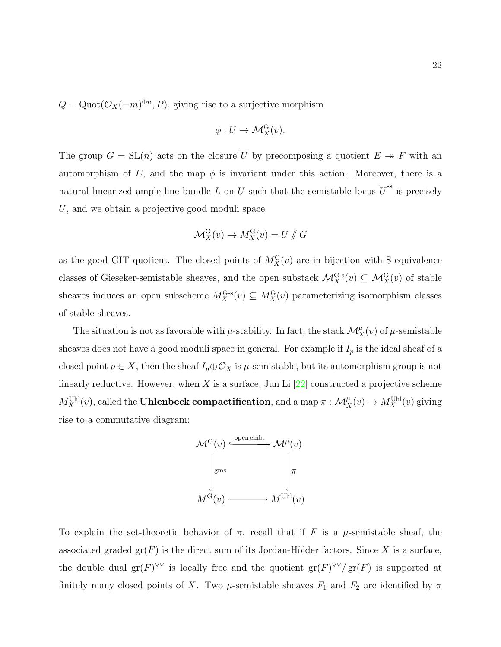$Q = \text{Quot}(\mathcal{O}_X(-m)^{\oplus n}, P)$ , giving rise to a surjective morphism

$$
\phi: U \to \mathcal{M}_X^{\mathrm{G}}(v).
$$

The group  $G = SL(n)$  acts on the closure  $\overline{U}$  by precomposing a quotient  $E \rightarrow F$  with an automorphism of E, and the map  $\phi$  is invariant under this action. Moreover, there is a natural linearized ample line bundle L on  $\overline{U}$  such that the semistable locus  $\overline{U}^{ss}$  is precisely U, and we obtain a projective good moduli space

$$
\mathcal{M}_X^{\mathcal{G}}(v) \to M_X^{\mathcal{G}}(v) = U \not\parallel G
$$

as the good GIT quotient. The closed points of  $M_X^{\text{G}}(v)$  are in bijection with S-equivalence classes of Gieseker-semistable sheaves, and the open substack  $\mathcal{M}_X^{\mathrm{G-s}}(v) \subseteq \mathcal{M}_X^{\mathrm{G}}(v)$  of stable sheaves induces an open subscheme  $M_X^{\mathbf{G}\text{-s}}(v) \subseteq M_X^{\mathbf{G}}(v)$  parameterizing isomorphism classes of stable sheaves.

The situation is not as favorable with  $\mu$ -stability. In fact, the stack  $\mathcal{M}_X^{\mu}(v)$  of  $\mu$ -semistable sheaves does not have a good moduli space in general. For example if  $I_p$  is the ideal sheaf of a closed point  $p \in X$ , then the sheaf  $I_p \oplus \mathcal{O}_X$  is  $\mu$ -semistable, but its automorphism group is not linearly reductive. However, when X is a surface, Jun Li  $[22]$  constructed a projective scheme  $M_X^{\text{Uhl}}(v)$ , called the Uhlenbeck compactification, and a map  $\pi : \mathcal{M}_X^\mu(v) \to M_X^{\text{Uhl}}(v)$  giving rise to a commutative diagram:



To explain the set-theoretic behavior of  $\pi$ , recall that if F is a  $\mu$ -semistable sheaf, the associated graded  $gr(F)$  is the direct sum of its Jordan-Hölder factors. Since X is a surface, the double dual gr(F)<sup> $\vee\vee$ </sup> is locally free and the quotient gr(F) $\vee\vee$ /gr(F) is supported at finitely many closed points of X. Two  $\mu$ -semistable sheaves  $F_1$  and  $F_2$  are identified by  $\pi$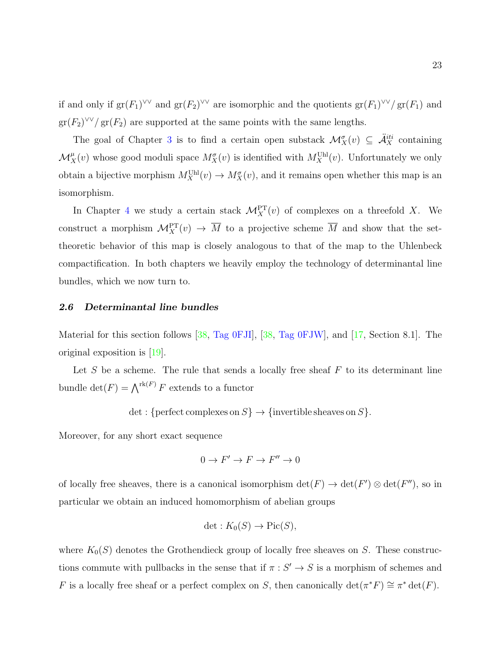if and only if  $gr(F_1)^{\vee\vee}$  and  $gr(F_2)^{\vee\vee}$  are isomorphic and the quotients  $gr(F_1)^{\vee\vee}/gr(F_1)$  and  $\operatorname{gr}(F_2)^{\vee\vee}/\operatorname{gr}(F_2)$  are supported at the same points with the same lengths.

The goal of Chapter [3](#page-39-0) is to find a certain open substack  $\mathcal{M}^{\sigma}_{X}(v) \subseteq \ddot{\mathcal{A}}_{X}^{iti}$  containing  $\mathcal{M}_X^{\mu}(v)$  whose good moduli space  $M_X^{\sigma}(v)$  is identified with  $M_X^{\text{Uhl}}(v)$ . Unfortunately we only obtain a bijective morphism  $M_X^{\text{Uhl}}(v) \to M_X^{\sigma}(v)$ , and it remains open whether this map is an isomorphism.

In Chapter [4](#page-75-0) we study a certain stack  $\mathcal{M}_X^{\text{PT}}(v)$  of complexes on a threefold X. We construct a morphism  $\mathcal{M}_X^{\text{PT}}(v) \to \overline{M}$  to a projective scheme  $\overline{M}$  and show that the settheoretic behavior of this map is closely analogous to that of the map to the Uhlenbeck compactification. In both chapters we heavily employ the technology of determinantal line bundles, which we now turn to.

## <span id="page-30-0"></span>2.6 Determinantal line bundles

Material for this section follows [\[38,](#page-109-10) [Tag 0FJI\]](https://stacks.math.columbia.edu/tag/0FJI), [\[38,](#page-109-10) [Tag 0FJW\]](https://stacks.math.columbia.edu/tag/0FJW), and [\[17,](#page-108-4) Section 8.1]. The original exposition is [\[19\]](#page-108-7).

Let  $S$  be a scheme. The rule that sends a locally free sheaf  $F$  to its determinant line bundle  $\det(F) = \bigwedge^{\text{rk}(F)} F$  extends to a functor

$$
\det: \{ \text{perfect complexes on } S \} \to \{ \text{invertible sheaves on } S \}.
$$

Moreover, for any short exact sequence

$$
0 \to F' \to F \to F'' \to 0
$$

of locally free sheaves, there is a canonical isomorphism  $\det(F) \to \det(F') \otimes \det(F'')$ , so in particular we obtain an induced homomorphism of abelian groups

$$
\det: K_0(S) \to \mathrm{Pic}(S),
$$

where  $K_0(S)$  denotes the Grothendieck group of locally free sheaves on S. These constructions commute with pullbacks in the sense that if  $\pi : S' \to S$  is a morphism of schemes and F is a locally free sheaf or a perfect complex on S, then canonically  $\det(\pi^*F) \cong \pi^* \det(F)$ .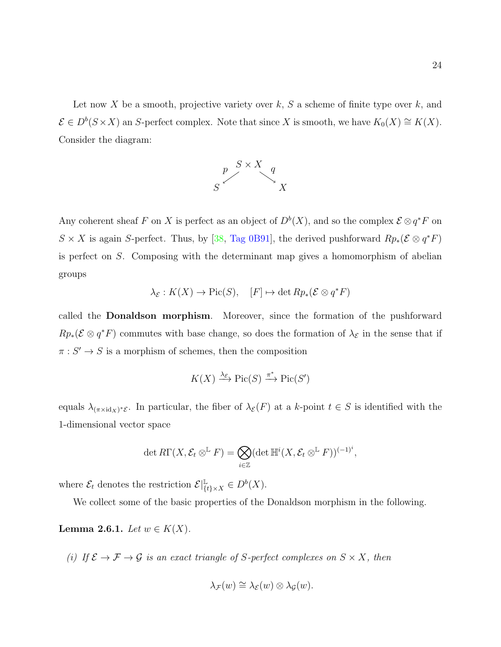Let now X be a smooth, projective variety over  $k$ , S a scheme of finite type over  $k$ , and  $\mathcal{E} \in D^b(S \times X)$  an S-perfect complex. Note that since X is smooth, we have  $K_0(X) \cong K(X)$ . Consider the diagram:



Any coherent sheaf F on X is perfect as an object of  $D^b(X)$ , and so the complex  $\mathcal{E} \otimes q^*F$  on  $S \times X$  is again S-perfect. Thus, by [\[38,](#page-109-10) [Tag 0B91\]](https://stacks.math.columbia.edu/tag/0B91), the derived pushforward  $Rp_*(\mathcal{E} \otimes q^*F)$ is perfect on S. Composing with the determinant map gives a homomorphism of abelian groups

$$
\lambda_{\mathcal{E}} : K(X) \to \text{Pic}(S), \quad [F] \mapsto \det Rp_*(\mathcal{E} \otimes q^*F)
$$

called the Donaldson morphism. Moreover, since the formation of the pushforward  $Rp_*(\mathcal{E} \otimes q^*F)$  commutes with base change, so does the formation of  $\lambda_{\mathcal{E}}$  in the sense that if  $\pi: S' \to S$  is a morphism of schemes, then the composition

$$
K(X) \xrightarrow{\lambda_{\mathcal{E}}} \operatorname{Pic}(S) \xrightarrow{\pi^*} \operatorname{Pic}(S')
$$

equals  $\lambda_{(\pi \times id_X)^* \mathcal{E}}$ . In particular, the fiber of  $\lambda_{\mathcal{E}}(F)$  at a k-point  $t \in S$  is identified with the 1-dimensional vector space

$$
\det R\Gamma(X, \mathcal{E}_t \otimes^{\mathbb{L}} F) = \bigotimes_{i \in \mathbb{Z}} (\det \mathbb{H}^i(X, \mathcal{E}_t \otimes^{\mathbb{L}} F))^{(-1)^i},
$$

where  $\mathcal{E}_t$  denotes the restriction  $\mathcal{E}|_{\{t\}\times X}^{\mathbb{L}} \in D^b(X)$ .

We collect some of the basic properties of the Donaldson morphism in the following.

Lemma 2.6.1. Let  $w \in K(X)$ .

(i) If  $\mathcal{E} \to \mathcal{F} \to \mathcal{G}$  is an exact triangle of S-perfect complexes on  $S \times X$ , then

$$
\lambda_{\mathcal{F}}(w) \cong \lambda_{\mathcal{E}}(w) \otimes \lambda_{\mathcal{G}}(w).
$$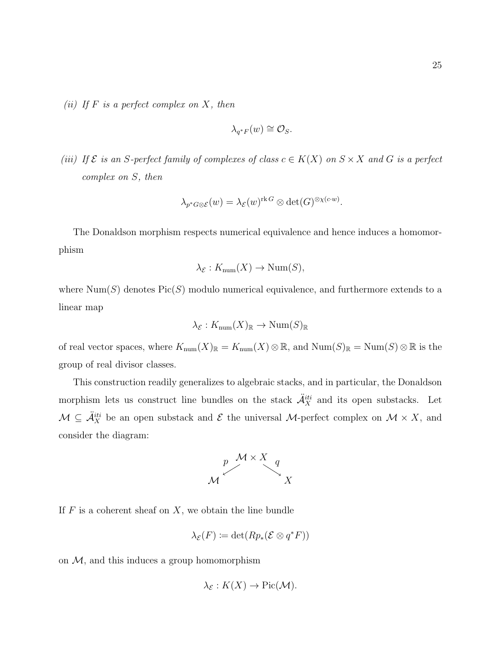(ii) If  $F$  is a perfect complex on  $X$ , then

$$
\lambda_{q^*F}(w) \cong \mathcal{O}_S.
$$

(iii) If  $\mathcal E$  is an S-perfect family of complexes of class  $c \in K(X)$  on  $S \times X$  and G is a perfect complex on S, then

$$
\lambda_{p^*G \otimes \mathcal{E}}(w) = \lambda_{\mathcal{E}}(w)^{\text{rk } G} \otimes \det(G)^{\otimes \chi(c \cdot w)}.
$$

The Donaldson morphism respects numerical equivalence and hence induces a homomorphism

$$
\lambda_{\mathcal{E}} : K_{\text{num}}(X) \to \text{Num}(S),
$$

where  $Num(S)$  denotes  $Pic(S)$  modulo numerical equivalence, and furthermore extends to a linear map

$$
\lambda_{\mathcal{E}} : K_{\text{num}}(X)_{\mathbb{R}} \to \text{Num}(S)_{\mathbb{R}}
$$

of real vector spaces, where  $K_{\text{num}}(X)_\mathbb{R} = K_{\text{num}}(X) \otimes \mathbb{R}$ , and  $\text{Num}(S)_\mathbb{R} = \text{Num}(S) \otimes \mathbb{R}$  is the group of real divisor classes.

This construction readily generalizes to algebraic stacks, and in particular, the Donaldson morphism lets us construct line bundles on the stack  $\ddot{A}^{iti}_X$  and its open substacks. Let  $\mathcal{M} \subseteq \mathcal{A}_X^{iti}$  be an open substack and  $\mathcal{E}$  the universal  $\mathcal{M}$ -perfect complex on  $\mathcal{M} \times X$ , and consider the diagram:



If  $F$  is a coherent sheaf on  $X$ , we obtain the line bundle

$$
\lambda_{\mathcal{E}}(F) \coloneqq \det(Rp_*(\mathcal{E} \otimes q^*F))
$$

on  $M$ , and this induces a group homomorphism

$$
\lambda_{\mathcal{E}} : K(X) \to Pic(\mathcal{M}).
$$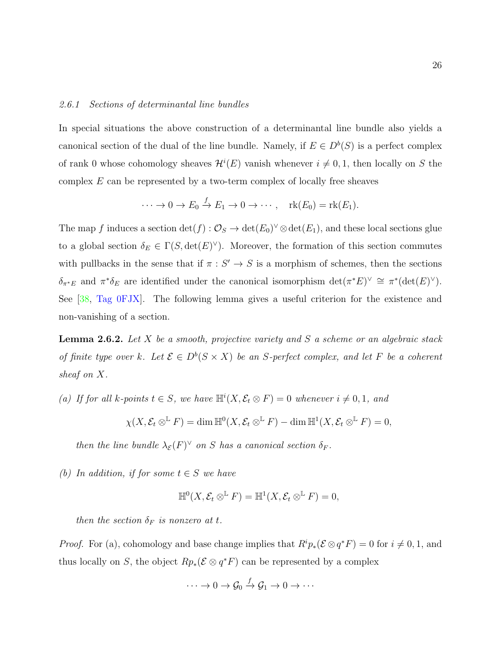## 2.6.1 Sections of determinantal line bundles

In special situations the above construction of a determinantal line bundle also yields a canonical section of the dual of the line bundle. Namely, if  $E \in D^b(S)$  is a perfect complex of rank 0 whose cohomology sheaves  $\mathcal{H}^i(E)$  vanish whenever  $i \neq 0, 1$ , then locally on S the complex  $E$  can be represented by a two-term complex of locally free sheaves

$$
\cdots \to 0 \to E_0 \xrightarrow{f} E_1 \to 0 \to \cdots, \quad \text{rk}(E_0) = \text{rk}(E_1).
$$

The map f induces a section  $\det(f)$  :  $\mathcal{O}_S \to \det(E_0)^{\vee} \otimes \det(E_1)$ , and these local sections glue to a global section  $\delta_E \in \Gamma(S, \det(E)^{\vee})$ . Moreover, the formation of this section commutes with pullbacks in the sense that if  $\pi : S' \to S$  is a morphism of schemes, then the sections  $\delta_{\pi^*E}$  and  $\pi^*\delta_E$  are identified under the canonical isomorphism  $\det(\pi^*E)^\vee \cong \pi^*(\det(E)^\vee)$ . See [\[38,](#page-109-10) [Tag 0FJX\]](https://stacks.math.columbia.edu/tag/0FJX). The following lemma gives a useful criterion for the existence and non-vanishing of a section.

**Lemma 2.6.2.** Let X be a smooth, projective variety and S a scheme or an algebraic stack of finite type over k. Let  $\mathcal{E} \in D^b(S \times X)$  be an S-perfect complex, and let F be a coherent sheaf on X.

(a) If for all k-points  $t \in S$ , we have  $\mathbb{H}^i(X, \mathcal{E}_t \otimes F) = 0$  whenever  $i \neq 0, 1$ , and

$$
\chi(X, \mathcal{E}_t \otimes^{\mathbb{L}} F) = \dim \mathbb{H}^0(X, \mathcal{E}_t \otimes^{\mathbb{L}} F) - \dim \mathbb{H}^1(X, \mathcal{E}_t \otimes^{\mathbb{L}} F) = 0,
$$

then the line bundle  $\lambda_{\mathcal{E}}(F)^{\vee}$  on S has a canonical section  $\delta_F$ .

(b) In addition, if for some  $t \in S$  we have

$$
\mathbb{H}^0(X, \mathcal{E}_t \otimes^{\mathbb{L}} F) = \mathbb{H}^1(X, \mathcal{E}_t \otimes^{\mathbb{L}} F) = 0,
$$

then the section  $\delta_F$  is nonzero at t.

*Proof.* For (a), cohomology and base change implies that  $R^i p_*(\mathcal{E} \otimes q^*F) = 0$  for  $i \neq 0, 1$ , and thus locally on S, the object  $Rp_*(\mathcal{E} \otimes q^*F)$  can be represented by a complex

$$
\cdots \to 0 \to \mathcal{G}_0 \stackrel{f}{\to} \mathcal{G}_1 \to 0 \to \cdots
$$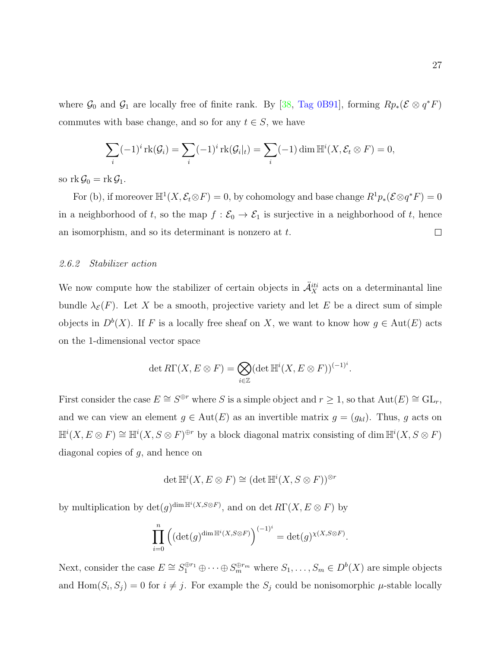where  $\mathcal{G}_0$  and  $\mathcal{G}_1$  are locally free of finite rank. By [\[38,](#page-109-10) [Tag 0B91\]](https://stacks.math.columbia.edu/tag/0B91), forming  $Rp_*(\mathcal{E} \otimes q^*F)$ commutes with base change, and so for any  $t \in S$ , we have

$$
\sum_{i} (-1)^{i} \operatorname{rk}(\mathcal{G}_{i}) = \sum_{i} (-1)^{i} \operatorname{rk}(\mathcal{G}_{i}|_{t}) = \sum_{i} (-1) \dim \mathbb{H}^{i}(X, \mathcal{E}_{t} \otimes F) = 0,
$$

so  $rk \mathcal{G}_0 = rk \mathcal{G}_1$ .

For (b), if moreover  $\mathbb{H}^1(X,\mathcal{E}_t \otimes F) = 0$ , by cohomology and base change  $R^1p_*(\mathcal{E} \otimes q^*F) = 0$ in a neighborhood of t, so the map  $f : \mathcal{E}_0 \to \mathcal{E}_1$  is surjective in a neighborhood of t, hence  $\Box$ an isomorphism, and so its determinant is nonzero at t.

## 2.6.2 Stabilizer action

We now compute how the stabilizer of certain objects in  $\ddot{A}^{iti}_{X}$  acts on a determinantal line bundle  $\lambda_{\mathcal{E}}(F)$ . Let X be a smooth, projective variety and let E be a direct sum of simple objects in  $D^b(X)$ . If F is a locally free sheaf on X, we want to know how  $g \in Aut(E)$  acts on the 1-dimensional vector space

$$
\det R\Gamma(X, E \otimes F) = \bigotimes_{i \in \mathbb{Z}} (\det \mathbb{H}^i(X, E \otimes F))^{(-1)^i}.
$$

First consider the case  $E \cong S^{\oplus r}$  where S is a simple object and  $r \geq 1$ , so that  $Aut(E) \cong GL_r$ , and we can view an element  $g \in Aut(E)$  as an invertible matrix  $g = (g_{kl})$ . Thus, g acts on  $\mathbb{H}^i(X, E \otimes F) \cong \mathbb{H}^i(X, S \otimes F)^{\oplus r}$  by a block diagonal matrix consisting of dim  $\mathbb{H}^i(X, S \otimes F)$ diagonal copies of  $g$ , and hence on

$$
\det \mathbb{H}^i(X, E \otimes F) \cong (\det \mathbb{H}^i(X, S \otimes F))^{\otimes r}
$$

by multiplication by  $\det(g)^{\dim \mathbb{H}^i(X, S \otimes F)}$ , and on  $\det R\Gamma(X, E \otimes F)$  by

$$
\prod_{i=0}^{n} \left( \left( \det(g)^{\dim \mathbb{H}^i(X, S \otimes F)} \right)^{(-1)^i} = \det(g)^{\chi(X, S \otimes F)}.
$$

Next, consider the case  $E \cong S_1^{\oplus r_1} \oplus \cdots \oplus S_m^{\oplus r_m}$  where  $S_1, \ldots, S_m \in D^b(X)$  are simple objects and  $\text{Hom}(S_i, S_j) = 0$  for  $i \neq j$ . For example the  $S_j$  could be nonisomorphic  $\mu$ -stable locally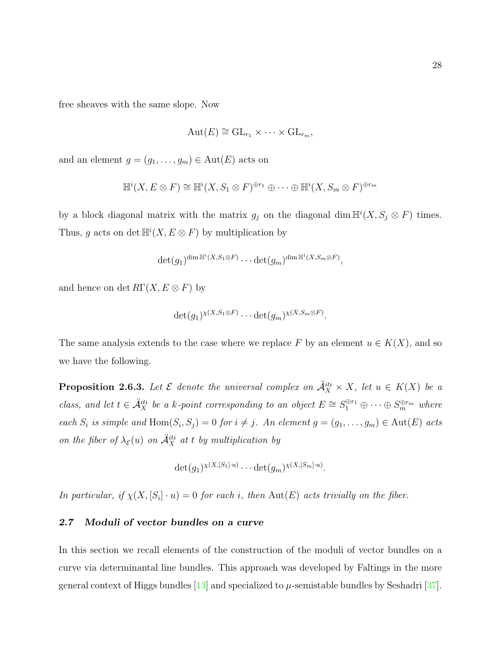free sheaves with the same slope. Now

$$
Aut(E) \cong GL_{r_1} \times \cdots \times GL_{r_m},
$$

and an element  $g = (g_1, \ldots, g_m) \in \text{Aut}(E)$  acts on

$$
\mathbb{H}^i(X, E \otimes F) \cong \mathbb{H}^i(X, S_1 \otimes F)^{\oplus r_1} \oplus \cdots \oplus \mathbb{H}^i(X, S_m \otimes F)^{\oplus r_m}
$$

by a block diagonal matrix with the matrix  $g_j$  on the diagonal dim  $\mathbb{H}^i(X, S_j \otimes F)$  times. Thus, g acts on det  $\mathbb{H}^i(X, E \otimes F)$  by multiplication by

$$
\det(g_1)^{\dim \mathbb{H}^i(X, S_1 \otimes F)} \cdots \det(g_m)^{\dim \mathbb{H}^i(X, S_m \otimes F)},
$$

and hence on det  $R\Gamma(X, E \otimes F)$  by

$$
\det(g_1)^{\chi(X,S_1\otimes F)}\cdots \det(g_m)^{\chi(X,S_m\otimes F)}.
$$

The same analysis extends to the case where we replace F by an element  $u \in K(X)$ , and so we have the following.

**Proposition 2.6.3.** Let  $\mathcal{E}$  denote the universal complex on  $\ddot{A}^{iti}_X \times X$ , let  $u \in K(X)$  be a class, and let  $t \in \mathcal{A}_X^{iti}$  be a k-point corresponding to an object  $E \cong S_1^{\oplus r_1} \oplus \cdots \oplus S_m^{\oplus r_m}$  where each  $S_i$  is simple and  $\text{Hom}(S_i, S_j) = 0$  for  $i \neq j$ . An element  $g = (g_1, \ldots, g_m) \in \text{Aut}(E)$  acts on the fiber of  $\lambda_{\mathcal{E}}(u)$  on  $\ddot{A}^{iti}_X$  at t by multiplication by

$$
\det(g_1)^{\chi(X,[S_1]\cdot u)}\cdots \det(g_m)^{\chi(X,[S_m]\cdot u)}.
$$

In particular, if  $\chi(X, [S_i] \cdot u) = 0$  for each i, then  $Aut(E)$  acts trivially on the fiber.

## <span id="page-35-0"></span>2.7 Moduli of vector bundles on a curve

In this section we recall elements of the construction of the moduli of vector bundles on a curve via determinantal line bundles. This approach was developed by Faltings in the more general context of Higgs bundles  $[13]$  and specialized to  $\mu$ -semistable bundles by Seshadri [\[37\]](#page-109-4).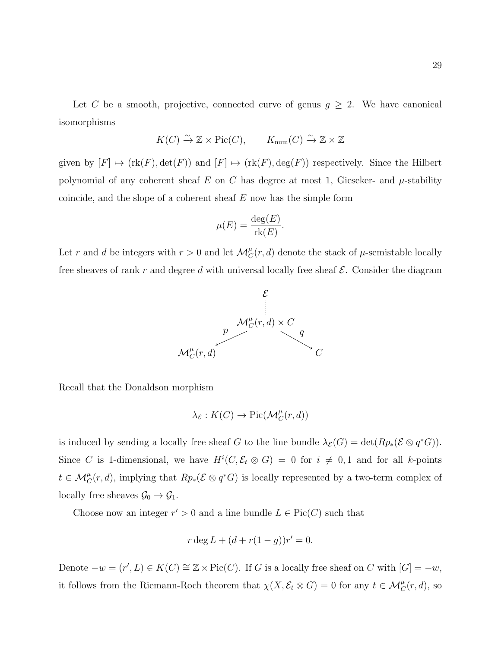Let C be a smooth, projective, connected curve of genus  $g \geq 2$ . We have canonical isomorphisms

$$
K(C) \xrightarrow{\sim} \mathbb{Z} \times \text{Pic}(C), \qquad K_{\text{num}}(C) \xrightarrow{\sim} \mathbb{Z} \times \mathbb{Z}
$$

given by  $[F] \mapsto (\text{rk}(F), \det(F))$  and  $[F] \mapsto (\text{rk}(F), \deg(F))$  respectively. Since the Hilbert polynomial of any coherent sheaf E on C has degree at most 1, Gieseker- and  $\mu$ -stability coincide, and the slope of a coherent sheaf  $E$  now has the simple form

$$
\mu(E) = \frac{\deg(E)}{\text{rk}(E)}.
$$

Let r and d be integers with  $r > 0$  and let  $\mathcal{M}_C^{\mu}(r, d)$  denote the stack of  $\mu$ -semistable locally free sheaves of rank r and degree d with universal locally free sheaf  $\mathcal{E}$ . Consider the diagram



Recall that the Donaldson morphism

$$
\lambda_{\mathcal{E}} : K(C) \to Pic(\mathcal{M}_C^{\mu}(r,d))
$$

is induced by sending a locally free sheaf G to the line bundle  $\lambda_{\mathcal{E}}(G) = \det(Rp_*(\mathcal{E} \otimes q^*G)).$ Since C is 1-dimensional, we have  $H^{i}(C, \mathcal{E}_t \otimes G) = 0$  for  $i \neq 0, 1$  and for all k-points  $t \in \mathcal{M}_C^{\mu}(r,d)$ , implying that  $Rp_*(\mathcal{E} \otimes q^*G)$  is locally represented by a two-term complex of locally free sheaves  $\mathcal{G}_0 \to \mathcal{G}_1$ .

Choose now an integer  $r' > 0$  and a line bundle  $L \in Pic(C)$  such that

$$
r \deg L + (d + r(1 - g))r' = 0.
$$

Denote  $-w = (r', L) \in K(C) \cong \mathbb{Z} \times Pic(C)$ . If G is a locally free sheaf on C with  $[G] = -w$ , it follows from the Riemann-Roch theorem that  $\chi(X, \mathcal{E}_t \otimes G) = 0$  for any  $t \in \mathcal{M}_C^{\mu}(r, d)$ , so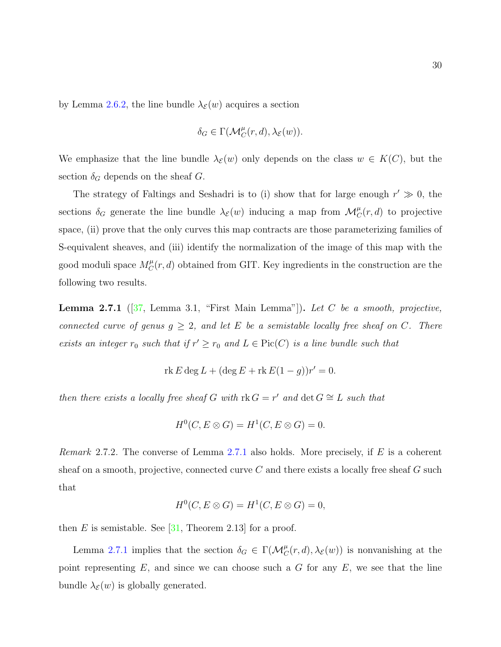by Lemma [2.6.2,](#page-33-0) the line bundle  $\lambda_{\mathcal{E}}(w)$  acquires a section

$$
\delta_G\in \Gamma(\mathcal{M}_C^{\mu}(r,d),\lambda_{\mathcal{E}}(w)).
$$

We emphasize that the line bundle  $\lambda_{\mathcal{E}}(w)$  only depends on the class  $w \in K(C)$ , but the section  $\delta_G$  depends on the sheaf G.

The strategy of Faltings and Seshadri is to (i) show that for large enough  $r' \gg 0$ , the sections  $\delta_G$  generate the line bundle  $\lambda_{\mathcal{E}}(w)$  inducing a map from  $\mathcal{M}_C^{\mu}(r,d)$  to projective space, (ii) prove that the only curves this map contracts are those parameterizing families of S-equivalent sheaves, and (iii) identify the normalization of the image of this map with the good moduli space  $M_C^{\mu}$  $\mathcal{C}(r, d)$  obtained from GIT. Key ingredients in the construction are the following two results.

<span id="page-37-0"></span>**Lemma 2.7.1** ( $[37, \text{ Lemma } 3.1, \text{ "First Main Lemma"}]$  $[37, \text{ Lemma } 3.1, \text{ "First Main Lemma"}]$ ). Let C be a smooth, projective, connected curve of genus  $g \geq 2$ , and let E be a semistable locally free sheaf on C. There exists an integer  $r_0$  such that if  $r' \geq r_0$  and  $L \in Pic(C)$  is a line bundle such that

$$
rk E \deg L + (\deg E + rk E(1 - g))r' = 0.
$$

then there exists a locally free sheaf G with  $rk G = r'$  and  $det G \cong L$  such that

$$
H^0(C, E \otimes G) = H^1(C, E \otimes G) = 0.
$$

*Remark* 2.7.2. The converse of Lemma [2.7.1](#page-37-0) also holds. More precisely, if E is a coherent sheaf on a smooth, projective, connected curve  $C$  and there exists a locally free sheaf  $G$  such that

$$
H^0(C, E \otimes G) = H^1(C, E \otimes G) = 0,
$$

then E is semistable. See  $[31,$  Theorem 2.13 for a proof.

Lemma [2.7.1](#page-37-0) implies that the section  $\delta_G \in \Gamma(\mathcal{M}_C^{\mu}(r,d), \lambda_{\mathcal{E}}(w))$  is nonvanishing at the point representing  $E$ , and since we can choose such a  $G$  for any  $E$ , we see that the line bundle  $\lambda_{\mathcal{E}}(w)$  is globally generated.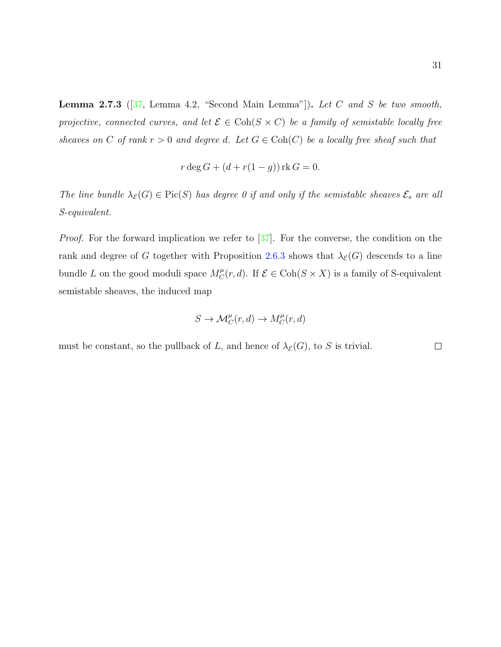**Lemma 2.7.3** ( $[37$ , Lemma 4.2, "Second Main Lemma"]). Let C and S be two smooth, projective, connected curves, and let  $\mathcal{E} \in \text{Coh}(S \times C)$  be a family of semistable locally free sheaves on C of rank  $r > 0$  and degree d. Let  $G \in Coh(C)$  be a locally free sheaf such that

$$
r \deg G + (d + r(1 - g)) \operatorname{rk} G = 0.
$$

The line bundle  $\lambda_{\mathcal{E}}(G) \in \text{Pic}(S)$  has degree 0 if and only if the semistable sheaves  $\mathcal{E}_s$  are all S-equivalent.

*Proof.* For the forward implication we refer to  $\left[\frac{37}{10}\right]$ . For the converse, the condition on the rank and degree of G together with Proposition [2.6.3](#page-35-0) shows that  $\lambda_{\mathcal{E}}(G)$  descends to a line bundle L on the good moduli space  $M_C^{\mu}$  $C^{\mu}_C(r, d)$ . If  $\mathcal{E} \in \text{Coh}(S \times X)$  is a family of S-equivalent semistable sheaves, the induced map

$$
S \to \mathcal{M}_C^{\mu}(r,d) \to M_C^{\mu}(r,d)
$$

must be constant, so the pullback of L, and hence of  $\lambda_{\mathcal{E}}(G)$ , to S is trivial.  $\Box$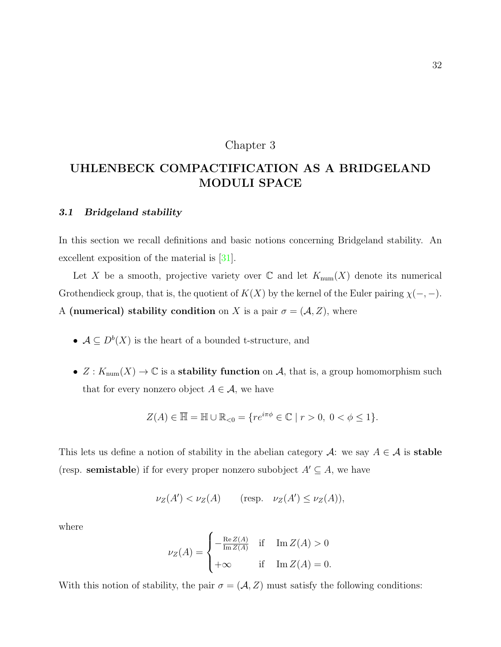## Chapter 3

# UHLENBECK COMPACTIFICATION AS A BRIDGELAND MODULI SPACE

#### 3.1 Bridgeland stability

In this section we recall definitions and basic notions concerning Bridgeland stability. An excellent exposition of the material is  $|31|$ .

Let X be a smooth, projective variety over  $\mathbb C$  and let  $K_{\text{num}}(X)$  denote its numerical Grothendieck group, that is, the quotient of  $K(X)$  by the kernel of the Euler pairing  $\chi(-, -)$ . A (numerical) stability condition on X is a pair  $\sigma = (A, Z)$ , where

- $A \subseteq D^b(X)$  is the heart of a bounded t-structure, and
- $Z: K_{\text{num}}(X) \to \mathbb{C}$  is a **stability function** on A, that is, a group homomorphism such that for every nonzero object  $A \in \mathcal{A}$ , we have

$$
Z(A) \in \overline{\mathbb{H}} = \mathbb{H} \cup \mathbb{R}_{<0} = \{ re^{i\pi\phi} \in \mathbb{C} \mid r > 0, \ 0 < \phi \le 1 \}.
$$

This lets us define a notion of stability in the abelian category  $\mathcal{A}$ : we say  $A \in \mathcal{A}$  is **stable** (resp. **semistable**) if for every proper nonzero subobject  $A' \subseteq A$ , we have

$$
\nu_Z(A') < \nu_Z(A) \qquad \text{(resp.} \quad \nu_Z(A') \le \nu_Z(A)),
$$

where

$$
\nu_Z(A) = \begin{cases}\n-\frac{\operatorname{Re} Z(A)}{\operatorname{Im} Z(A)} & \text{if} \quad \operatorname{Im} Z(A) > 0 \\
+\infty & \text{if} \quad \operatorname{Im} Z(A) = 0.\n\end{cases}
$$

With this notion of stability, the pair  $\sigma = (\mathcal{A}, Z)$  must satisfy the following conditions: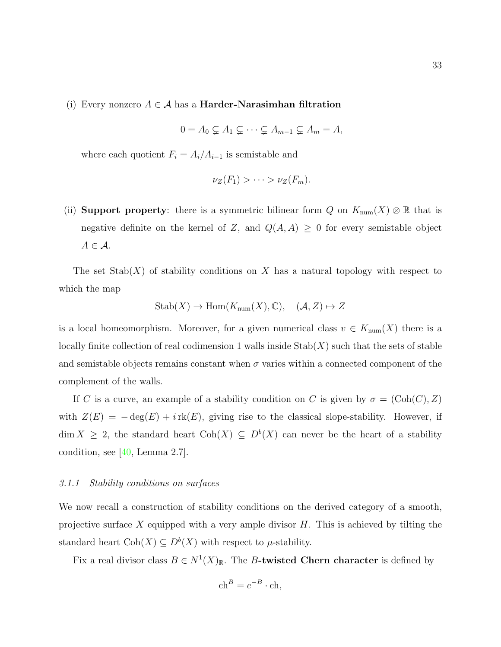(i) Every nonzero  $A \in \mathcal{A}$  has a **Harder-Narasimhan filtration** 

$$
0 = A_0 \subsetneq A_1 \subsetneq \cdots \subsetneq A_{m-1} \subsetneq A_m = A,
$$

where each quotient  $F_i = A_i/A_{i-1}$  is semistable and

$$
\nu_Z(F_1) > \cdots > \nu_Z(F_m).
$$

(ii) Support property: there is a symmetric bilinear form Q on  $K_{\text{num}}(X) \otimes \mathbb{R}$  that is negative definite on the kernel of Z, and  $Q(A, A) \geq 0$  for every semistable object  $A \in \mathcal{A}$ .

The set  $\text{Stab}(X)$  of stability conditions on X has a natural topology with respect to which the map

$$
Stab(X) \to Hom(K_{num}(X), \mathbb{C}), \quad (\mathcal{A}, Z) \mapsto Z
$$

is a local homeomorphism. Moreover, for a given numerical class  $v \in K_{\text{num}}(X)$  there is a locally finite collection of real codimension 1 walls inside  $\text{Stab}(X)$  such that the sets of stable and semistable objects remains constant when  $\sigma$  varies within a connected component of the complement of the walls.

If C is a curve, an example of a stability condition on C is given by  $\sigma = (\text{Coh}(C), Z)$ with  $Z(E) = -\deg(E) + i \text{rk}(E)$ , giving rise to the classical slope-stability. However, if  $\dim X \geq 2$ , the standard heart  $\text{Coh}(X) \subseteq D^b(X)$  can never be the heart of a stability condition, see  $[40, \text{Lemma } 2.7]$ .

#### <span id="page-40-0"></span>3.1.1 Stability conditions on surfaces

We now recall a construction of stability conditions on the derived category of a smooth, projective surface X equipped with a very ample divisor  $H$ . This is achieved by tilting the standard heart  $\text{Coh}(X) \subseteq D^b(X)$  with respect to  $\mu$ -stability.

Fix a real divisor class  $B \in N^1(X)_{\mathbb{R}}$ . The B-twisted Chern character is defined by

$$
ch^B = e^{-B} \cdot ch,
$$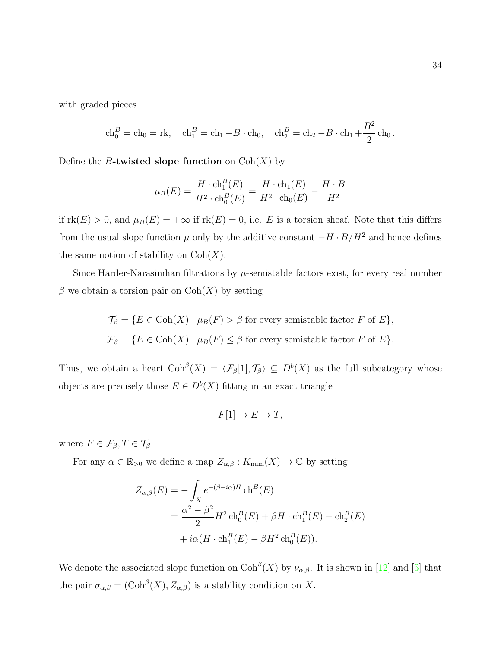with graded pieces

$$
ch_0^B = ch_0 = \text{rk}
$$
,  $ch_1^B = ch_1 - B \cdot ch_0$ ,  $ch_2^B = ch_2 - B \cdot ch_1 + \frac{B^2}{2} ch_0$ .

Define the B-twisted slope function on  $Coh(X)$  by

$$
\mu_B(E) = \frac{H \cdot \mathrm{ch}_1^B(E)}{H^2 \cdot \mathrm{ch}_0^B(E)} = \frac{H \cdot \mathrm{ch}_1(E)}{H^2 \cdot \mathrm{ch}_0(E)} - \frac{H \cdot B}{H^2}
$$

if  $rk(E) > 0$ , and  $\mu_B(E) = +\infty$  if  $rk(E) = 0$ , i.e. E is a torsion sheaf. Note that this differs from the usual slope function  $\mu$  only by the additive constant  $-H \cdot B/H^2$  and hence defines the same notion of stability on  $Coh(X)$ .

Since Harder-Narasimhan filtrations by  $\mu$ -semistable factors exist, for every real number  $\beta$  we obtain a torsion pair on  $\text{Coh}(X)$  by setting

$$
\mathcal{T}_{\beta} = \{ E \in \text{Coh}(X) \mid \mu_B(F) > \beta \text{ for every semistable factor } F \text{ of } E \},
$$
  

$$
\mathcal{F}_{\beta} = \{ E \in \text{Coh}(X) \mid \mu_B(F) \le \beta \text{ for every semistable factor } F \text{ of } E \}.
$$

Thus, we obtain a heart  $\mathrm{Coh}^{\beta}(X) = \langle \mathcal{F}_{\beta}[1], \mathcal{T}_{\beta} \rangle \subseteq D^{b}(X)$  as the full subcategory whose objects are precisely those  $E \in D^b(X)$  fitting in an exact triangle

$$
F[1] \to E \to T,
$$

where  $F \in \mathcal{F}_{\beta}, T \in \mathcal{T}_{\beta}$ .

For any  $\alpha \in \mathbb{R}_{>0}$  we define a map  $Z_{\alpha,\beta}: K_{\text{num}}(X) \to \mathbb{C}$  by setting

$$
Z_{\alpha,\beta}(E) = -\int_X e^{-(\beta + i\alpha)H} \operatorname{ch}^B(E)
$$
  
= 
$$
\frac{\alpha^2 - \beta^2}{2} H^2 \operatorname{ch}_0^B(E) + \beta H \cdot \operatorname{ch}_1^B(E) - \operatorname{ch}_2^B(E)
$$
  
+ 
$$
i\alpha(H \cdot \operatorname{ch}_1^B(E) - \beta H^2 \operatorname{ch}_0^B(E)).
$$

We denote the associated slope function on  $\mathrm{Coh}^{\beta}(X)$  by  $\nu_{\alpha,\beta}$ . It is shown in [\[12\]](#page-107-0) and [\[5\]](#page-107-1) that the pair  $\sigma_{\alpha,\beta} = (\mathrm{Coh}^{\beta}(X), Z_{\alpha,\beta})$  is a stability condition on X.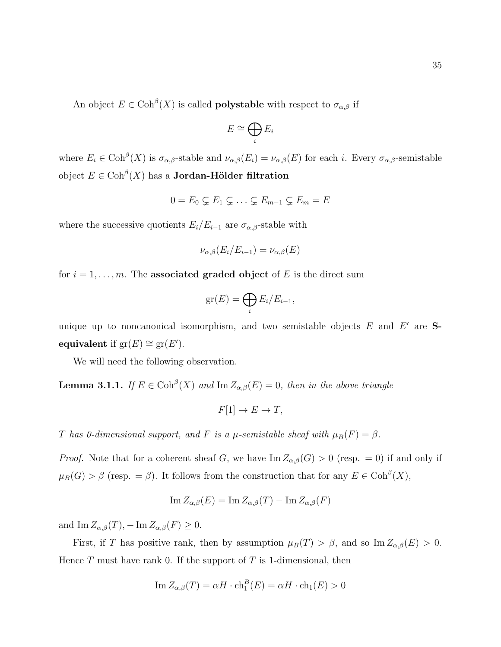An object  $E \in \mathrm{Coh}^{\beta}(X)$  is called **polystable** with respect to  $\sigma_{\alpha,\beta}$  if

$$
E\cong\bigoplus_i E_i
$$

where  $E_i \in \text{Coh}^{\beta}(X)$  is  $\sigma_{\alpha,\beta}$ -stable and  $\nu_{\alpha,\beta}(E_i) = \nu_{\alpha,\beta}(E)$  for each *i*. Every  $\sigma_{\alpha,\beta}$ -semistable object  $E \in \mathrm{Coh}^{\beta}(X)$  has a **Jordan-Hölder filtration** 

$$
0 = E_0 \subsetneq E_1 \subsetneq \ldots \subsetneq E_{m-1} \subsetneq E_m = E
$$

where the successive quotients  $E_i/E_{i-1}$  are  $\sigma_{\alpha,\beta}$ -stable with

$$
\nu_{\alpha,\beta}(E_i/E_{i-1}) = \nu_{\alpha,\beta}(E)
$$

for  $i = 1, \ldots, m$ . The **associated graded object** of E is the direct sum

$$
\operatorname{gr}(E) = \bigoplus_i E_i/E_{i-1},
$$

unique up to noncanonical isomorphism, and two semistable objects  $E$  and  $E'$  are Sequivalent if  $gr(E) \cong gr(E')$ .

We will need the following observation.

<span id="page-42-0"></span>**Lemma 3.1.1.** If  $E \in \text{Coh}^{\beta}(X)$  and  $\text{Im } Z_{\alpha,\beta}(E) = 0$ , then in the above triangle

$$
F[1] \to E \to T,
$$

T has 0-dimensional support, and F is a  $\mu$ -semistable sheaf with  $\mu_B(F) = \beta$ .

*Proof.* Note that for a coherent sheaf G, we have  $\text{Im } Z_{\alpha,\beta}(G) > 0$  (resp. = 0) if and only if  $\mu_B(G) > \beta$  (resp. =  $\beta$ ). It follows from the construction that for any  $E \in \mathrm{Coh}^{\beta}(X)$ ,

$$
\operatorname{Im} Z_{\alpha,\beta}(E) = \operatorname{Im} Z_{\alpha,\beta}(T) - \operatorname{Im} Z_{\alpha,\beta}(F)
$$

and  $\text{Im } Z_{\alpha,\beta}(T), - \text{Im } Z_{\alpha,\beta}(F) \geq 0.$ 

First, if T has positive rank, then by assumption  $\mu_B(T) > \beta$ , and so Im  $Z_{\alpha,\beta}(E) > 0$ . Hence  $T$  must have rank 0. If the support of  $T$  is 1-dimensional, then

$$
\operatorname{Im} Z_{\alpha,\beta}(T) = \alpha H \cdot \operatorname{ch}_1^B(E) = \alpha H \cdot \operatorname{ch}_1(E) > 0
$$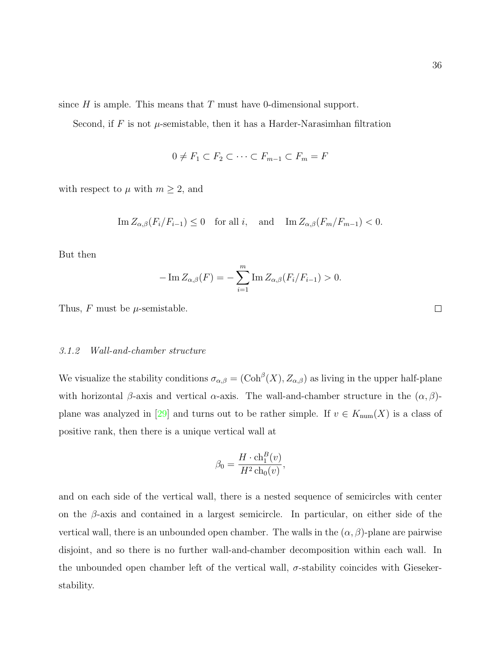since  $H$  is ample. This means that  $T$  must have 0-dimensional support.

Second, if F is not  $\mu$ -semistable, then it has a Harder-Narasimhan filtration

$$
0 \neq F_1 \subset F_2 \subset \cdots \subset F_{m-1} \subset F_m = F
$$

with respect to  $\mu$  with  $m \geq 2$ , and

$$
\operatorname{Im} Z_{\alpha,\beta}(F_i/F_{i-1}) \le 0
$$
 for all  $i$ , and  $\operatorname{Im} Z_{\alpha,\beta}(F_m/F_{m-1}) < 0$ .

But then

$$
-\operatorname{Im} Z_{\alpha,\beta}(F) = -\sum_{i=1}^{m} \operatorname{Im} Z_{\alpha,\beta}(F_i/F_{i-1}) > 0.
$$

Thus,  $F$  must be  $\mu$ -semistable.

#### <span id="page-43-0"></span>3.1.2 Wall-and-chamber structure

We visualize the stability conditions  $\sigma_{\alpha,\beta} = (\text{Coh}^{\beta}(X), Z_{\alpha,\beta})$  as living in the upper half-plane with horizontal  $\beta$ -axis and vertical  $\alpha$ -axis. The wall-and-chamber structure in the  $(\alpha, \beta)$ -plane was analyzed in [\[29\]](#page-109-2) and turns out to be rather simple. If  $v \in K_{\text{num}}(X)$  is a class of positive rank, then there is a unique vertical wall at

$$
\beta_0 = \frac{H \cdot \text{ch}_1^B(v)}{H^2 \text{ch}_0(v)},
$$

and on each side of the vertical wall, there is a nested sequence of semicircles with center on the  $\beta$ -axis and contained in a largest semicircle. In particular, on either side of the vertical wall, there is an unbounded open chamber. The walls in the  $(\alpha, \beta)$ -plane are pairwise disjoint, and so there is no further wall-and-chamber decomposition within each wall. In the unbounded open chamber left of the vertical wall,  $\sigma$ -stability coincides with Giesekerstability.

 $\Box$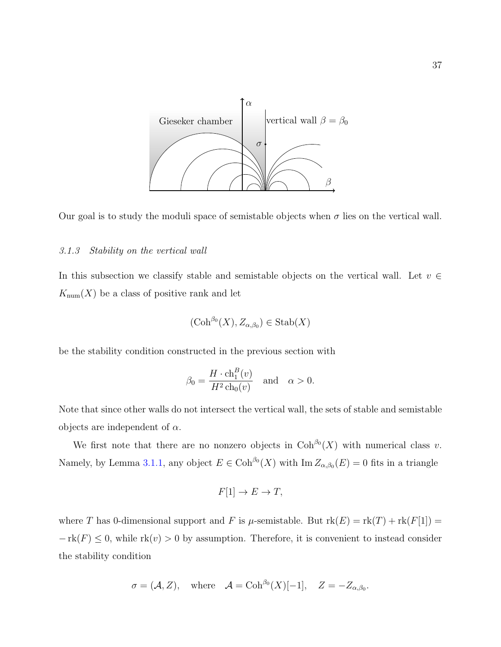



#### <span id="page-44-0"></span>3.1.3 Stability on the vertical wall

In this subsection we classify stable and semistable objects on the vertical wall. Let  $v \in$  $K_{\text{num}}(X)$  be a class of positive rank and let

$$
(\mathrm{Coh}^{\beta_0}(X), Z_{\alpha,\beta_0}) \in \mathrm{Stab}(X)
$$

be the stability condition constructed in the previous section with

$$
\beta_0 = \frac{H \cdot \mathrm{ch}_1^B(v)}{H^2 \mathrm{ch}_0(v)} \quad \text{and} \quad \alpha > 0.
$$

Note that since other walls do not intersect the vertical wall, the sets of stable and semistable objects are independent of  $\alpha$ .

We first note that there are no nonzero objects in  $\mathrm{Coh}^{\beta_0}(X)$  with numerical class v. Namely, by Lemma [3.1.1,](#page-42-0) any object  $E \in \mathrm{Coh}^{\beta_0}(X)$  with  $\mathrm{Im} Z_{\alpha,\beta_0}(E) = 0$  fits in a triangle

$$
F[1] \to E \to T,
$$

where T has 0-dimensional support and F is  $\mu$ -semistable. But  $rk(E) = rk(T) + rk(F[1]) =$  $-\text{rk}(F) \leq 0$ , while  $\text{rk}(v) > 0$  by assumption. Therefore, it is convenient to instead consider the stability condition

$$
\sigma = (\mathcal{A}, Z)
$$
, where  $\mathcal{A} = \text{Coh}^{\beta_0}(X)[-1], \quad Z = -Z_{\alpha, \beta_0}$ .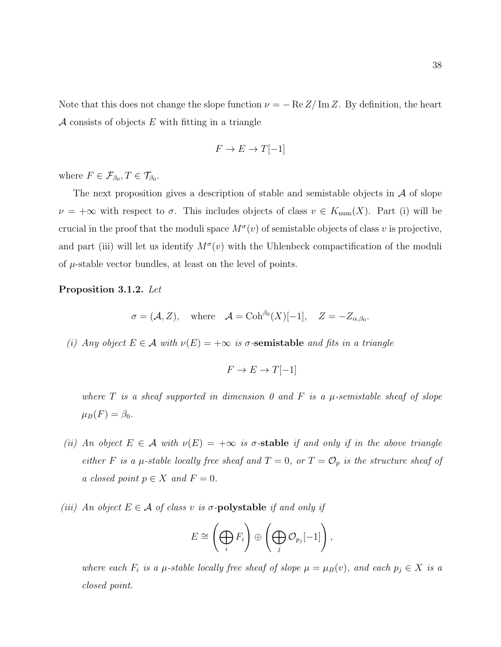Note that this does not change the slope function  $\nu = -\operatorname{Re} Z/\operatorname{Im} Z$ . By definition, the heart A consists of objects  $E$  with fitting in a triangle

$$
F \to E \to T[-1]
$$

where  $F \in \mathcal{F}_{\beta_0}, T \in \mathcal{T}_{\beta_0}$ .

The next proposition gives a description of stable and semistable objects in  $\mathcal A$  of slope  $\nu = +\infty$  with respect to  $\sigma$ . This includes objects of class  $v \in K_{\text{num}}(X)$ . Part (i) will be crucial in the proof that the moduli space  $M^{\sigma}(v)$  of semistable objects of class v is projective, and part (iii) will let us identify  $M^{\sigma}(v)$  with the Uhlenbeck compactification of the moduli of  $\mu$ -stable vector bundles, at least on the level of points.

#### <span id="page-45-0"></span>Proposition 3.1.2. Let

$$
\sigma = (\mathcal{A}, Z)
$$
, where  $\mathcal{A} = \text{Coh}^{\beta_0}(X)[-1], \quad Z = -Z_{\alpha, \beta_0}.$ 

(i) Any object  $E \in \mathcal{A}$  with  $\nu(E) = +\infty$  is  $\sigma$ -semistable and fits in a triangle

$$
F \to E \to T[-1]
$$

where  $T$  is a sheaf supported in dimension 0 and  $F$  is a  $\mu$ -semistable sheaf of slope  $\mu_B(F) = \beta_0.$ 

- (ii) An object  $E \in \mathcal{A}$  with  $\nu(E) = +\infty$  is  $\sigma$ -stable if and only if in the above triangle either F is a  $\mu$ -stable locally free sheaf and  $T = 0$ , or  $T = \mathcal{O}_p$  is the structure sheaf of a closed point  $p \in X$  and  $F = 0$ .
- (iii) An object  $E \in \mathcal{A}$  of class v is  $\sigma$ -polystable if and only if

$$
E \cong \left(\bigoplus_i F_i\right) \oplus \left(\bigoplus_j \mathcal{O}_{p_j}[-1]\right),\,
$$

where each  $F_i$  is a  $\mu$ -stable locally free sheaf of slope  $\mu = \mu_B(v)$ , and each  $p_j \in X$  is a closed point.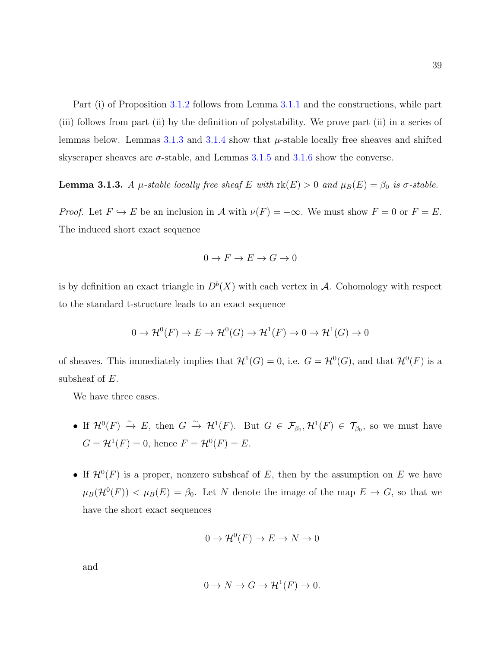39

Part (i) of Proposition [3.1.2](#page-45-0) follows from Lemma [3.1.1](#page-42-0) and the constructions, while part (iii) follows from part (ii) by the definition of polystability. We prove part (ii) in a series of lemmas below. Lemmas  $3.1.3$  and  $3.1.4$  show that  $\mu$ -stable locally free sheaves and shifted skyscraper sheaves are  $\sigma$ -stable, and Lemmas [3.1.5](#page-48-1) and [3.1.6](#page-49-0) show the converse.

<span id="page-46-0"></span>**Lemma 3.1.3.** A  $\mu$ -stable locally free sheaf E with  $\text{rk}(E) > 0$  and  $\mu_B(E) = \beta_0$  is  $\sigma$ -stable.

*Proof.* Let  $F \hookrightarrow E$  be an inclusion in A with  $\nu(F) = +\infty$ . We must show  $F = 0$  or  $F = E$ . The induced short exact sequence

$$
0 \to F \to E \to G \to 0
$$

is by definition an exact triangle in  $D^b(X)$  with each vertex in A. Cohomology with respect to the standard t-structure leads to an exact sequence

$$
0 \to \mathcal{H}^0(F) \to E \to \mathcal{H}^0(G) \to \mathcal{H}^1(F) \to 0 \to \mathcal{H}^1(G) \to 0
$$

of sheaves. This immediately implies that  $\mathcal{H}^1(G) = 0$ , i.e.  $G = \mathcal{H}^0(G)$ , and that  $\mathcal{H}^0(F)$  is a subsheaf of  $E$ .

We have three cases.

- If  $\mathcal{H}^0(F) \stackrel{\sim}{\to} E$ , then  $G \stackrel{\sim}{\to} \mathcal{H}^1(F)$ . But  $G \in \mathcal{F}_{\beta_0}, \mathcal{H}^1(F) \in \mathcal{T}_{\beta_0}$ , so we must have  $G = \mathcal{H}^1(F) = 0$ , hence  $F = \mathcal{H}^0(F) = E$ .
- If  $\mathcal{H}^0(F)$  is a proper, nonzero subsheaf of E, then by the assumption on E we have  $\mu_B(\mathcal{H}^0(F)) < \mu_B(E) = \beta_0$ . Let N denote the image of the map  $E \to G$ , so that we have the short exact sequences

$$
0 \to \mathcal{H}^0(F) \to E \to N \to 0
$$

and

$$
0 \to N \to G \to \mathcal{H}^1(F) \to 0.
$$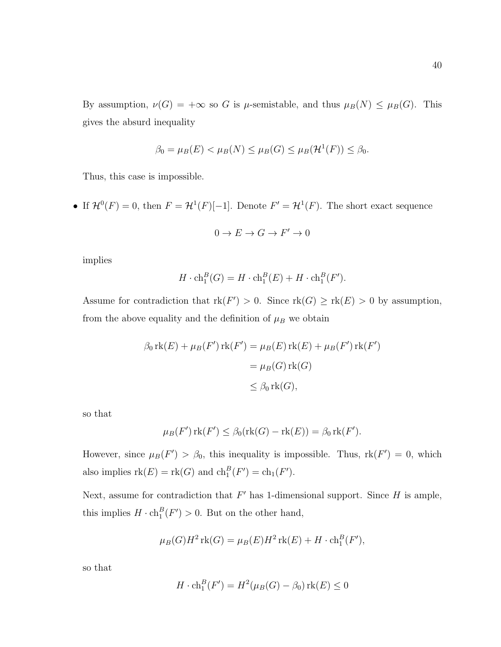By assumption,  $\nu(G) = +\infty$  so G is  $\mu$ -semistable, and thus  $\mu_B(N) \leq \mu_B(G)$ . This gives the absurd inequality

$$
\beta_0 = \mu_B(E) < \mu_B(N) \leq \mu_B(G) \leq \mu_B(\mathcal{H}^1(F)) \leq \beta_0.
$$

Thus, this case is impossible.

• If  $\mathcal{H}^0(F) = 0$ , then  $F = \mathcal{H}^1(F)[-1]$ . Denote  $F' = \mathcal{H}^1(F)$ . The short exact sequence

$$
0 \to E \to G \to F' \to 0
$$

implies

$$
H \cdot \operatorname{ch}_1^B(G) = H \cdot \operatorname{ch}_1^B(E) + H \cdot \operatorname{ch}_1^B(F').
$$

Assume for contradiction that  $rk(F') > 0$ . Since  $rk(G) \geq rk(E) > 0$  by assumption, from the above equality and the definition of  $\mu_B$  we obtain

$$
\beta_0 \operatorname{rk}(E) + \mu_B(F') \operatorname{rk}(F') = \mu_B(E) \operatorname{rk}(E) + \mu_B(F') \operatorname{rk}(F')
$$
  
= 
$$
\mu_B(G) \operatorname{rk}(G)
$$
  

$$
\leq \beta_0 \operatorname{rk}(G),
$$

so that

$$
\mu_B(F')\operatorname{rk}(F') \le \beta_0(\operatorname{rk}(G) - \operatorname{rk}(E)) = \beta_0 \operatorname{rk}(F').
$$

However, since  $\mu_B(F') > \beta_0$ , this inequality is impossible. Thus,  $rk(F') = 0$ , which also implies  $\text{rk}(E) = \text{rk}(G)$  and  $\text{ch}_1^B(F') = \text{ch}_1(F')$ .

Next, assume for contradiction that  $F'$  has 1-dimensional support. Since  $H$  is ample, this implies  $H \cdot \text{ch}^B_1(F') > 0$ . But on the other hand,

$$
\mu_B(G)H^2\operatorname{rk}(G) = \mu_B(E)H^2\operatorname{rk}(E) + H \cdot \operatorname{ch}_1^B(F'),
$$

so that

$$
H \cdot \mathrm{ch}_1^B(F') = H^2(\mu_B(G) - \beta_0) \mathrm{rk}(E) \le 0
$$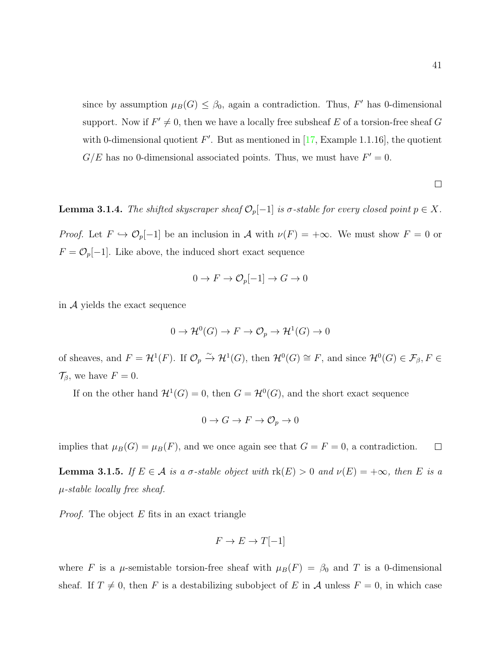since by assumption  $\mu_B(G) \leq \beta_0$ , again a contradiction. Thus, F' has 0-dimensional support. Now if  $F' \neq 0$ , then we have a locally free subsheaf E of a torsion-free sheaf G with 0-dimensional quotient  $F'$ . But as mentioned in [\[17,](#page-108-0) Example 1.1.16], the quotient  $G/E$  has no 0-dimensional associated points. Thus, we must have  $F' = 0$ .

<span id="page-48-0"></span>**Lemma 3.1.4.** The shifted skyscraper sheaf  $\mathcal{O}_p[-1]$  is  $\sigma$ -stable for every closed point  $p \in X$ .

*Proof.* Let  $F \hookrightarrow \mathcal{O}_p[-1]$  be an inclusion in A with  $\nu(F) = +\infty$ . We must show  $F = 0$  or  $F = \mathcal{O}_p[-1]$ . Like above, the induced short exact sequence

$$
0 \to F \to \mathcal{O}_p[-1] \to G \to 0
$$

in  $\mathcal A$  yields the exact sequence

$$
0 \to \mathcal{H}^0(G) \to F \to \mathcal{O}_p \to \mathcal{H}^1(G) \to 0
$$

of sheaves, and  $F = H^1(F)$ . If  $\mathcal{O}_p \overset{\sim}{\to} H^1(G)$ , then  $H^0(G) \cong F$ , and since  $H^0(G) \in \mathcal{F}_{\beta}, F \in$  $\mathcal{T}_{\beta}$ , we have  $F = 0$ .

If on the other hand  $\mathcal{H}^1(G) = 0$ , then  $G = \mathcal{H}^0(G)$ , and the short exact sequence

$$
0 \to G \to F \to \mathcal{O}_p \to 0
$$

implies that  $\mu_B(G) = \mu_B(F)$ , and we once again see that  $G = F = 0$ , a contradiction.  $\Box$ 

<span id="page-48-1"></span>**Lemma 3.1.5.** If  $E \in \mathcal{A}$  is a  $\sigma$ -stable object with  $\text{rk}(E) > 0$  and  $\nu(E) = +\infty$ , then E is a  $\mu$ -stable locally free sheaf.

*Proof.* The object  $E$  fits in an exact triangle

$$
F \to E \to T[-1]
$$

where F is a  $\mu$ -semistable torsion-free sheaf with  $\mu_B(F) = \beta_0$  and T is a 0-dimensional sheaf. If  $T \neq 0$ , then F is a destabilizing subobject of E in A unless  $F = 0$ , in which case

 $\Box$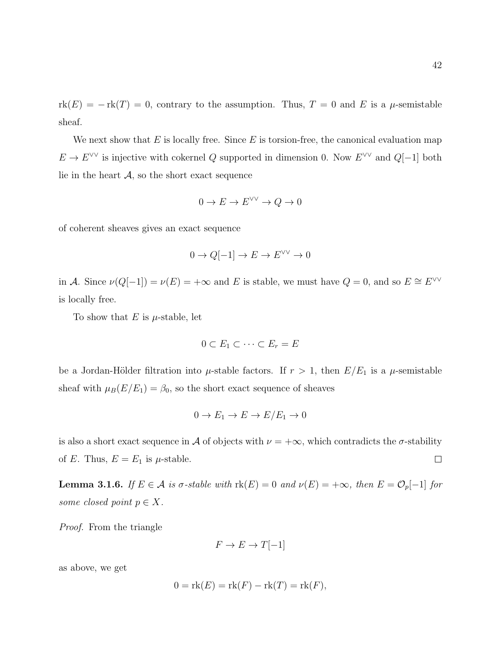42

 $rk(E) = -rk(T) = 0$ , contrary to the assumption. Thus,  $T = 0$  and E is a  $\mu$ -semistable sheaf.

We next show that  $E$  is locally free. Since  $E$  is torsion-free, the canonical evaluation map  $E \to E^{\vee \vee}$  is injective with cokernel Q supported in dimension 0. Now  $E^{\vee \vee}$  and  $Q[-1]$  both lie in the heart  $A$ , so the short exact sequence

$$
0 \to E \to E^{\vee\vee} \to Q \to 0
$$

of coherent sheaves gives an exact sequence

$$
0 \to Q[-1] \to E \to E^{\vee \vee} \to 0
$$

in A. Since  $\nu(Q[-1]) = \nu(E) = +\infty$  and E is stable, we must have  $Q = 0$ , and so  $E \cong E^{\vee\vee}$ is locally free.

To show that  $E$  is  $\mu$ -stable, let

$$
0 \subset E_1 \subset \cdots \subset E_r = E
$$

be a Jordan-Hölder filtration into  $\mu$ -stable factors. If  $r > 1$ , then  $E/E_1$  is a  $\mu$ -semistable sheaf with  $\mu_B(E/E_1) = \beta_0$ , so the short exact sequence of sheaves

$$
0 \to E_1 \to E \to E/E_1 \to 0
$$

is also a short exact sequence in A of objects with  $\nu = +\infty$ , which contradicts the  $\sigma$ -stability of E. Thus,  $E = E_1$  is  $\mu$ -stable.  $\Box$ 

<span id="page-49-0"></span>**Lemma 3.1.6.** If  $E \in \mathcal{A}$  is  $\sigma$ -stable with  $\text{rk}(E) = 0$  and  $\nu(E) = +\infty$ , then  $E = \mathcal{O}_p[-1]$  for some closed point  $p \in X$ .

Proof. From the triangle

$$
F \to E \to T[-1]
$$

as above, we get

$$
0 = \text{rk}(E) = \text{rk}(F) - \text{rk}(T) = \text{rk}(F),
$$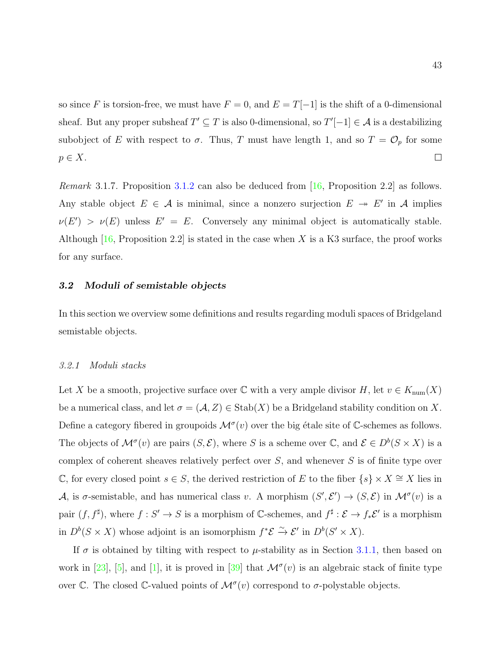so since F is torsion-free, we must have  $F = 0$ , and  $E = T[-1]$  is the shift of a 0-dimensional sheaf. But any proper subsheaf  $T' \subseteq T$  is also 0-dimensional, so  $T'[-1] \in \mathcal{A}$  is a destabilizing subobject of E with respect to  $\sigma$ . Thus, T must have length 1, and so  $T = \mathcal{O}_p$  for some  $p \in X$ .  $\Box$ 

*Remark* 3.1.7. Proposition [3.1.2](#page-45-0) can also be deduced from [\[16,](#page-108-1) Proposition 2.2] as follows. Any stable object  $E \in \mathcal{A}$  is minimal, since a nonzero surjection  $E \rightarrow E'$  in A implies  $\nu(E') > \nu(E)$  unless  $E' = E$ . Conversely any minimal object is automatically stable. Although  $[16,$  Proposition 2.2 is stated in the case when X is a K3 surface, the proof works for any surface.

#### <span id="page-50-0"></span>3.2 Moduli of semistable objects

In this section we overview some definitions and results regarding moduli spaces of Bridgeland semistable objects.

#### 3.2.1 Moduli stacks

Let X be a smooth, projective surface over  $\mathbb C$  with a very ample divisor H, let  $v \in K_{\text{num}}(X)$ be a numerical class, and let  $\sigma = (\mathcal{A}, Z) \in \text{Stab}(X)$  be a Bridgeland stability condition on X. Define a category fibered in groupoids  $\mathcal{M}^{\sigma}(v)$  over the big étale site of C-schemes as follows. The objects of  $\mathcal{M}^{\sigma}(v)$  are pairs  $(S,\mathcal{E})$ , where S is a scheme over  $\mathbb{C}$ , and  $\mathcal{E} \in D^{b}(S \times X)$  is a complex of coherent sheaves relatively perfect over  $S$ , and whenever  $S$  is of finite type over C, for every closed point  $s \in S$ , the derived restriction of E to the fiber  $\{s\} \times X \cong X$  lies in A, is  $\sigma$ -semistable, and has numerical class v. A morphism  $(S', \mathcal{E}') \to (S, \mathcal{E})$  in  $\mathcal{M}^{\sigma}(v)$  is a pair  $(f, f^{\sharp})$ , where  $f: S' \to S$  is a morphism of C-schemes, and  $f^{\sharp}: \mathcal{E} \to f_*\mathcal{E}'$  is a morphism in  $D^b(S \times X)$  whose adjoint is an isomorphism  $f^*{\mathcal{E}} \stackrel{\sim}{\to} {\mathcal{E}}'$  in  $D^b(S' \times X)$ .

If  $\sigma$  is obtained by tilting with respect to  $\mu$ -stability as in Section [3.1.1,](#page-40-0) then based on work in [\[23\]](#page-108-2), [\[5\]](#page-107-1), and [\[1\]](#page-107-2), it is proved in [\[39\]](#page-110-1) that  $\mathcal{M}^{\sigma}(v)$  is an algebraic stack of finite type over C. The closed C-valued points of  $\mathcal{M}^{\sigma}(v)$  correspond to  $\sigma$ -polystable objects.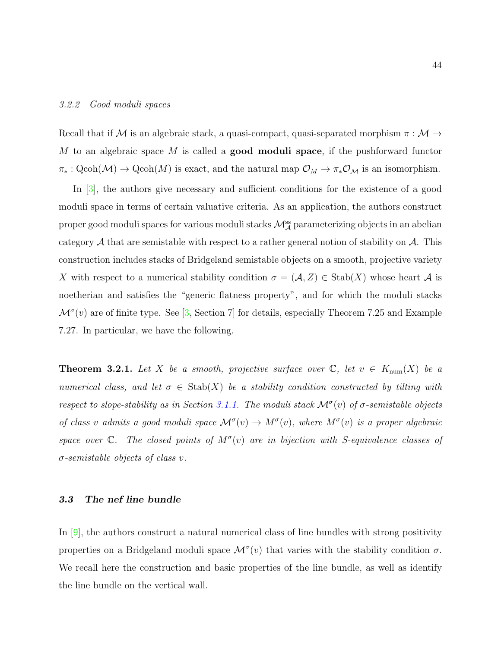#### 3.2.2 Good moduli spaces

Recall that if  ${\mathcal M}$  is an algebraic stack, a quasi-compact, quasi-separated morphism  $\pi : {\mathcal M} \to$ M to an algebraic space M is called a **good moduli space**, if the pushforward functor  $\pi_*: \text{Qcoh}(\mathcal{M}) \to \text{Qcoh}(M)$  is exact, and the natural map  $\mathcal{O}_M \to \pi_* \mathcal{O}_M$  is an isomorphism.

In [\[3\]](#page-107-3), the authors give necessary and sufficient conditions for the existence of a good moduli space in terms of certain valuative criteria. As an application, the authors construct proper good moduli spaces for various moduli stacks  $\mathcal{M}_{\mathcal{A}}^{\text{ss}}$  parameterizing objects in an abelian category  $A$  that are semistable with respect to a rather general notion of stability on  $A$ . This construction includes stacks of Bridgeland semistable objects on a smooth, projective variety X with respect to a numerical stability condition  $\sigma = (\mathcal{A}, Z) \in \text{Stab}(X)$  whose heart  $\mathcal A$  is noetherian and satisfies the "generic flatness property", and for which the moduli stacks  $\mathcal{M}^{\sigma}(v)$  are of finite type. See [\[3,](#page-107-3) Section 7] for details, especially Theorem 7.25 and Example 7.27. In particular, we have the following.

<span id="page-51-0"></span>**Theorem 3.2.1.** Let X be a smooth, projective surface over  $\mathbb{C}$ , let  $v \in K_{\text{num}}(X)$  be a numerical class, and let  $\sigma \in \text{Stab}(X)$  be a stability condition constructed by tilting with respect to slope-stability as in Section [3.1.1.](#page-40-0) The moduli stack  $\mathcal{M}^{\sigma}(v)$  of  $\sigma$ -semistable objects of class v admits a good moduli space  $\mathcal{M}^{\sigma}(v) \to M^{\sigma}(v)$ , where  $M^{\sigma}(v)$  is a proper algebraic space over  $\mathbb{C}$ . The closed points of  $M^{\sigma}(v)$  are in bijection with S-equivalence classes of  $\sigma$ -semistable objects of class v.

#### 3.3 The nef line bundle

In [\[9\]](#page-107-4), the authors construct a natural numerical class of line bundles with strong positivity properties on a Bridgeland moduli space  $\mathcal{M}^{\sigma}(v)$  that varies with the stability condition  $\sigma$ . We recall here the construction and basic properties of the line bundle, as well as identify the line bundle on the vertical wall.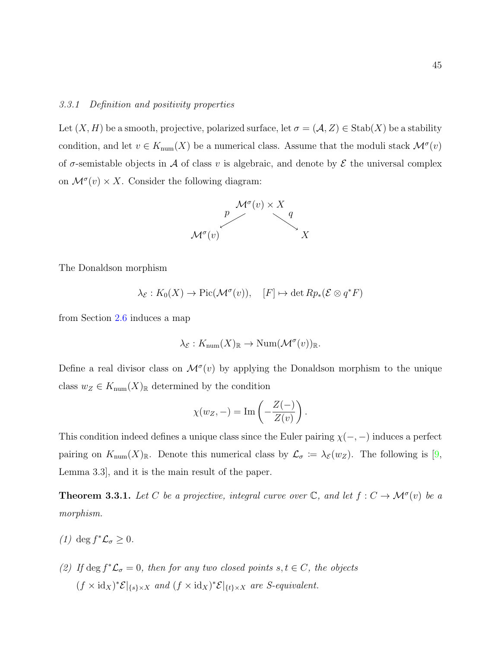#### <span id="page-52-1"></span>3.3.1 Definition and positivity properties

Let  $(X, H)$  be a smooth, projective, polarized surface, let  $\sigma = (\mathcal{A}, Z) \in \text{Stab}(X)$  be a stability condition, and let  $v \in K_{\text{num}}(X)$  be a numerical class. Assume that the moduli stack  $\mathcal{M}^{\sigma}(v)$ of  $\sigma$ -semistable objects in A of class v is algebraic, and denote by  $\mathcal E$  the universal complex on  $\mathcal{M}^{\sigma}(v) \times X$ . Consider the following diagram:



The Donaldson morphism

$$
\lambda_{\mathcal{E}} : K_0(X) \to \mathrm{Pic}(\mathcal{M}^\sigma(v)), \quad [F] \mapsto \det Rp_*(\mathcal{E} \otimes q^*F)
$$

from Section [2.6](#page-30-0) induces a map

$$
\lambda_{\mathcal{E}} : K_{\text{num}}(X)_{\mathbb{R}} \to \text{Num}(\mathcal{M}^{\sigma}(v))_{\mathbb{R}}.
$$

Define a real divisor class on  $\mathcal{M}^{\sigma}(v)$  by applying the Donaldson morphism to the unique class  $w_Z \in K_{\text{num}}(X)_{\mathbb{R}}$  determined by the condition

$$
\chi(w_Z, -) = \operatorname{Im} \left( -\frac{Z(-)}{Z(v)} \right).
$$

This condition indeed defines a unique class since the Euler pairing  $\chi(-, -)$  induces a perfect pairing on  $K_{\text{num}}(X)_{\mathbb{R}}$ . Denote this numerical class by  $\mathcal{L}_{\sigma} := \lambda_{\mathcal{E}}(w_Z)$ . The following is [\[9,](#page-107-4) Lemma 3.3], and it is the main result of the paper.

<span id="page-52-0"></span>**Theorem 3.3.1.** Let C be a projective, integral curve over  $\mathbb{C}$ , and let  $f: C \to \mathcal{M}^{\sigma}(v)$  be a morphism.

- (1) deg  $f^*\mathcal{L}_\sigma \geq 0$ .
- (2) If deg  $f^*\mathcal{L}_{\sigma} = 0$ , then for any two closed points  $s, t \in C$ , the objects  $(f \times id_X)^* \mathcal{E}|_{\{s\} \times X}$  and  $(f \times id_X)^* \mathcal{E}|_{\{t\} \times X}$  are *S*-equivalent.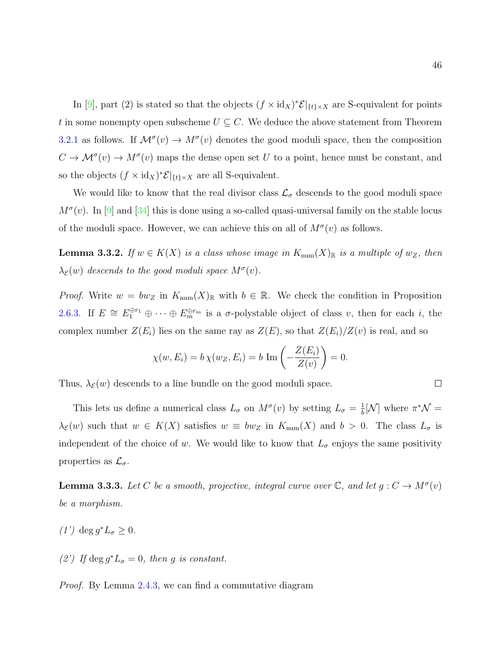In [\[9\]](#page-107-4), part (2) is stated so that the objects  $(f \times id_X)^* \mathcal{E}|_{\{t\} \times X}$  are S-equivalent for points t in some nonempty open subscheme  $U \subseteq C$ . We deduce the above statement from Theorem [3.2.1](#page-51-0) as follows. If  $\mathcal{M}^{\sigma}(v) \to \mathcal{M}^{\sigma}(v)$  denotes the good moduli space, then the composition  $C \to \mathcal{M}^{\sigma}(v) \to M^{\sigma}(v)$  maps the dense open set U to a point, hence must be constant, and so the objects  $(f \times id_X)^* \mathcal{E}|_{\{t\} \times X}$  are all S-equivalent.

We would like to know that the real divisor class  $\mathcal{L}_{\sigma}$  descends to the good moduli space  $M^{\sigma}(v)$ . In [\[9\]](#page-107-4) and [\[34\]](#page-109-3) this is done using a so-called quasi-universal family on the stable locus of the moduli space. However, we can achieve this on all of  $M^{\sigma}(v)$  as follows.

<span id="page-53-0"></span>**Lemma 3.3.2.** If  $w \in K(X)$  is a class whose image in  $K_{num}(X)_{\mathbb{R}}$  is a multiple of  $w_Z$ , then  $\lambda_{\mathcal{E}}(w)$  descends to the good moduli space  $M^{\sigma}(v)$ .

*Proof.* Write  $w = bw_Z$  in  $K_{num}(X)_{\mathbb{R}}$  with  $b \in \mathbb{R}$ . We check the condition in Proposition [2.6.3.](#page-35-0) If  $E \cong E_1^{\oplus r_1} \oplus \cdots \oplus E_m^{\oplus r_m}$  is a  $\sigma$ -polystable object of class v, then for each i, the complex number  $Z(E_i)$  lies on the same ray as  $Z(E)$ , so that  $Z(E_i)/Z(v)$  is real, and so

$$
\chi(w, E_i) = b \chi(w_Z, E_i) = b \operatorname{Im} \left( -\frac{Z(E_i)}{Z(v)} \right) = 0.
$$

Thus,  $\lambda_{\mathcal{E}}(w)$  descends to a line bundle on the good moduli space.

This lets us define a numerical class  $L_{\sigma}$  on  $M^{\sigma}(v)$  by setting  $L_{\sigma} = \frac{1}{b}$  $\frac{1}{b}$ [N] where  $\pi^* \mathcal{N} =$  $\lambda_{\mathcal{E}}(w)$  such that  $w \in K(X)$  satisfies  $w \equiv bw_{Z}$  in  $K_{\text{num}}(X)$  and  $b > 0$ . The class  $L_{\sigma}$  is independent of the choice of w. We would like to know that  $L_{\sigma}$  enjoys the same positivity properties as  $\mathcal{L}_{\sigma}$ .

<span id="page-53-1"></span>**Lemma 3.3.3.** Let C be a smooth, projective, integral curve over  $\mathbb{C}$ , and let  $g: C \to M^{\sigma}(v)$ be a morphism.

- (1') deg  $g^*L_{\sigma} \geq 0$ .
- (2') If deg  $g^*L_{\sigma} = 0$ , then g is constant.

Proof. By Lemma [2.4.3,](#page-26-0) we can find a commutative diagram

$$
\qquad \qquad \Box
$$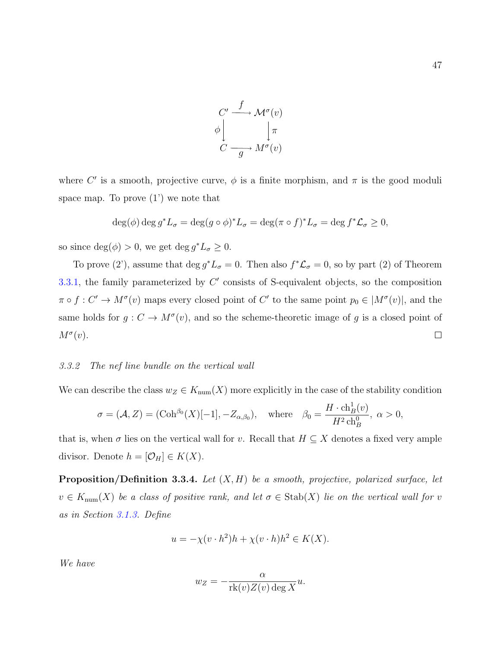

where C' is a smooth, projective curve,  $\phi$  is a finite morphism, and  $\pi$  is the good moduli space map. To prove  $(1')$  we note that

$$
\deg(\phi) \deg g^* L_{\sigma} = \deg(g \circ \phi)^* L_{\sigma} = \deg(\pi \circ f)^* L_{\sigma} = \deg f^* \mathcal{L}_{\sigma} \ge 0,
$$

so since  $deg(\phi) > 0$ , we get  $deg g^* L_{\sigma} \geq 0$ .

To prove (2'), assume that  $\deg g^*L_{\sigma} = 0$ . Then also  $f^*\mathcal{L}_{\sigma} = 0$ , so by part (2) of Theorem [3.3.1,](#page-52-0) the family parameterized by  $C'$  consists of S-equivalent objects, so the composition  $\pi \circ f : C' \to M^{\sigma}(v)$  maps every closed point of C' to the same point  $p_0 \in M^{\sigma}(v)$ , and the same holds for  $g: C \to M^{\sigma}(v)$ , and so the scheme-theoretic image of g is a closed point of  $M^{\sigma}(v)$ .  $\Box$ 

#### 3.3.2 The nef line bundle on the vertical wall

We can describe the class  $w_Z \in K_{num}(X)$  more explicitly in the case of the stability condition

$$
\sigma = (\mathcal{A}, Z) = (\mathrm{Coh}^{\beta_0}(X)[-1], -Z_{\alpha,\beta_0}), \quad \text{where} \quad \beta_0 = \frac{H \cdot \mathrm{ch}_B^1(v)}{H^2 \mathrm{ch}_B^0}, \ \alpha > 0,
$$

that is, when  $\sigma$  lies on the vertical wall for v. Recall that  $H \subseteq X$  denotes a fixed very ample divisor. Denote  $h = [\mathcal{O}_H] \in K(X)$ .

<span id="page-54-0"></span>**Proposition/Definition 3.3.4.** Let  $(X, H)$  be a smooth, projective, polarized surface, let  $v \in K_{\text{num}}(X)$  be a class of positive rank, and let  $\sigma \in \text{Stab}(X)$  lie on the vertical wall for v as in Section [3.1.3.](#page-44-0) Define

$$
u = -\chi(v \cdot h^2)h + \chi(v \cdot h)h^2 \in K(X).
$$

We have

$$
w_Z = -\frac{\alpha}{\text{rk}(v)Z(v)\deg X}u.
$$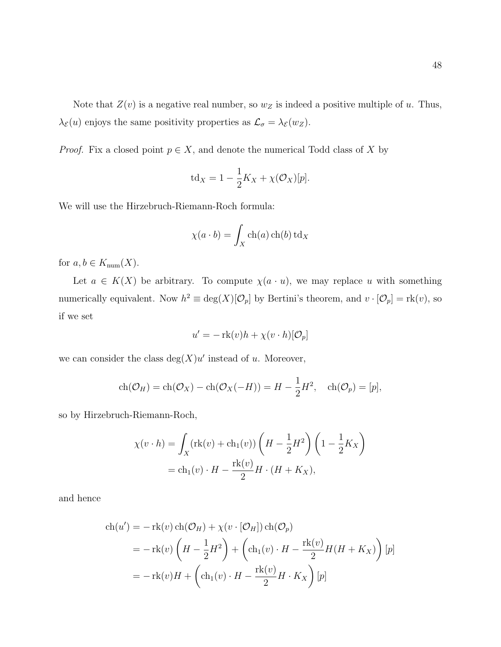Note that  $Z(v)$  is a negative real number, so  $w_Z$  is indeed a positive multiple of u. Thus,  $\lambda_{\mathcal{E}}(u)$  enjoys the same positivity properties as  $\mathcal{L}_{\sigma} = \lambda_{\mathcal{E}}(w_Z)$ .

*Proof.* Fix a closed point  $p \in X$ , and denote the numerical Todd class of X by

$$
td_X = 1 - \frac{1}{2}K_X + \chi(\mathcal{O}_X)[p].
$$

We will use the Hirzebruch-Riemann-Roch formula:

$$
\chi(a \cdot b) = \int_X \operatorname{ch}(a) \operatorname{ch}(b) \operatorname{td}_X
$$

for  $a, b \in K_{\text{num}}(X)$ .

Let  $a \in K(X)$  be arbitrary. To compute  $\chi(a \cdot u)$ , we may replace u with something numerically equivalent. Now  $h^2 \equiv \deg(X)[\mathcal{O}_p]$  by Bertini's theorem, and  $v \cdot [\mathcal{O}_p] = \text{rk}(v)$ , so if we set

$$
u' = -\mathrm{rk}(v)h + \chi(v \cdot h)[\mathcal{O}_p]
$$

we can consider the class  $deg(X)u'$  instead of u. Moreover,

$$
ch(\mathcal{O}_H) = ch(\mathcal{O}_X) - ch(\mathcal{O}_X(-H)) = H - \frac{1}{2}H^2, \quad ch(\mathcal{O}_p) = [p],
$$

so by Hirzebruch-Riemann-Roch,

$$
\chi(v \cdot h) = \int_X (\text{rk}(v) + \text{ch}_1(v)) \left( H - \frac{1}{2} H^2 \right) \left( 1 - \frac{1}{2} K_X \right)
$$

$$
= \text{ch}_1(v) \cdot H - \frac{\text{rk}(v)}{2} H \cdot (H + K_X),
$$

and hence

$$
ch(u') = -\mathrm{rk}(v) ch(\mathcal{O}_H) + \chi(v \cdot [\mathcal{O}_H]) ch(\mathcal{O}_p)
$$
  
=  $-\mathrm{rk}(v) \left( H - \frac{1}{2}H^2 \right) + \left( ch_1(v) \cdot H - \frac{\mathrm{rk}(v)}{2} H(H + K_X) \right) [p]$   
=  $-\mathrm{rk}(v)H + \left( ch_1(v) \cdot H - \frac{\mathrm{rk}(v)}{2} H \cdot K_X \right) [p]$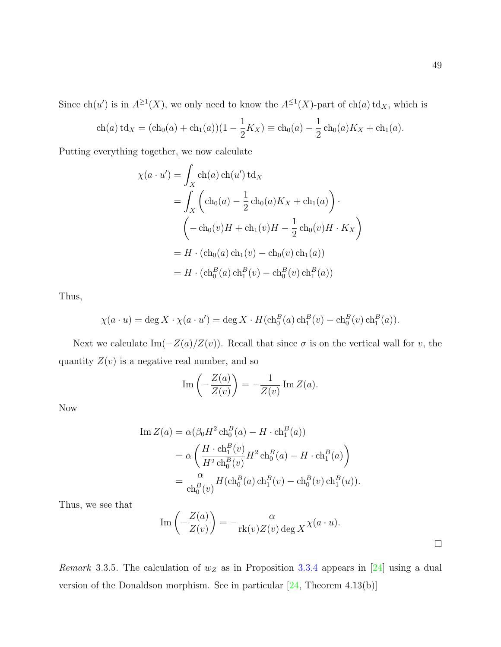Since  $ch(u')$  is in  $A^{\geq 1}(X)$ , we only need to know the  $A^{\leq 1}(X)$ -part of  $ch(a)$  td<sub>X</sub>, which is

$$
ch(a)td_X = (ch_0(a) + ch_1(a))(1 - \frac{1}{2}K_X) \equiv ch_0(a) - \frac{1}{2}ch_0(a)K_X + ch_1(a).
$$

Putting everything together, we now calculate

$$
\chi(a \cdot u') = \int_X \text{ch}(a) \text{ch}(u') \text{td}_X
$$
  
= 
$$
\int_X (\text{ch}_0(a) - \frac{1}{2} \text{ch}_0(a) K_X + \text{ch}_1(a)) \cdot
$$
  

$$
(-\text{ch}_0(v)H + \text{ch}_1(v)H - \frac{1}{2} \text{ch}_0(v)H \cdot K_X)
$$
  
= 
$$
H \cdot (\text{ch}_0(a) \text{ch}_1(v) - \text{ch}_0(v) \text{ch}_1(a))
$$
  
= 
$$
H \cdot (\text{ch}_0^B(a) \text{ch}_1^B(v) - \text{ch}_0^B(v) \text{ch}_1^B(a))
$$

Thus,

$$
\chi(a \cdot u) = \deg X \cdot \chi(a \cdot u') = \deg X \cdot H(\mathrm{ch}_0^B(a) \mathrm{ch}_1^B(v) - \mathrm{ch}_0^B(v) \mathrm{ch}_1^B(a)).
$$

Next we calculate Im( $-Z(a)/Z(v)$ ). Recall that since  $\sigma$  is on the vertical wall for v, the quantity  $Z(v)$  is a negative real number, and so

$$
\operatorname{Im}\left(-\frac{Z(a)}{Z(v)}\right) = -\frac{1}{Z(v)}\operatorname{Im} Z(a).
$$

Now

$$
\begin{split} \text{Im}\,Z(a) &= \alpha(\beta_0 H^2 \operatorname{ch}_0^B(a) - H \cdot \operatorname{ch}_1^B(a)) \\ &= \alpha \left( \frac{H \cdot \operatorname{ch}_1^B(v)}{H^2 \operatorname{ch}_0^B(v)} H^2 \operatorname{ch}_0^B(a) - H \cdot \operatorname{ch}_1^B(a) \right) \\ &= \frac{\alpha}{\operatorname{ch}_0^B(v)} H(\operatorname{ch}_0^B(a) \operatorname{ch}_1^B(v) - \operatorname{ch}_0^B(v) \operatorname{ch}_1^B(u)). \end{split}
$$

Thus, we see that

Im 
$$
\left(-\frac{Z(a)}{Z(v)}\right) = -\frac{\alpha}{\text{rk}(v)Z(v) \deg X} \chi(a \cdot u).
$$

Remark 3.3.5. The calculation of  $w_Z$  as in Proposition [3.3.4](#page-54-0) appears in [\[24\]](#page-108-3) using a dual version of the Donaldson morphism. See in particular [\[24,](#page-108-3) Theorem 4.13(b)]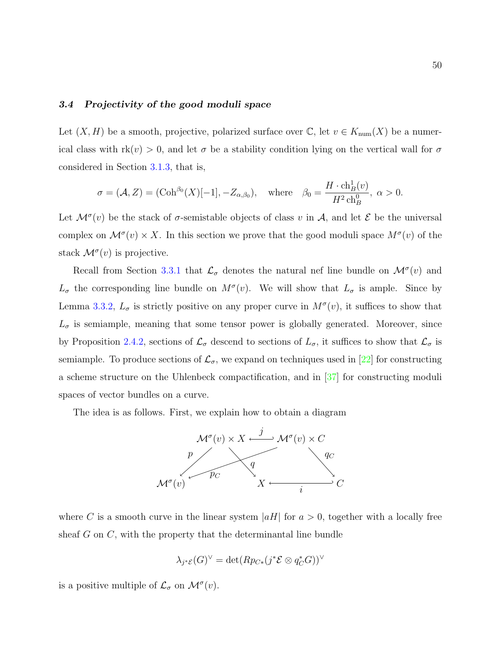#### 3.4 Projectivity of the good moduli space

Let  $(X, H)$  be a smooth, projective, polarized surface over  $\mathbb{C}$ , let  $v \in K_{\text{num}}(X)$  be a numerical class with  $rk(v) > 0$ , and let  $\sigma$  be a stability condition lying on the vertical wall for  $\sigma$ considered in Section [3.1.3,](#page-44-0) that is,

$$
\sigma = (\mathcal{A}, Z) = (\mathrm{Coh}^{\beta_0}(X)[-1], -Z_{\alpha,\beta_0}), \quad \text{where} \quad \beta_0 = \frac{H \cdot \mathrm{ch}_B^1(v)}{H^2 \mathrm{ch}_B^0}, \ \alpha > 0.
$$

Let  $\mathcal{M}^{\sigma}(v)$  be the stack of  $\sigma$ -semistable objects of class v in A, and let E be the universal complex on  $\mathcal{M}^{\sigma}(v) \times X$ . In this section we prove that the good moduli space  $M^{\sigma}(v)$  of the stack  $\mathcal{M}^{\sigma}(v)$  is projective.

Recall from Section [3.3.1](#page-52-1) that  $\mathcal{L}_{\sigma}$  denotes the natural nef line bundle on  $\mathcal{M}^{\sigma}(v)$  and  $L_{\sigma}$  the corresponding line bundle on  $M^{\sigma}(v)$ . We will show that  $L_{\sigma}$  is ample. Since by Lemma [3.3.2,](#page-53-0)  $L_{\sigma}$  is strictly positive on any proper curve in  $M^{\sigma}(v)$ , it suffices to show that  $L_{\sigma}$  is semiample, meaning that some tensor power is globally generated. Moreover, since by Proposition [2.4.2,](#page-25-0) sections of  $\mathcal{L}_{\sigma}$  descend to sections of  $L_{\sigma}$ , it suffices to show that  $\mathcal{L}_{\sigma}$  is semiample. To produce sections of  $\mathcal{L}_{\sigma}$ , we expand on techniques used in [\[22\]](#page-108-4) for constructing a scheme structure on the Uhlenbeck compactification, and in [\[37\]](#page-109-0) for constructing moduli spaces of vector bundles on a curve.

The idea is as follows. First, we explain how to obtain a diagram



where C is a smooth curve in the linear system  $|aH|$  for  $a > 0$ , together with a locally free sheaf  $G$  on  $C$ , with the property that the determinantal line bundle

$$
\lambda_{j^* \mathcal{E}}(G)^{\vee} = \det(Rp_{C*}(j^* \mathcal{E} \otimes q_C^* G))^{\vee}
$$

is a positive multiple of  $\mathcal{L}_{\sigma}$  on  $\mathcal{M}^{\sigma}(v)$ .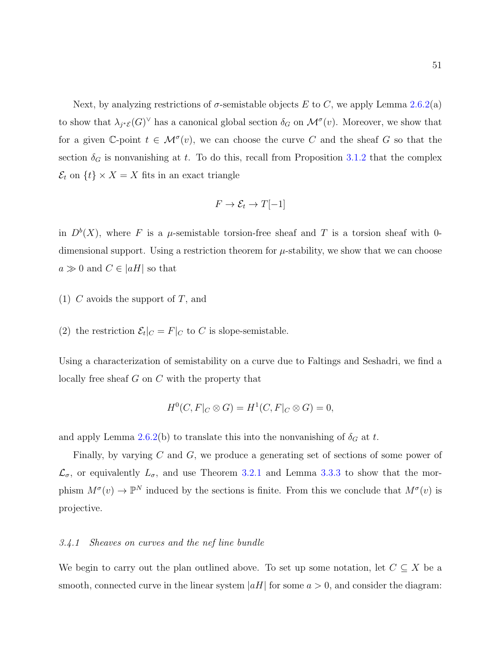Next, by analyzing restrictions of  $\sigma$ -semistable objects E to C, we apply Lemma [2.6.2\(](#page-33-0)a) to show that  $\lambda_{j^*\mathcal{E}}(G)^\vee$  has a canonical global section  $\delta_G$  on  $\mathcal{M}^\sigma(v)$ . Moreover, we show that for a given C-point  $t \in \mathcal{M}^{\sigma}(v)$ , we can choose the curve C and the sheaf G so that the section  $\delta_G$  is nonvanishing at t. To do this, recall from Proposition [3.1.2](#page-45-0) that the complex  $\mathcal{E}_t$  on  $\{t\} \times X = X$  fits in an exact triangle

$$
F \to \mathcal{E}_t \to T[-1]
$$

in  $D^b(X)$ , where F is a  $\mu$ -semistable torsion-free sheaf and T is a torsion sheaf with 0dimensional support. Using a restriction theorem for  $\mu$ -stability, we show that we can choose  $a \gg 0$  and  $C \in |aH|$  so that

- (1) C avoids the support of T, and
- (2) the restriction  $\mathcal{E}_t|_C = F|_C$  to C is slope-semistable.

Using a characterization of semistability on a curve due to Faltings and Seshadri, we find a locally free sheaf G on C with the property that

$$
H^0(C, F|_C \otimes G) = H^1(C, F|_C \otimes G) = 0,
$$

and apply Lemma [2.6.2\(](#page-33-0)b) to translate this into the nonvanishing of  $\delta_G$  at t.

Finally, by varying C and G, we produce a generating set of sections of some power of  $\mathcal{L}_{\sigma}$ , or equivalently  $L_{\sigma}$ , and use Theorem [3.2.1](#page-51-0) and Lemma [3.3.3](#page-53-1) to show that the morphism  $M^{\sigma}(v) \to \mathbb{P}^N$  induced by the sections is finite. From this we conclude that  $M^{\sigma}(v)$  is projective.

### 3.4.1 Sheaves on curves and the nef line bundle

We begin to carry out the plan outlined above. To set up some notation, let  $C \subseteq X$  be a smooth, connected curve in the linear system  $|aH|$  for some  $a > 0$ , and consider the diagram: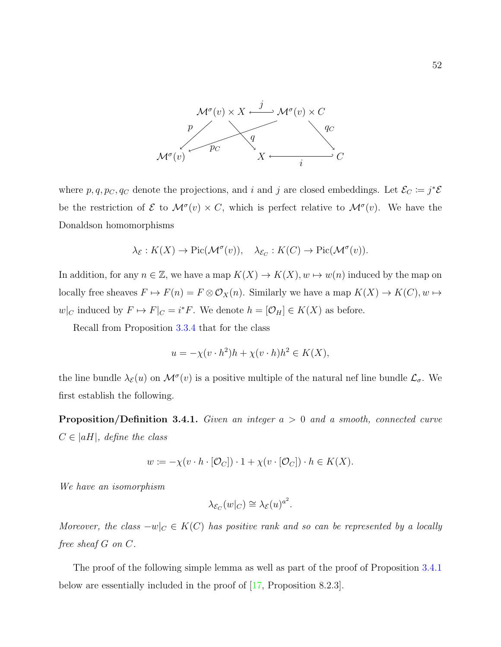

where  $p, q, p_C, q_C$  denote the projections, and i and j are closed embeddings. Let  $\mathcal{E}_C := j^* \mathcal{E}$ be the restriction of  $\mathcal E$  to  $\mathcal M^{\sigma}(v) \times C$ , which is perfect relative to  $\mathcal M^{\sigma}(v)$ . We have the Donaldson homomorphisms

$$
\lambda_{\mathcal{E}} : K(X) \to \mathrm{Pic}(\mathcal{M}^{\sigma}(v)), \quad \lambda_{\mathcal{E}_C} : K(C) \to \mathrm{Pic}(\mathcal{M}^{\sigma}(v)).
$$

In addition, for any  $n \in \mathbb{Z}$ , we have a map  $K(X) \to K(X)$ ,  $w \mapsto w(n)$  induced by the map on locally free sheaves  $F \mapsto F(n) = F \otimes \mathcal{O}_X(n)$ . Similarly we have a map  $K(X) \to K(C)$ ,  $w \mapsto$  $w|_C$  induced by  $F \mapsto F|_C = i^*F$ . We denote  $h = [\mathcal{O}_H] \in K(X)$  as before.

Recall from Proposition [3.3.4](#page-54-0) that for the class

$$
u = -\chi(v \cdot h^2)h + \chi(v \cdot h)h^2 \in K(X),
$$

the line bundle  $\lambda_{\mathcal{E}}(u)$  on  $\mathcal{M}^{\sigma}(v)$  is a positive multiple of the natural nef line bundle  $\mathcal{L}_{\sigma}$ . We first establish the following.

<span id="page-59-0"></span>**Proposition/Definition 3.4.1.** Given an integer  $a > 0$  and a smooth, connected curve  $C \in |aH|$ , define the class

$$
w := -\chi(v \cdot h \cdot [\mathcal{O}_C]) \cdot 1 + \chi(v \cdot [\mathcal{O}_C]) \cdot h \in K(X).
$$

We have an isomorphism

$$
\lambda_{\mathcal{E}_C}(w|_C) \cong \lambda_{\mathcal{E}}(u)^{a^2}.
$$

Moreover, the class  $-w|_{C} \in K(C)$  has positive rank and so can be represented by a locally free sheaf G on C.

The proof of the following simple lemma as well as part of the proof of Proposition [3.4.1](#page-59-0) below are essentially included in the proof of [\[17,](#page-108-0) Proposition 8.2.3].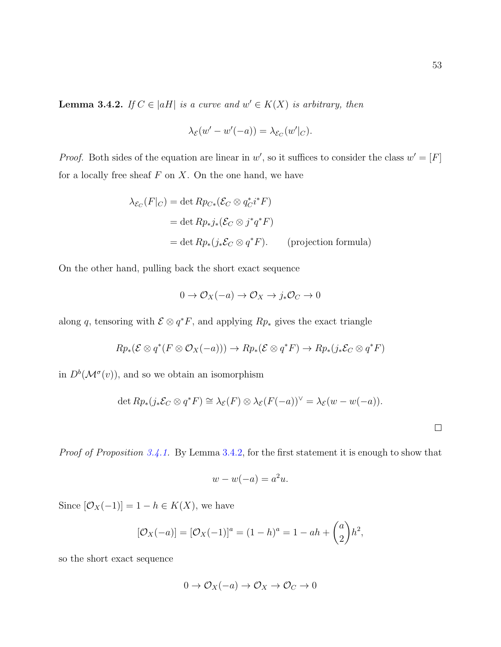<span id="page-60-0"></span>**Lemma 3.4.2.** If  $C \in |aH|$  is a curve and  $w' \in K(X)$  is arbitrary, then

$$
\lambda_{\mathcal{E}}(w'-w'(-a)) = \lambda_{\mathcal{E}_C}(w'|_C).
$$

*Proof.* Both sides of the equation are linear in w', so it suffices to consider the class  $w' = [F]$ for a locally free sheaf  $F$  on  $X$ . On the one hand, we have

$$
\lambda_{\mathcal{E}_C}(F|_C) = \det R p_{C*} (\mathcal{E}_C \otimes q_C^* i^* F)
$$
  
= 
$$
\det R p_* j_* (\mathcal{E}_C \otimes j^* q^* F)
$$
  
= 
$$
\det R p_* (j_* \mathcal{E}_C \otimes q^* F).
$$
 (projection formula)

On the other hand, pulling back the short exact sequence

$$
0 \to \mathcal{O}_X(-a) \to \mathcal{O}_X \to j_*\mathcal{O}_C \to 0
$$

along q, tensoring with  $\mathcal{E} \otimes q^*F$ , and applying  $Rp_*$  gives the exact triangle

$$
Rp_*(\mathcal{E} \otimes q^*(F \otimes \mathcal{O}_X(-a))) \to Rp_*(\mathcal{E} \otimes q^*F) \to Rp_*(j_*\mathcal{E}_C \otimes q^*F)
$$

in  $D^b(\mathcal{M}^\sigma(v))$ , and so we obtain an isomorphism

$$
\det Rp_*(j_*\mathcal{E}_C \otimes q^*F) \cong \lambda_{\mathcal{E}}(F) \otimes \lambda_{\mathcal{E}}(F(-a))^{\vee} = \lambda_{\mathcal{E}}(w - w(-a)).
$$

Proof of Proposition [3.4.1.](#page-59-0) By Lemma [3.4.2,](#page-60-0) for the first statement it is enough to show that

$$
w - w(-a) = a^2 u.
$$

Since  $[\mathcal{O}_X(-1)] = 1 - h \in K(X)$ , we have

$$
[\mathcal{O}_X(-a)] = [\mathcal{O}_X(-1)]^a = (1-h)^a = 1 - ah + \binom{a}{2}h^2,
$$

so the short exact sequence

$$
0 \to \mathcal{O}_X(-a) \to \mathcal{O}_X \to \mathcal{O}_C \to 0
$$

 $\Box$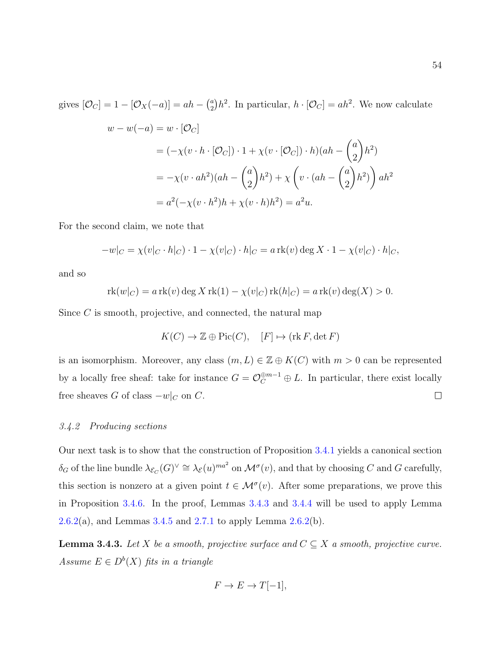gives  $[O_C] = 1 - [O_X(-a)] = ah - {a \choose 2}$  $a_2^a/h^2$ . In particular,  $h \cdot [\mathcal{O}_C] = ah^2$ . We now calculate  $w - w(-a) = w \cdot [O_C]$  $= (-\chi(v \cdot h \cdot [\mathcal{O}_C]) \cdot 1 + \chi(v \cdot [\mathcal{O}_C]) \cdot h)(ah \sqrt{a}$ 2  $\setminus$  $h^2$ )  $= -\chi(v \cdot ah^2)(ah \sqrt{a}$ 2  $\setminus$  $h^2$ ) +  $\chi$  $\sqrt{ }$  $v \cdot (ah \sqrt{a}$ 2  $\setminus$  $h^2$ )  $\Big)$  ah<sup>2</sup>  $= a^2(-\chi(v \cdot h^2)h + \chi(v \cdot h)h^2) = a^2u.$ 

For the second claim, we note that

$$
-w|_C = \chi(v|_C \cdot h|_C) \cdot 1 - \chi(v|_C) \cdot h|_C = a \operatorname{rk}(v) \deg X \cdot 1 - \chi(v|_C) \cdot h|_C,
$$

and so

$$
rk(w|_C) = a rk(v) \deg X rk(1) - \chi(v|_C) rk(h|_C) = a rk(v) \deg(X) > 0.
$$

Since C is smooth, projective, and connected, the natural map

$$
K(C) \to \mathbb{Z} \oplus \text{Pic}(C), \quad [F] \mapsto (\text{rk } F, \det F)
$$

is an isomorphism. Moreover, any class  $(m, L) \in \mathbb{Z} \oplus K(C)$  with  $m > 0$  can be represented by a locally free sheaf: take for instance  $G = \mathcal{O}_C^{\oplus m-1} \oplus L$ . In particular, there exist locally free sheaves G of class  $-w|_C$  on C.  $\Box$ 

#### 3.4.2 Producing sections

Our next task is to show that the construction of Proposition [3.4.1](#page-59-0) yields a canonical section  $\delta_G$  of the line bundle  $\lambda_{\mathcal{E}_C}(G)^{\vee} \cong \lambda_{\mathcal{E}}(u)^{ma^2}$  on  $\mathcal{M}^{\sigma}(v)$ , and that by choosing C and G carefully, this section is nonzero at a given point  $t \in \mathcal{M}^{\sigma}(v)$ . After some preparations, we prove this in Proposition [3.4.6.](#page-64-0) In the proof, Lemmas [3.4.3](#page-61-0) and [3.4.4](#page-63-0) will be used to apply Lemma [2.6.2\(](#page-33-0)a), and Lemmas [3.4.5](#page-64-1) and [2.7.1](#page-37-0) to apply Lemma  $2.6.2(b)$ .

<span id="page-61-0"></span>**Lemma 3.4.3.** Let X be a smooth, projective surface and  $C \subseteq X$  a smooth, projective curve. Assume  $E \in D^b(X)$  fits in a triangle

$$
F \to E \to T[-1],
$$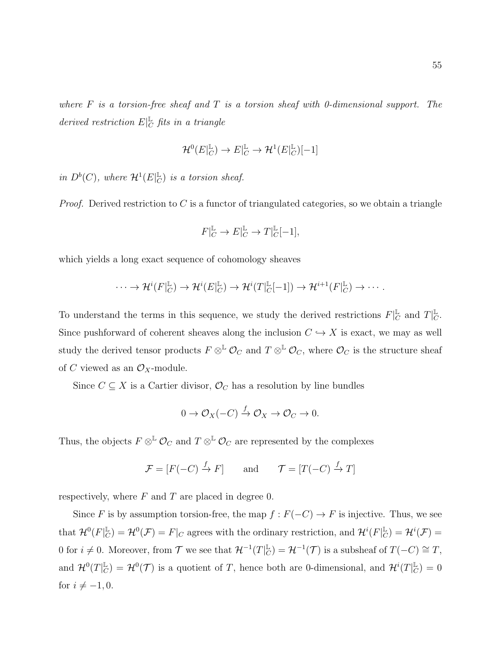where  $F$  is a torsion-free sheaf and  $T$  is a torsion sheaf with 0-dimensional support. The derived restriction  $E|_C^{\mathbb{L}}$  fits in a triangle

$$
\mathcal{H}^0(E|_C^{\mathbb{L}}) \to E|_C^{\mathbb{L}} \to \mathcal{H}^1(E|_C^{\mathbb{L}})[-1]
$$

in  $D^b(C)$ , where  $\mathcal{H}^1(E|_C^{\mathbb{L}})$  $_{C}^{\mathbb{L}}$ ) is a torsion sheaf.

*Proof.* Derived restriction to  $C$  is a functor of triangulated categories, so we obtain a triangle

$$
F|_{C}^{\mathbb{L}} \to E|_{C}^{\mathbb{L}} \to T|_{C}^{\mathbb{L}}[-1],
$$

which yields a long exact sequence of cohomology sheaves

$$
\cdots \to \mathcal{H}^i(F|_C^{\mathbb{L}}) \to \mathcal{H}^i(E|_C^{\mathbb{L}}) \to \mathcal{H}^i(T|_C^{\mathbb{L}}[-1]) \to \mathcal{H}^{i+1}(F|_C^{\mathbb{L}}) \to \cdots.
$$

To understand the terms in this sequence, we study the derived restrictions  $F|_G^{\mathbb{L}}$  $_C^{\mathbb{L}}$  and  $T|_C^{\mathbb{L}}$  $_C^\mathbb{L}$ . Since pushforward of coherent sheaves along the inclusion  $C \hookrightarrow X$  is exact, we may as well study the derived tensor products  $F \otimes^{\mathbb{L}} \mathcal{O}_C$  and  $T \otimes^{\mathbb{L}} \mathcal{O}_C$ , where  $\mathcal{O}_C$  is the structure sheaf of C viewed as an  $\mathcal{O}_X$ -module.

Since  $C \subseteq X$  is a Cartier divisor,  $\mathcal{O}_C$  has a resolution by line bundles

$$
0 \to \mathcal{O}_X(-C) \xrightarrow{f} \mathcal{O}_X \to \mathcal{O}_C \to 0.
$$

Thus, the objects  $F \otimes^{\mathbb{L}} \mathcal{O}_C$  and  $T \otimes^{\mathbb{L}} \mathcal{O}_C$  are represented by the complexes

$$
\mathcal{F} = [F(-C) \xrightarrow{f} F] \quad \text{and} \quad \mathcal{T} = [T(-C) \xrightarrow{f} T]
$$

respectively, where  $F$  and  $T$  are placed in degree 0.

Since F is by assumption torsion-free, the map  $f : F(-C) \to F$  is injective. Thus, we see that  $\mathcal{H}^0(F|\mathcal{L}^{\mathbb{L}})$  $\mathcal{L}_C^{\mathbb{L}}$ ) =  $\mathcal{H}^0(\mathcal{F}) = F|_C$  agrees with the ordinary restriction, and  $\mathcal{H}^i(F|_C^{\mathbb{L}})$  $_{C}^{\mathbb{L}}) = \mathcal{H}^{i}(\mathcal{F})=% \begin{pmatrix} \mathcal{F}, & -\mathcal{F}, & \mathcal{F}, & \mathcal{F}, & \mathcal{F}, & \mathcal{F}, & \mathcal{F}, & \mathcal{F}, & \mathcal{F}, & \mathcal{F}, & \mathcal{F}, & \mathcal{F}, & \mathcal{F}, & \mathcal{F}, & \mathcal{F}, & \mathcal{F}, & \mathcal{F}, & \mathcal{F}, & \mathcal{F}, & \mathcal{F}, & \mathcal{F}, & \mathcal{F}, & \mathcal{F}, & \mathcal{F}, & \mathcal{F}, & \mathcal{F}, & \mathcal$ 0 for  $i \neq 0$ . Moreover, from T we see that  $\mathcal{H}^{-1}(T)[\mathcal{L}]$  $L_C^{\mathbb{L}}$ ) =  $\mathcal{H}^{-1}(\mathcal{T})$  is a subsheaf of  $T(-C) \cong T$ , and  $\mathcal{H}^0(T|\mathcal{L}^{\mathbb{L}})$  $\mathcal{L}_C^{\mathbb{L}}$ ) =  $\mathcal{H}^0(\mathcal{T})$  is a quotient of T, hence both are 0-dimensional, and  $\mathcal{H}^i(T)_{C}^{\mathbb{L}}$  $_C^{\mathbb{L}}$ ) = 0 for  $i \neq -1, 0$ .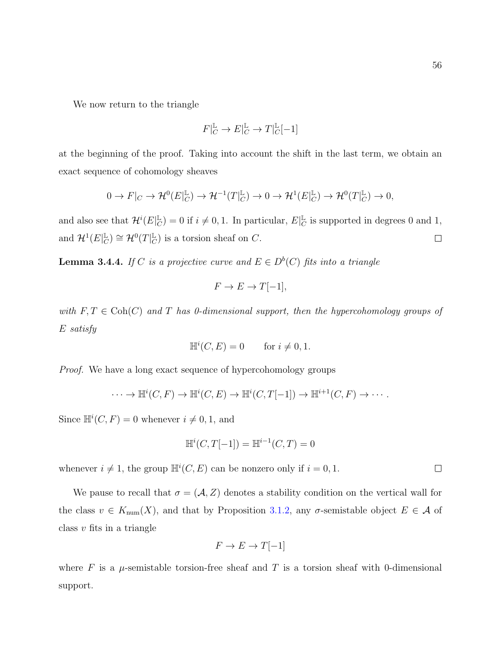$\Box$ 

We now return to the triangle

$$
F|_C^{\mathbb{L}} \to E|_C^{\mathbb{L}} \to T|_C^{\mathbb{L}}[-1]
$$

at the beginning of the proof. Taking into account the shift in the last term, we obtain an exact sequence of cohomology sheaves

$$
0 \to F|_C \to \mathcal{H}^0(E|_C^{\mathbb{L}}) \to \mathcal{H}^{-1}(T|_C^{\mathbb{L}}) \to 0 \to \mathcal{H}^1(E|_C^{\mathbb{L}}) \to \mathcal{H}^0(T|_C^{\mathbb{L}}) \to 0,
$$

and also see that  $\mathcal{H}^i(E|_C^{\mathbb{L}})$  $_C^{\mathbb{L}}$ ) = 0 if  $i \neq 0, 1$ . In particular,  $E|_C^{\mathbb{L}}$  $_C^{\mathbb{L}}$  is supported in degrees 0 and 1,  $_{C}^{\mathbb{L}}$ )  $\cong \mathcal{H}^{0}(T|_{C}^{\mathbb{L}})$ and  $\mathcal{H}^1(E|_C^{\mathbb{L}})$  $_{C}^{\mathbb{L}}$ ) is a torsion sheaf on C.  $\Box$ 

<span id="page-63-0"></span>**Lemma 3.4.4.** If C is a projective curve and  $E \in D^b(C)$  fits into a triangle

$$
F \to E \to T[-1],
$$

with  $F, T \in Coh(C)$  and T has 0-dimensional support, then the hypercohomology groups of E satisfy

$$
\mathbb{H}^i(C, E) = 0 \qquad \text{for } i \neq 0, 1.
$$

Proof. We have a long exact sequence of hypercohomology groups

$$
\cdots \to \mathbb{H}^i(C, F) \to \mathbb{H}^i(C, E) \to \mathbb{H}^i(C, T[-1]) \to \mathbb{H}^{i+1}(C, F) \to \cdots.
$$

Since  $\mathbb{H}^i(C, F) = 0$  whenever  $i \neq 0, 1$ , and

$$
\mathbb{H}^i(C, T[-1]) = \mathbb{H}^{i-1}(C, T) = 0
$$

whenever  $i \neq 1$ , the group  $\mathbb{H}^i(C, E)$  can be nonzero only if  $i = 0, 1$ .

We pause to recall that  $\sigma = (\mathcal{A}, Z)$  denotes a stability condition on the vertical wall for the class  $v \in K_{\text{num}}(X)$ , and that by Proposition [3.1.2,](#page-45-0) any  $\sigma$ -semistable object  $E \in \mathcal{A}$  of class  $v$  fits in a triangle

$$
F \to E \to T[-1]
$$

where F is a  $\mu$ -semistable torsion-free sheaf and T is a torsion sheaf with 0-dimensional support.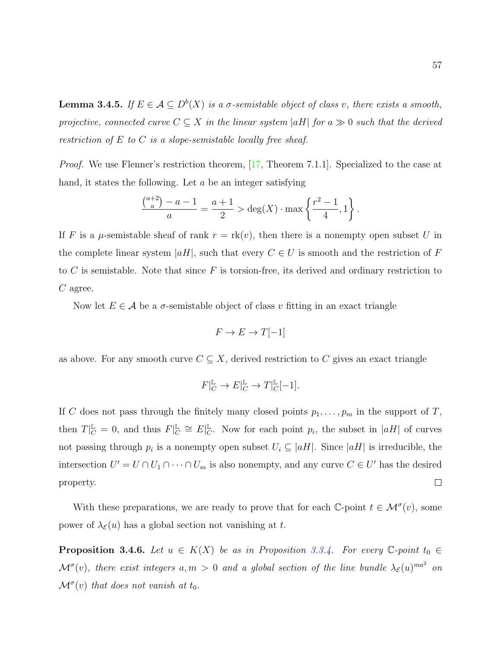<span id="page-64-1"></span>**Lemma 3.4.5.** If  $E \in \mathcal{A} \subseteq D^b(X)$  is a  $\sigma$ -semistable object of class v, there exists a smooth, projective, connected curve  $C \subseteq X$  in the linear system |aH| for a  $\gg 0$  such that the derived restriction of  $E$  to  $C$  is a slope-semistable locally free sheaf.

*Proof.* We use Flenner's restriction theorem, [\[17,](#page-108-0) Theorem 7.1.1]. Specialized to the case at hand, it states the following. Let a be an integer satisfying

$$
\frac{\binom{a+2}{a}-a-1}{a} = \frac{a+1}{2} > \deg(X) \cdot \max\left\{\frac{r^2-1}{4}, 1\right\}.
$$

If F is a  $\mu$ -semistable sheaf of rank  $r = \text{rk}(v)$ , then there is a nonempty open subset U in the complete linear system  $|aH|$ , such that every  $C \in U$  is smooth and the restriction of F to  $C$  is semistable. Note that since  $F$  is torsion-free, its derived and ordinary restriction to C agree.

Now let  $E \in \mathcal{A}$  be a  $\sigma$ -semistable object of class v fitting in an exact triangle

$$
F \to E \to T[-1]
$$

as above. For any smooth curve  $C \subseteq X$ , derived restriction to C gives an exact triangle

$$
F|_{C}^{\mathbb{L}} \to E|_{C}^{\mathbb{L}} \to T|_{C}^{\mathbb{L}}[-1].
$$

If C does not pass through the finitely many closed points  $p_1, \ldots, p_m$  in the support of T,  $\mathbb{L}_C \cong E|\mathbb{L}_C$ then  $T|_{C}^{\mathbb{L}}=0$ , and thus  $F|_{C}^{\mathbb{L}}$  $\mathbb{L}_{\mathcal{C}}$ . Now for each point  $p_i$ , the subset in  $|aH|$  of curves not passing through  $p_i$  is a nonempty open subset  $U_i \subseteq |aH|$ . Since  $|aH|$  is irreducible, the intersection  $U' = U \cap U_1 \cap \cdots \cap U_m$  is also nonempty, and any curve  $C \in U'$  has the desired  $\Box$ property.

With these preparations, we are ready to prove that for each  $\mathbb{C}\text{-point }t\in\mathcal{M}^{\sigma}(v)$ , some power of  $\lambda_{\mathcal{E}}(u)$  has a global section not vanishing at t.

<span id="page-64-0"></span>**Proposition 3.4.6.** Let  $u \in K(X)$  be as in Proposition [3.3.4.](#page-54-0) For every  $\mathbb{C}\text{-point }t_0 \in$  $\mathcal{M}^\sigma(v)$ , there exist integers  $a,m>0$  and a global section of the line bundle  $\lambda_{\mathcal{E}}(u)^{ma^2}$  on  $\mathcal{M}^{\sigma}(v)$  that does not vanish at  $t_0$ .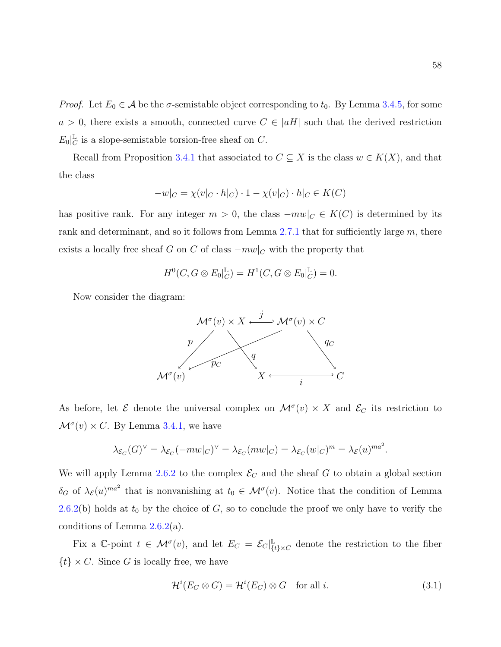*Proof.* Let  $E_0 \in \mathcal{A}$  be the  $\sigma$ -semistable object corresponding to  $t_0$ . By Lemma [3.4.5,](#page-64-1) for some  $a > 0$ , there exists a smooth, connected curve  $C \in |aH|$  such that the derived restriction  $E_0|_C^{\mathbb{L}}$  $\mathbb{L}_{\mathbb{C}}$  is a slope-semistable torsion-free sheaf on  $\mathbb{C}$ .

Recall from Proposition [3.4.1](#page-59-0) that associated to  $C \subseteq X$  is the class  $w \in K(X)$ , and that the class

$$
-w|_C = \chi(v|_C \cdot h|_C) \cdot 1 - \chi(v|_C) \cdot h|_C \in K(C)
$$

has positive rank. For any integer  $m > 0$ , the class  $-mw|_C \in K(C)$  is determined by its rank and determinant, and so it follows from Lemma [2.7.1](#page-37-0) that for sufficiently large  $m$ , there exists a locally free sheaf G on C of class  $-mw|_C$  with the property that

$$
H^{0}(C, G \otimes E_{0}|_{C}^{\mathbb{L}}) = H^{1}(C, G \otimes E_{0}|_{C}^{\mathbb{L}}) = 0.
$$

Now consider the diagram:



As before, let  $\mathcal E$  denote the universal complex on  $\mathcal M^\sigma(v) \times X$  and  $\mathcal E_C$  its restriction to  $\mathcal{M}^{\sigma}(v) \times C$ . By Lemma [3.4.1,](#page-59-0) we have

$$
\lambda_{\mathcal{E}_C}(G)^{\vee} = \lambda_{\mathcal{E}_C}(-mw|_C)^{\vee} = \lambda_{\mathcal{E}_C}(mw|_C) = \lambda_{\mathcal{E}_C}(w|_C)^m = \lambda_{\mathcal{E}}(u)^{ma^2}.
$$

We will apply Lemma [2.6.2](#page-33-0) to the complex  $\mathcal{E}_C$  and the sheaf G to obtain a global section  $\delta_G$  of  $\lambda_{\mathcal{E}}(u)^{ma^2}$  that is nonvanishing at  $t_0 \in \mathcal{M}^{\sigma}(v)$ . Notice that the condition of Lemma [2.6.2\(](#page-33-0)b) holds at  $t_0$  by the choice of G, so to conclude the proof we only have to verify the conditions of Lemma [2.6.2\(](#page-33-0)a).

Fix a C-point  $t \in \mathcal{M}^{\sigma}(v)$ , and let  $E_C = \mathcal{E}_C|_{\Omega}^{\mathbb{L}}$  $\mathcal{L}_{\{t\}\times C}$  denote the restriction to the fiber  $\{t\} \times C$ . Since G is locally free, we have

<span id="page-65-0"></span>
$$
\mathcal{H}^i(E_C \otimes G) = \mathcal{H}^i(E_C) \otimes G \quad \text{for all } i. \tag{3.1}
$$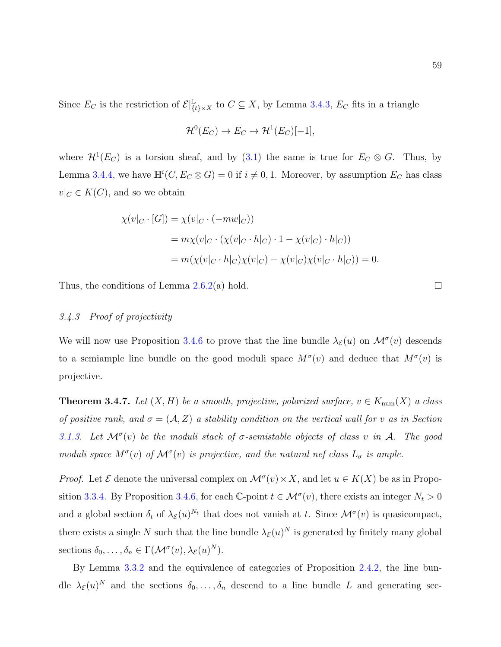Since  $E_C$  is the restriction of  $\mathcal{E}|_{\{t\}\times X}^{\mathbb{L}}$  to  $C \subseteq X$ , by Lemma [3.4.3,](#page-61-0)  $E_C$  fits in a triangle

$$
\mathcal{H}^0(E_C) \to E_C \to \mathcal{H}^1(E_C)[-1],
$$

where  $\mathcal{H}^1(E_C)$  is a torsion sheaf, and by [\(3.1\)](#page-65-0) the same is true for  $E_C \otimes G$ . Thus, by Lemma [3.4.4,](#page-63-0) we have  $\mathbb{H}^i(C, E_C \otimes G) = 0$  if  $i \neq 0, 1$ . Moreover, by assumption  $E_C$  has class  $v|_C \in K(C)$ , and so we obtain

$$
\chi(v|_{C} \cdot [G]) = \chi(v|_{C} \cdot (-mw|_{C}))
$$
  
=  $m\chi(v|_{C} \cdot (\chi(v|_{C} \cdot h|_{C}) \cdot 1 - \chi(v|_{C}) \cdot h|_{C}))$   
=  $m(\chi(v|_{C} \cdot h|_{C})\chi(v|_{C}) - \chi(v|_{C})\chi(v|_{C} \cdot h|_{C})) = 0.$ 

Thus, the conditions of Lemma [2.6.2\(](#page-33-0)a) hold.

## 3.4.3 Proof of projectivity

We will now use Proposition [3.4.6](#page-64-0) to prove that the line bundle  $\lambda_{\mathcal{E}}(u)$  on  $\mathcal{M}^{\sigma}(v)$  descends to a semiample line bundle on the good moduli space  $M^{\sigma}(v)$  and deduce that  $M^{\sigma}(v)$  is projective.

<span id="page-66-0"></span>**Theorem 3.4.7.** Let  $(X, H)$  be a smooth, projective, polarized surface,  $v \in K_{\text{num}}(X)$  a class of positive rank, and  $\sigma = (A, Z)$  a stability condition on the vertical wall for v as in Section [3.1.3.](#page-44-0) Let  $\mathcal{M}^{\sigma}(v)$  be the moduli stack of  $\sigma$ -semistable objects of class v in A. The good moduli space  $M^{\sigma}(v)$  of  $\mathcal{M}^{\sigma}(v)$  is projective, and the natural nef class  $L_{\sigma}$  is ample.

*Proof.* Let  $\mathcal E$  denote the universal complex on  $\mathcal M^\sigma(v) \times X$ , and let  $u \in K(X)$  be as in Propo-sition [3.3.4.](#page-54-0) By Proposition [3.4.6,](#page-64-0) for each C-point  $t \in \mathcal{M}^{\sigma}(v)$ , there exists an integer  $N_t > 0$ and a global section  $\delta_t$  of  $\lambda_{\mathcal{E}}(u)^{N_t}$  that does not vanish at t. Since  $\mathcal{M}^{\sigma}(v)$  is quasicompact, there exists a single N such that the line bundle  $\lambda_{\mathcal{E}}(u)^N$  is generated by finitely many global sections  $\delta_0, \ldots, \delta_n \in \Gamma(\mathcal{M}^\sigma(v), \lambda_{\mathcal{E}}(u)^N)$ .

By Lemma [3.3.2](#page-53-0) and the equivalence of categories of Proposition [2.4.2,](#page-25-0) the line bundle  $\lambda_{\mathcal{E}}(u)^N$  and the sections  $\delta_0,\ldots,\delta_n$  descend to a line bundle L and generating sec-

 $\Box$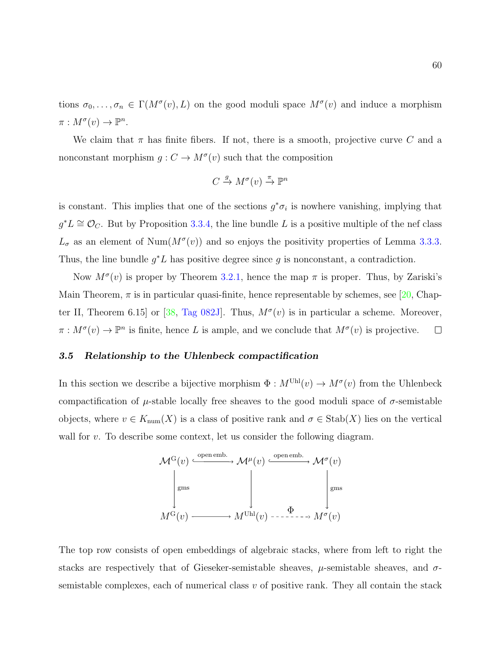tions  $\sigma_0, \ldots, \sigma_n \in \Gamma(M^{\sigma}(v), L)$  on the good moduli space  $M^{\sigma}(v)$  and induce a morphism  $\pi : M^{\sigma}(v) \to \mathbb{P}^n$ .

We claim that  $\pi$  has finite fibers. If not, there is a smooth, projective curve C and a nonconstant morphism  $g: C \to M^{\sigma}(v)$  such that the composition

$$
C \xrightarrow{g} M^{\sigma}(v) \xrightarrow{\pi} \mathbb{P}^n
$$

is constant. This implies that one of the sections  $g^*\sigma_i$  is nowhere vanishing, implying that  $g^*L \cong \mathcal{O}_C$ . But by Proposition [3.3.4,](#page-54-0) the line bundle L is a positive multiple of the nef class  $L_{\sigma}$  as an element of Num $(M^{\sigma}(v))$  and so enjoys the positivity properties of Lemma [3.3.3.](#page-53-1) Thus, the line bundle  $g^*L$  has positive degree since g is nonconstant, a contradiction.

Now  $M^{\sigma}(v)$  is proper by Theorem [3.2.1,](#page-51-0) hence the map  $\pi$  is proper. Thus, by Zariski's Main Theorem,  $\pi$  is in particular quasi-finite, hence representable by schemes, see [\[20,](#page-108-5) Chap-ter II, Theorem 6.15 or [\[38,](#page-109-4) [Tag 082J\]](https://stacks.math.columbia.edu/tag/082J). Thus,  $M^{\sigma}(v)$  is in particular a scheme. Moreover,  $\pi : M^{\sigma}(v) \to \mathbb{P}^n$  is finite, hence L is ample, and we conclude that  $M^{\sigma}(v)$  is projective.  $\Box$ 

#### 3.5 Relationship to the Uhlenbeck compactification

In this section we describe a bijective morphism  $\Phi: M^{\text{Uhl}}(v) \to M^{\sigma}(v)$  from the Uhlenbeck compactification of  $\mu$ -stable locally free sheaves to the good moduli space of  $\sigma$ -semistable objects, where  $v \in K_{\text{num}}(X)$  is a class of positive rank and  $\sigma \in \text{Stab}(X)$  lies on the vertical wall for  $v$ . To describe some context, let us consider the following diagram.



The top row consists of open embeddings of algebraic stacks, where from left to right the stacks are respectively that of Gieseker-semistable sheaves,  $\mu$ -semistable sheaves, and  $\sigma$ semistable complexes, each of numerical class  $v$  of positive rank. They all contain the stack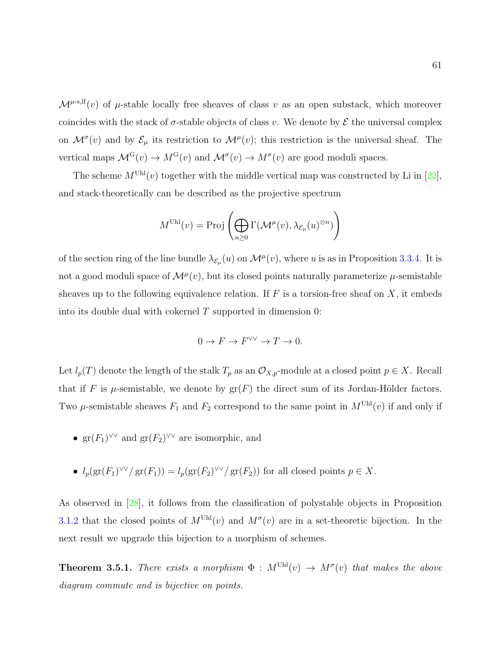$\mathcal{M}^{\mu\text{-s},\text{lf}}(v)$  of  $\mu\text{-stable locally free sheaves of class } v$  as an open substack, which moreover coincides with the stack of  $\sigma$ -stable objects of class v. We denote by  $\mathcal E$  the universal complex on  $\mathcal{M}^{\sigma}(v)$  and by  $\mathcal{E}_{\mu}$  its restriction to  $\mathcal{M}^{\mu}(v)$ ; this restriction is the universal sheaf. The vertical maps  $\mathcal{M}^{\mathcal{G}}(v) \to M^{\mathcal{G}}(v)$  and  $\mathcal{M}^{\sigma}(v) \to M^{\sigma}(v)$  are good moduli spaces.

The scheme  $M^{\text{Uhl}}(v)$  together with the middle vertical map was constructed by Li in [\[22\]](#page-108-4), and stack-theoretically can be described as the projective spectrum

$$
M^{\text{Uhl}}(v) = \text{Proj}\left(\bigoplus_{n\geq 0} \Gamma(\mathcal{M}^{\mu}(v), \lambda_{\mathcal{E}_{\mu}}(u)^{\otimes n})\right)
$$

of the section ring of the line bundle  $\lambda_{\mathcal{E}_{\mu}}(u)$  on  $\mathcal{M}^{\mu}(v)$ , where u is as in Proposition [3.3.4.](#page-54-0) It is not a good moduli space of  $\mathcal{M}^{\mu}(v)$ , but its closed points naturally parameterize  $\mu$ -semistable sheaves up to the following equivalence relation. If  $F$  is a torsion-free sheaf on  $X$ , it embeds into its double dual with cokernel  $T$  supported in dimension 0:

$$
0 \to F \to F^{\vee\vee} \to T \to 0.
$$

Let  $l_p(T)$  denote the length of the stalk  $T_p$  as an  $\mathcal{O}_{X,p}$ -module at a closed point  $p \in X$ . Recall that if F is  $\mu$ -semistable, we denote by  $gr(F)$  the direct sum of its Jordan-Hölder factors. Two  $\mu$ -semistable sheaves  $F_1$  and  $F_2$  correspond to the same point in  $M^{Uhl}(v)$  if and only if

- $gr(F_1)^{\vee\vee}$  and  $gr(F_2)^{\vee\vee}$  are isomorphic, and
- $l_p(\text{gr}(F_1)^{\vee\vee}/\text{gr}(F_1)) = l_p(\text{gr}(F_2)^{\vee\vee}/\text{gr}(F_2))$  for all closed points  $p \in X$ .

As observed in [\[28\]](#page-109-5), it follows from the classification of polystable objects in Proposition [3.1.2](#page-45-0) that the closed points of  $M^{Uhl}(v)$  and  $M^{\sigma}(v)$  are in a set-theoretic bijection. In the next result we upgrade this bijection to a morphism of schemes.

**Theorem 3.5.1.** There exists a morphism  $\Phi : M^{\text{Uhl}}(v) \to M^{\sigma}(v)$  that makes the above diagram commute and is bijective on points.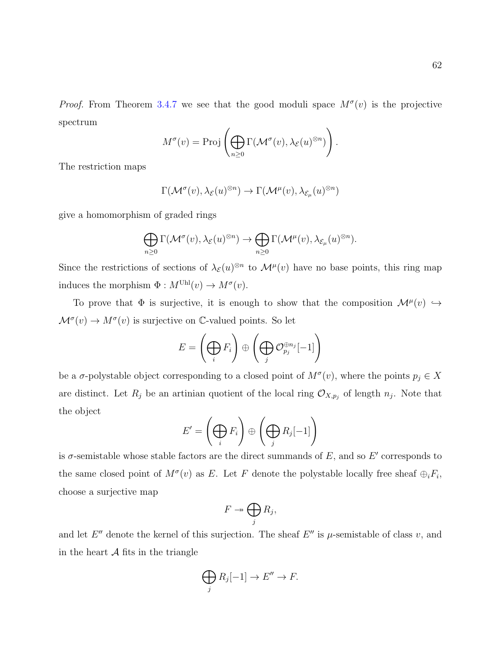$$
M^{\sigma}(v) = \text{Proj}\left(\bigoplus_{n\geq 0} \Gamma(\mathcal{M}^{\sigma}(v), \lambda_{\mathcal{E}}(u)^{\otimes n})\right).
$$

The restriction maps

$$
\Gamma(\mathcal{M}^\sigma(v),\lambda_\mathcal{E}(u)^{\otimes n}) \to \Gamma(\mathcal{M}^\mu(v),\lambda_{\mathcal{E}_\mu}(u)^{\otimes n})
$$

give a homomorphism of graded rings

$$
\bigoplus_{n\geq 0} \Gamma(\mathcal{M}^\sigma(v),\lambda_\mathcal{E}(u)^{\otimes n}) \to \bigoplus_{n\geq 0} \Gamma(\mathcal{M}^\mu(v),\lambda_{\mathcal{E}_\mu}(u)^{\otimes n}).
$$

Since the restrictions of sections of  $\lambda_{\mathcal{E}}(u)$ <sup> $\otimes n$ </sup> to  $\mathcal{M}^{\mu}(v)$  have no base points, this ring map induces the morphism  $\Phi : M^{\text{Uhl}}(v) \to M^{\sigma}(v)$ .

To prove that  $\Phi$  is surjective, it is enough to show that the composition  $\mathcal{M}^{\mu}(v) \hookrightarrow$  $\mathcal{M}^{\sigma}(v) \to M^{\sigma}(v)$  is surjective on C-valued points. So let

$$
E = \left(\bigoplus_i F_i\right) \oplus \left(\bigoplus_j \mathcal{O}_{p_j}^{\oplus n_j}[-1]\right)
$$

be a  $\sigma$ -polystable object corresponding to a closed point of  $M^{\sigma}(v)$ , where the points  $p_j \in X$ are distinct. Let  $R_j$  be an artinian quotient of the local ring  $\mathcal{O}_{X,p_j}$  of length  $n_j$ . Note that the object

$$
E' = \left(\bigoplus_i F_i\right) \oplus \left(\bigoplus_j R_j[-1]\right)
$$

is  $\sigma$ -semistable whose stable factors are the direct summands of E, and so E' corresponds to the same closed point of  $M^{\sigma}(v)$  as E. Let F denote the polystable locally free sheaf  $\oplus_i F_i$ , choose a surjective map

$$
F \twoheadrightarrow \bigoplus_j R_j,
$$

and let  $E''$  denote the kernel of this surjection. The sheaf  $E''$  is  $\mu$ -semistable of class v, and in the heart  $A$  fits in the triangle

$$
\bigoplus_j R_j[-1] \to E'' \to F.
$$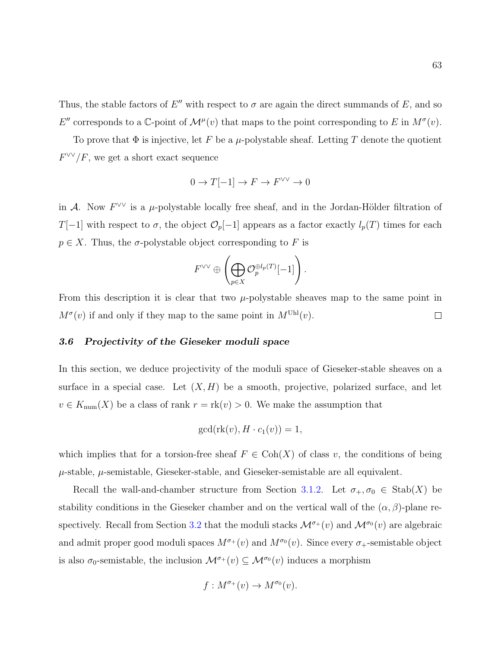Thus, the stable factors of E'' with respect to  $\sigma$  are again the direct summands of E, and so E'' corresponds to a  $\mathbb{C}$ -point of  $\mathcal{M}^{\mu}(v)$  that maps to the point corresponding to E in  $M^{\sigma}(v)$ .

To prove that  $\Phi$  is injective, let F be a  $\mu$ -polystable sheaf. Letting T denote the quotient  $F^{\vee\vee}/F$ , we get a short exact sequence

$$
0 \to T[-1] \to F \to F^{\vee\vee} \to 0
$$

in A. Now  $F^{\vee\vee}$  is a  $\mu$ -polystable locally free sheaf, and in the Jordan-Hölder filtration of T[−1] with respect to  $\sigma$ , the object  $\mathcal{O}_p[-1]$  appears as a factor exactly  $l_p(T)$  times for each  $p \in X$ . Thus, the  $\sigma$ -polystable object corresponding to F is

$$
F^{\vee\vee} \oplus \left(\bigoplus_{p\in X} {\mathcal O}_p^{\oplus l_p(T)}[-1]\right).
$$

From this description it is clear that two  $\mu$ -polystable sheaves map to the same point in  $M^{\sigma}(v)$  if and only if they map to the same point in  $M^{\text{Uhl}}(v)$ .  $\Box$ 

## 3.6 Projectivity of the Gieseker moduli space

In this section, we deduce projectivity of the moduli space of Gieseker-stable sheaves on a surface in a special case. Let  $(X, H)$  be a smooth, projective, polarized surface, and let  $v \in K_{\text{num}}(X)$  be a class of rank  $r = \text{rk}(v) > 0$ . We make the assumption that

$$
\gcd(\mathrm{rk}(v), H \cdot c_1(v)) = 1,
$$

which implies that for a torsion-free sheaf  $F \in \text{Coh}(X)$  of class v, the conditions of being  $\mu$ -stable,  $\mu$ -semistable, Gieseker-stable, and Gieseker-semistable are all equivalent.

Recall the wall-and-chamber structure from Section [3.1.2.](#page-43-0) Let  $\sigma_+$ ,  $\sigma_0 \in \text{Stab}(X)$  be stability conditions in the Gieseker chamber and on the vertical wall of the  $(\alpha, \beta)$ -plane re-spectively. Recall from Section [3.2](#page-50-0) that the moduli stacks  $\mathcal{M}^{\sigma+}(v)$  and  $\mathcal{M}^{\sigma_0}(v)$  are algebraic and admit proper good moduli spaces  $M^{\sigma+}(v)$  and  $M^{\sigma}(\nu)$ . Since every  $\sigma_+$ -semistable object is also  $\sigma_0$ -semistable, the inclusion  $\mathcal{M}^{\sigma_+}(v) \subseteq \mathcal{M}^{\sigma_0}(v)$  induces a morphism

$$
f: M^{\sigma_+}(v) \to M^{\sigma_0}(v).
$$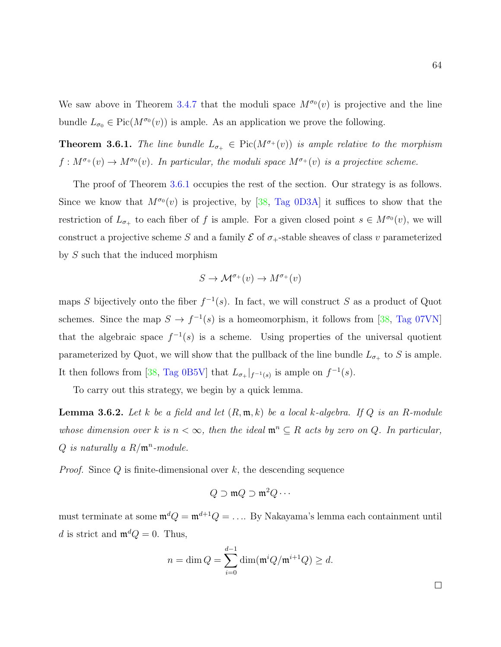We saw above in Theorem [3.4.7](#page-66-0) that the moduli space  $M^{\sigma_0}(v)$  is projective and the line bundle  $L_{\sigma_0} \in Pic(M^{\sigma_0}(v))$  is ample. As an application we prove the following.

<span id="page-71-0"></span>**Theorem 3.6.1.** The line bundle  $L_{\sigma_{+}} \in Pic(M^{\sigma_{+}}(v))$  is ample relative to the morphism  $f: M^{\sigma+}(v) \to M^{\sigma_0}(v)$ . In particular, the moduli space  $M^{\sigma+}(v)$  is a projective scheme.

The proof of Theorem [3.6.1](#page-71-0) occupies the rest of the section. Our strategy is as follows. Since we know that  $M^{\sigma_0}(v)$  is projective, by [\[38,](#page-109-4) [Tag 0D3A\]](https://stacks.math.columbia.edu/tag/0D3A) it suffices to show that the restriction of  $L_{\sigma_+}$  to each fiber of f is ample. For a given closed point  $s \in M^{\sigma_0}(v)$ , we will construct a projective scheme S and a family  $\mathcal E$  of  $\sigma_+$ -stable sheaves of class v parameterized by S such that the induced morphism

$$
S \to \mathcal{M}^{\sigma_+}(v) \to M^{\sigma_+}(v)
$$

maps S bijectively onto the fiber  $f^{-1}(s)$ . In fact, we will construct S as a product of Quot schemes. Since the map  $S \to f^{-1}(s)$  is a homeomorphism, it follows from [\[38,](#page-109-4) [Tag 07VN\]](https://stacks.math.columbia.edu/tag/07VN) that the algebraic space  $f^{-1}(s)$  is a scheme. Using properties of the universal quotient parameterized by Quot, we will show that the pullback of the line bundle  $L_{\sigma_+}$  to S is ample. It then follows from [\[38,](#page-109-4) [Tag 0B5V\]](https://stacks.math.columbia.edu/tag/0B5V) that  $L_{\sigma_+}|_{f^{-1}(s)}$  is ample on  $f^{-1}(s)$ .

To carry out this strategy, we begin by a quick lemma.

**Lemma 3.6.2.** Let k be a field and let  $(R, \mathfrak{m}, k)$  be a local k-algebra. If Q is an R-module whose dimension over k is  $n < \infty$ , then the ideal  $\mathfrak{m}^n \subseteq R$  acts by zero on Q. In particular,  $Q$  is naturally a  $R/\mathfrak{m}^n$ -module.

*Proof.* Since  $Q$  is finite-dimensional over  $k$ , the descending sequence

$$
Q\supset \mathfrak{m} Q\supset \mathfrak{m}^2 Q\cdots
$$

must terminate at some  $\mathfrak{m}^d Q = \mathfrak{m}^{d+1} Q = \ldots$  By Nakayama's lemma each containment until d is strict and  $\mathfrak{m}^d Q = 0$ . Thus,

$$
n = \dim Q = \sum_{i=0}^{d-1} \dim(\mathfrak{m}^i Q/\mathfrak{m}^{i+1} Q) \ge d.
$$

 $\Box$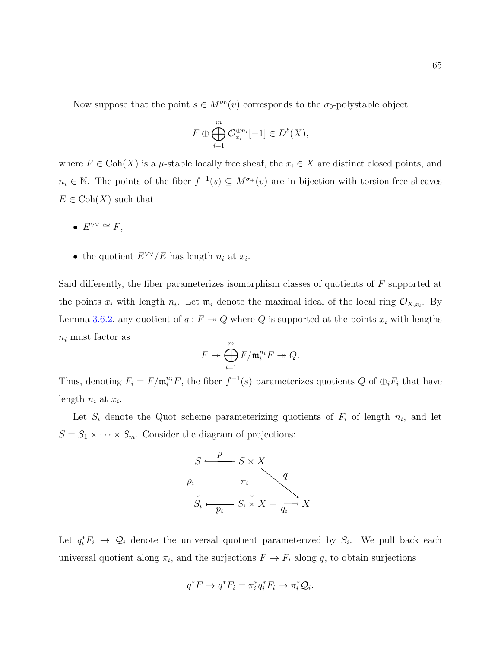Now suppose that the point  $s \in M^{\sigma_0}(v)$  corresponds to the  $\sigma_0$ -polystable object

$$
F \oplus \bigoplus_{i=1}^{m} \mathcal{O}_{x_i}^{\oplus n_i}[-1] \in D^b(X),
$$

where  $F \in \text{Coh}(X)$  is a  $\mu$ -stable locally free sheaf, the  $x_i \in X$  are distinct closed points, and  $n_i \in \mathbb{N}$ . The points of the fiber  $f^{-1}(s) \subseteq M^{\sigma}(v)$  are in bijection with torsion-free sheaves  $E \in \text{Coh}(X)$  such that

- $E^{\vee\vee} \cong F$ ,
- the quotient  $E^{\vee \vee}/E$  has length  $n_i$  at  $x_i$ .

Said differently, the fiber parameterizes isomorphism classes of quotients of F supported at the points  $x_i$  with length  $n_i$ . Let  $\mathfrak{m}_i$  denote the maximal ideal of the local ring  $\mathcal{O}_{X,x_i}$ . By Lemma [3.6.2,](#page-71-0) any quotient of  $q : F \to Q$  where Q is supported at the points  $x_i$  with lengths  $n_i$  must factor as

$$
F \twoheadrightarrow \bigoplus_{i=1}^{m} F/\mathfrak{m}_{i}^{n_{i}} F \twoheadrightarrow Q.
$$

Thus, denoting  $F_i = F/\mathfrak{m}_i^{n_i} F$ , the fiber  $f^{-1}(s)$  parameterizes quotients Q of  $\bigoplus_i F_i$  that have length  $n_i$  at  $x_i$ .

Let  $S_i$  denote the Quot scheme parameterizing quotients of  $F_i$  of length  $n_i$ , and let  $S = S_1 \times \cdots \times S_m$ . Consider the diagram of projections:



Let  $q_i^* F_i \to \mathcal{Q}_i$  denote the universal quotient parameterized by  $S_i$ . We pull back each universal quotient along  $\pi_i$ , and the surjections  $F \to F_i$  along q, to obtain surjections

$$
q^*F \to q^*F_i = \pi_i^*q_i^*F_i \to \pi_i^*\mathcal{Q}_i.
$$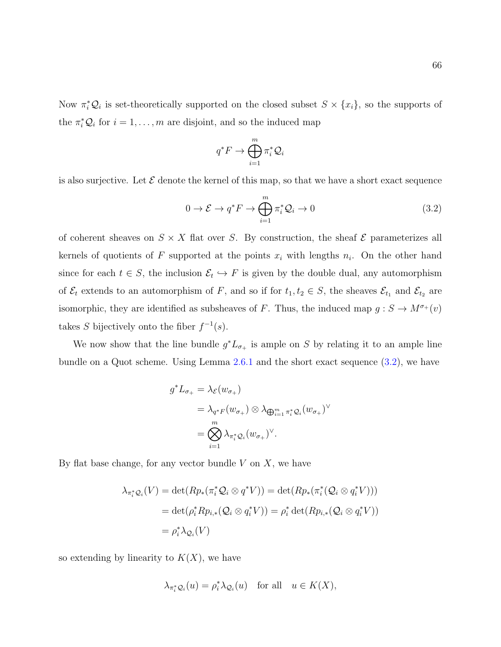Now  $\pi_i^* \mathcal{Q}_i$  is set-theoretically supported on the closed subset  $S \times \{x_i\}$ , so the supports of the  $\pi_i^* \mathcal{Q}_i$  for  $i = 1, ..., m$  are disjoint, and so the induced map

$$
q^*F\to \bigoplus_{i=1}^m \pi_i^* \mathcal{Q}_i
$$

is also surjective. Let  $\mathcal E$  denote the kernel of this map, so that we have a short exact sequence

<span id="page-73-0"></span>
$$
0 \to \mathcal{E} \to q^* F \to \bigoplus_{i=1}^m \pi_i^* \mathcal{Q}_i \to 0
$$
\n(3.2)

of coherent sheaves on  $S \times X$  flat over S. By construction, the sheaf  $\mathcal E$  parameterizes all kernels of quotients of F supported at the points  $x_i$  with lengths  $n_i$ . On the other hand since for each  $t \in S$ , the inclusion  $\mathcal{E}_t \hookrightarrow F$  is given by the double dual, any automorphism of  $\mathcal{E}_t$  extends to an automorphism of F, and so if for  $t_1, t_2 \in S$ , the sheaves  $\mathcal{E}_{t_1}$  and  $\mathcal{E}_{t_2}$  are isomorphic, they are identified as subsheaves of F. Thus, the induced map  $g : S \to M^{\sigma}(v)$ takes S bijectively onto the fiber  $f^{-1}(s)$ .

We now show that the line bundle  $g^*L_{\sigma_+}$  is ample on S by relating it to an ample line bundle on a Quot scheme. Using Lemma [2.6.1](#page-31-0) and the short exact sequence [\(3.2\)](#page-73-0), we have

$$
g^* L_{\sigma_+} = \lambda_{\mathcal{E}}(w_{\sigma_+})
$$
  
=  $\lambda_{q^* F}(w_{\sigma_+}) \otimes \lambda_{\bigoplus_{i=1}^m \pi_i^* \mathcal{Q}_i} (w_{\sigma_+})^{\vee}$   
=  $\bigotimes_{i=1}^m \lambda_{\pi_i^* \mathcal{Q}_i} (w_{\sigma_+})^{\vee}.$ 

By flat base change, for any vector bundle  $V$  on  $X$ , we have

$$
\lambda_{\pi_i^* \mathcal{Q}_i}(V) = \det(Rp_*(\pi_i^* \mathcal{Q}_i \otimes q^* V)) = \det(Rp_*(\pi_i^* (\mathcal{Q}_i \otimes q_i^* V)))
$$
  
= 
$$
\det(\rho_i^* Rp_{i,*} (\mathcal{Q}_i \otimes q_i^* V)) = \rho_i^* \det(Rp_{i,*} (\mathcal{Q}_i \otimes q_i^* V))
$$
  
= 
$$
\rho_i^* \lambda_{\mathcal{Q}_i}(V)
$$

so extending by linearity to  $K(X)$ , we have

$$
\lambda_{\pi_i^* \mathcal{Q}_i}(u) = \rho_i^* \lambda_{\mathcal{Q}_i}(u) \quad \text{for all} \quad u \in K(X),
$$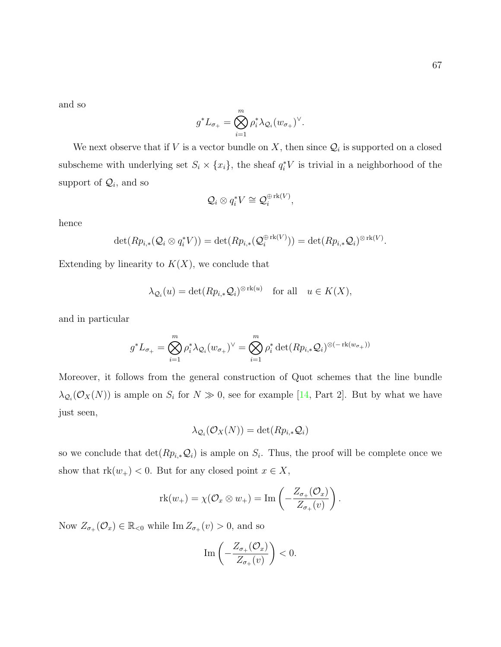.

and so

$$
g^*L_{\sigma_+} = \bigotimes_{i=1}^m \rho_i^* \lambda_{\mathcal{Q}_i} (w_{\sigma_+})^{\vee}.
$$

We next observe that if V is a vector bundle on X, then since  $\mathcal{Q}_i$  is supported on a closed subscheme with underlying set  $S_i \times \{x_i\}$ , the sheaf  $q_i^*V$  is trivial in a neighborhood of the support of  $\mathcal{Q}_i$ , and so

$$
\mathcal{Q}_i\otimes q_i^*V\cong \mathcal{Q}_i^{\oplus \operatorname{rk}(V)},
$$

hence

$$
\det(Rp_{i,*}(\mathcal{Q}_i\otimes q_i^*V))=\det(Rp_{i,*}(\mathcal{Q}_i^{\oplus \operatorname{rk}(V)}))=\det(Rp_{i,*}\mathcal{Q}_i)^{\otimes \operatorname{rk}(V)}
$$

Extending by linearity to  $K(X)$ , we conclude that

$$
\lambda_{\mathcal{Q}_i}(u) = \det(Rp_{i,*}\mathcal{Q}_i)^{\otimes \text{rk}(u)} \quad \text{for all} \quad u \in K(X),
$$

and in particular

$$
g^* L_{\sigma_+} = \bigotimes_{i=1}^m \rho_i^* \lambda_{\mathcal{Q}_i} (w_{\sigma_+})^\vee = \bigotimes_{i=1}^m \rho_i^* \det(Rp_{i,*}\mathcal{Q}_i)^{\otimes (-\operatorname{rk}(w_{\sigma_+}))}
$$

Moreover, it follows from the general construction of Quot schemes that the line bundle  $\lambda_{\mathcal{Q}_i}(\mathcal{O}_X(N))$  is ample on  $S_i$  for  $N \gg 0$ , see for example [\[14,](#page-108-0) Part 2]. But by what we have just seen,

$$
\lambda_{\mathcal{Q}_i}(\mathcal{O}_X(N)) = \det(Rp_{i,*}\mathcal{Q}_i)
$$

so we conclude that  $\det(Rp_{i,*}\mathcal{Q}_i)$  is ample on  $S_i$ . Thus, the proof will be complete once we show that  $rk(w_+) < 0$ . But for any closed point  $x \in X$ ,

$$
\mathrm{rk}(w_+) = \chi(\mathcal{O}_x \otimes w_+) = \mathrm{Im}\left(-\frac{Z_{\sigma_+}(\mathcal{O}_x)}{Z_{\sigma_+}(v)}\right).
$$

Now  $Z_{\sigma_+}(\mathcal{O}_x) \in \mathbb{R}_{< 0}$  while Im  $Z_{\sigma_+}(v) > 0$ , and so

$$
\operatorname{Im}\left(-\frac{Z_{\sigma_+}(\mathcal{O}_x)}{Z_{\sigma_+}(v)}\right) < 0.
$$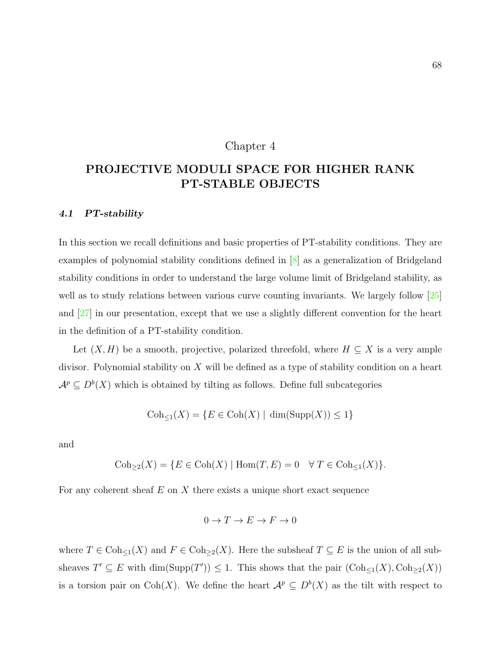## Chapter 4

# PROJECTIVE MODULI SPACE FOR HIGHER RANK PT-STABLE OBJECTS

#### 4.1 PT-stability

In this section we recall definitions and basic properties of PT-stability conditions. They are examples of polynomial stability conditions defined in [\[8\]](#page-107-0) as a generalization of Bridgeland stability conditions in order to understand the large volume limit of Bridgeland stability, as well as to study relations between various curve counting invariants. We largely follow [\[25\]](#page-108-1) and [\[27\]](#page-109-0) in our presentation, except that we use a slightly different convention for the heart in the definition of a PT-stability condition.

Let  $(X, H)$  be a smooth, projective, polarized threefold, where  $H \subseteq X$  is a very ample divisor. Polynomial stability on  $X$  will be defined as a type of stability condition on a heart  $\mathcal{A}^p \subseteq D^b(X)$  which is obtained by tilting as follows. Define full subcategories

$$
Coh_{\leq 1}(X) = \{ E \in Coh(X) \mid \dim(\mathrm{Supp}(X)) \leq 1 \}
$$

and

$$
Coh_{\geq 2}(X) = \{ E \in Coh(X) \mid \text{Hom}(T, E) = 0 \quad \forall T \in Coh_{\leq 1}(X) \}.
$$

For any coherent sheaf  $E$  on  $X$  there exists a unique short exact sequence

$$
0 \to T \to E \to F \to 0
$$

where  $T \in \text{Coh}_{\leq 1}(X)$  and  $F \in \text{Coh}_{\geq 2}(X)$ . Here the subsheaf  $T \subseteq E$  is the union of all subsheaves  $T' \subseteq E$  with  $\dim(\mathrm{Supp}(T')) \leq 1$ . This shows that the pair  $(\mathrm{Coh}_{\leq 1}(X), \mathrm{Coh}_{\geq 2}(X))$ is a torsion pair on Coh(X). We define the heart  $\mathcal{A}^p \subseteq D^b(X)$  as the tilt with respect to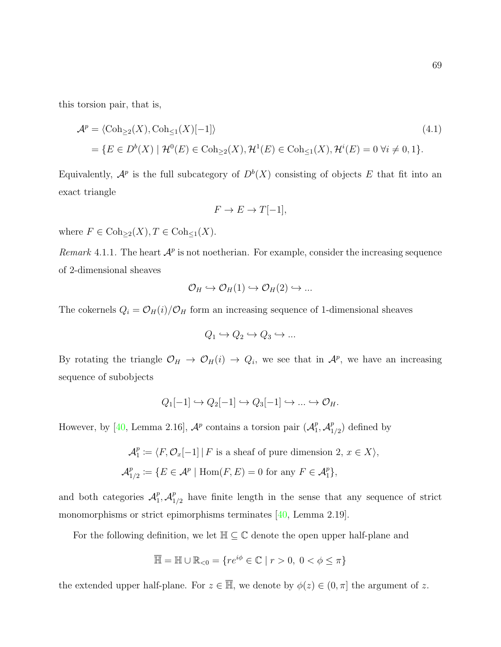this torsion pair, that is,

$$
\mathcal{A}^p = \langle \text{Coh}_{\geq 2}(X), \text{Coh}_{\leq 1}(X)[-1] \rangle \tag{4.1}
$$
\n
$$
= \{ E \in D^b(X) \mid \mathcal{H}^0(E) \in \text{Coh}_{\geq 2}(X), \mathcal{H}^1(E) \in \text{Coh}_{\leq 1}(X), \mathcal{H}^i(E) = 0 \,\forall i \neq 0, 1 \}.
$$

Equivalently,  $\mathcal{A}^p$  is the full subcategory of  $D^b(X)$  consisting of objects E that fit into an exact triangle

$$
F \to E \to T[-1],
$$

where  $F \in \text{Coh}_{\geq 2}(X), T \in \text{Coh}_{\leq 1}(X)$ .

Remark 4.1.1. The heart  $\mathcal{A}^p$  is not noetherian. For example, consider the increasing sequence of 2-dimensional sheaves

$$
\mathcal{O}_H \hookrightarrow \mathcal{O}_H(1) \hookrightarrow \mathcal{O}_H(2) \hookrightarrow \dots
$$

The cokernels  $Q_i = \mathcal{O}_H(i)/\mathcal{O}_H$  form an increasing sequence of 1-dimensional sheaves

$$
Q_1 \hookrightarrow Q_2 \hookrightarrow Q_3 \hookrightarrow \dots
$$

By rotating the triangle  $\mathcal{O}_H \to \mathcal{O}_H(i) \to Q_i$ , we see that in  $\mathcal{A}^p$ , we have an increasing sequence of subobjects

$$
Q_1[-1] \hookrightarrow Q_2[-1] \hookrightarrow Q_3[-1] \hookrightarrow \dots \hookrightarrow \mathcal{O}_H.
$$

However, by [\[40,](#page-110-0) Lemma 2.16],  $\mathcal{A}^p$  contains a torsion pair  $(\mathcal{A}^p)$  $_1^p, \mathcal{A}_1^p$  $_{1/2}^p$ ) defined by

$$
\mathcal{A}_1^p \coloneqq \langle F, \mathcal{O}_x[-1] \, | \, F \text{ is a sheaf of pure dimension } 2, \, x \in X \rangle,
$$
  

$$
\mathcal{A}_{1/2}^p \coloneqq \{ E \in \mathcal{A}^p \mid \text{Hom}(F, E) = 0 \text{ for any } F \in \mathcal{A}_1^p \},
$$

and both categories  $\mathcal{A}_1^p$  $_1^p$ ,  $\mathcal{A}_1^p$  $_{1/2}^{p}$  have finite length in the sense that any sequence of strict monomorphisms or strict epimorphisms terminates [\[40,](#page-110-0) Lemma 2.19].

For the following definition, we let  $\mathbb{H} \subseteq \mathbb{C}$  denote the open upper half-plane and

$$
\overline{\mathbb{H}} = \mathbb{H} \cup \mathbb{R}_{<0} = \{ re^{i\phi} \in \mathbb{C} \mid r > 0, \ 0 < \phi \leq \pi \}
$$

the extended upper half-plane. For  $z \in \overline{\mathbb{H}}$ , we denote by  $\phi(z) \in (0, \pi]$  the argument of z.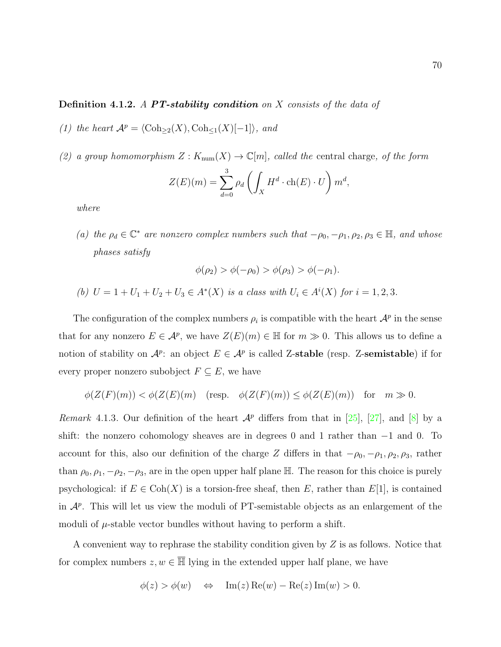## **Definition 4.1.2.** A **PT-stability condition** on X consists of the data of

- (1) the heart  $\mathcal{A}^p = \langle \text{Coh}_{\geq 2}(X), \text{Coh}_{\leq 1}(X)[-1]\rangle$ , and
- (2) a group homomorphism  $Z: K_{num}(X) \to \mathbb{C}[m]$ , called the central charge, of the form

$$
Z(E)(m) = \sum_{d=0}^{3} \rho_d \left( \int_X H^d \cdot \text{ch}(E) \cdot U \right) m^d,
$$

where

(a) the  $\rho_d \in \mathbb{C}^*$  are nonzero complex numbers such that  $-\rho_0, -\rho_1, \rho_2, \rho_3 \in \mathbb{H}$ , and whose phases satisfy

$$
\phi(\rho_2) > \phi(-\rho_0) > \phi(\rho_3) > \phi(-\rho_1).
$$

(b)  $U = 1 + U_1 + U_2 + U_3 \in A^*(X)$  is a class with  $U_i \in A^i(X)$  for  $i = 1, 2, 3$ .

The configuration of the complex numbers  $\rho_i$  is compatible with the heart  $\mathcal{A}^p$  in the sense that for any nonzero  $E \in \mathcal{A}^p$ , we have  $Z(E)(m) \in \mathbb{H}$  for  $m \gg 0$ . This allows us to define a notion of stability on  $\mathcal{A}^p$ : an object  $E \in \mathcal{A}^p$  is called Z-stable (resp. Z-semistable) if for every proper nonzero subobject  $F \subseteq E$ , we have

$$
\phi(Z(F)(m)) < \phi(Z(E)(m) \quad (\text{resp.} \quad \phi(Z(F)(m)) \le \phi(Z(E)(m)) \quad \text{for} \quad m \gg 0.
$$

Remark 4.1.3. Our definition of the heart  $\mathcal{A}^p$  differs from that in [\[25\]](#page-108-1), [\[27\]](#page-109-0), and [\[8\]](#page-107-0) by a shift: the nonzero cohomology sheaves are in degrees 0 and 1 rather than −1 and 0. To account for this, also our definition of the charge Z differs in that  $-\rho_0, -\rho_1, \rho_2, \rho_3$ , rather than  $\rho_0$ ,  $\rho_1$ ,  $-\rho_2$ ,  $-\rho_3$ , are in the open upper half plane H. The reason for this choice is purely psychological: if  $E \in \text{Coh}(X)$  is a torsion-free sheaf, then E, rather than  $E[1]$ , is contained in  $\mathcal{A}^p$ . This will let us view the moduli of PT-semistable objects as an enlargement of the moduli of  $\mu$ -stable vector bundles without having to perform a shift.

A convenient way to rephrase the stability condition given by  $Z$  is as follows. Notice that for complex numbers  $z, w \in \overline{\mathbb{H}}$  lying in the extended upper half plane, we have

$$
\phi(z) > \phi(w) \quad \Leftrightarrow \quad \text{Im}(z) \operatorname{Re}(w) - \operatorname{Re}(z) \operatorname{Im}(w) > 0.
$$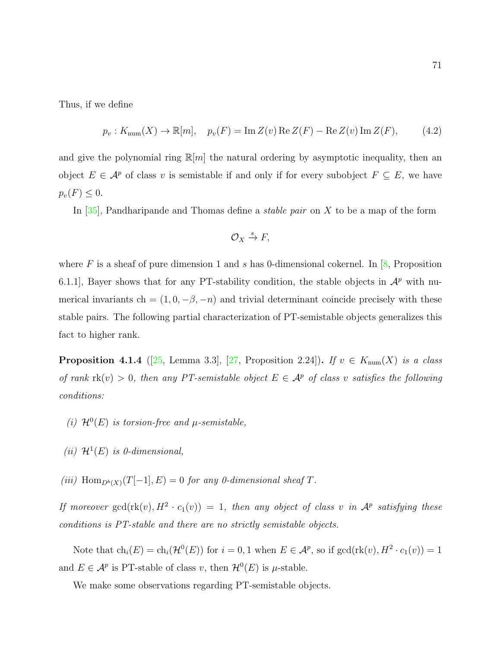Thus, if we define

<span id="page-78-0"></span>
$$
p_v: K_{\text{num}}(X) \to \mathbb{R}[m], \quad p_v(F) = \text{Im}\,Z(v)\,\text{Re}\,Z(F) - \text{Re}\,Z(v)\,\text{Im}\,Z(F),\tag{4.2}
$$

and give the polynomial ring  $\mathbb{R}[m]$  the natural ordering by asymptotic inequality, then an object  $E \in \mathcal{A}^p$  of class v is semistable if and only if for every subobject  $F \subseteq E$ , we have  $p_v(F) \leq 0.$ 

In  $[35]$ , Pandharipande and Thomas define a *stable pair* on X to be a map of the form

$$
\mathcal{O}_X \xrightarrow{s} F,
$$

where F is a sheaf of pure dimension 1 and s has 0-dimensional cokernel. In  $[8,$  Proposition 6.1.1], Bayer shows that for any PT-stability condition, the stable objects in  $\mathcal{A}^p$  with numerical invariants ch =  $(1, 0, -\beta, -n)$  and trivial determinant coincide precisely with these stable pairs. The following partial characterization of PT-semistable objects generalizes this fact to higher rank.

**Proposition 4.1.4** ([\[25,](#page-108-1) Lemma 3.3], [\[27,](#page-109-0) Proposition 2.24]). If  $v \in K_{\text{num}}(X)$  is a class of rank  $rk(v) > 0$ , then any PT-semistable object  $E \in \mathcal{A}^p$  of class v satisfies the following conditions:

- (i)  $\mathcal{H}^0(E)$  is torsion-free and  $\mu$ -semistable,
- (*ii*)  $\mathcal{H}^1(E)$  is 0-dimensional,
- (iii)  $\text{Hom}_{D^b(X)}(T[-1], E) = 0$  for any 0-dimensional sheaf T.

If moreover  $gcd(\text{rk}(v), H^2 \cdot c_1(v)) = 1$ , then any object of class v in  $\mathcal{A}^p$  satisfying these conditions is PT-stable and there are no strictly semistable objects.

Note that  $ch_i(E) = ch_i(\mathcal{H}^0(E))$  for  $i = 0, 1$  when  $E \in \mathcal{A}^p$ , so if  $gcd(\text{rk}(v), H^2 \cdot c_1(v)) = 1$ and  $E \in \mathcal{A}^p$  is PT-stable of class v, then  $\mathcal{H}^0(E)$  is  $\mu$ -stable.

We make some observations regarding PT-semistable objects.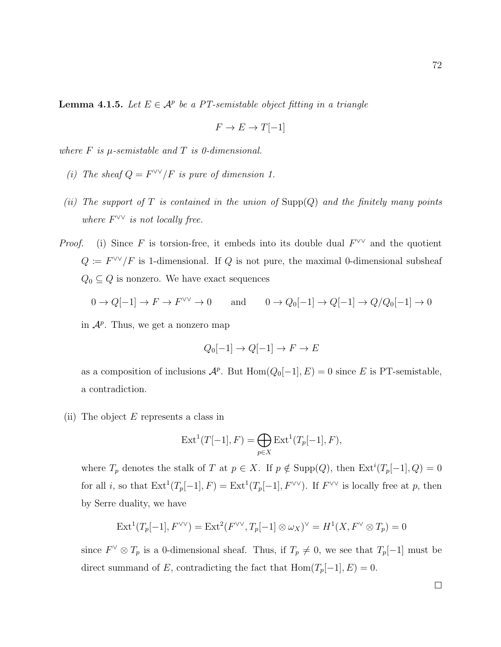**Lemma 4.1.5.** Let  $E \in \mathcal{A}^p$  be a PT-semistable object fitting in a triangle

$$
F \to E \to T[-1]
$$

where  $F$  is  $\mu$ -semistable and  $T$  is 0-dimensional.

- (i) The sheaf  $Q = F^{\vee\vee}/F$  is pure of dimension 1.
- (ii) The support of T is contained in the union of  $\text{Supp}(Q)$  and the finitely many points where  $F^{\vee\vee}$  is not locally free.
- *Proof.* (i) Since F is torsion-free, it embeds into its double dual  $F^{\vee\vee}$  and the quotient  $Q := F^{\vee\vee}/F$  is 1-dimensional. If Q is not pure, the maximal 0-dimensional subsheaf  $Q_0 \subseteq Q$  is nonzero. We have exact sequences

$$
0 \to Q[-1] \to F \to F^{\vee\vee} \to 0 \quad \text{and} \quad 0 \to Q_0[-1] \to Q[-1] \to Q/Q_0[-1] \to 0
$$

in  $\mathcal{A}^p$ . Thus, we get a nonzero map

$$
Q_0[-1] \to Q[-1] \to F \to E
$$

as a composition of inclusions  $\mathcal{A}^p$ . But  $\text{Hom}(Q_0[-1], E) = 0$  since E is PT-semistable, a contradiction.

(ii) The object  $E$  represents a class in

$$
Ext^{1}(T[-1], F) = \bigoplus_{p \in X} Ext^{1}(T_{p}[-1], F),
$$

where  $T_p$  denotes the stalk of T at  $p \in X$ . If  $p \notin \text{Supp}(Q)$ , then  $\text{Ext}^i(T_p[-1], Q) = 0$ for all *i*, so that  $\text{Ext}^1(T_p[-1], F) = \text{Ext}^1(T_p[-1], F^{\vee \vee})$ . If  $F^{\vee \vee}$  is locally free at p, then by Serre duality, we have

$$
\operatorname{Ext}^1(T_p[-1], F^{\vee \vee}) = \operatorname{Ext}^2(F^{\vee \vee}, T_p[-1] \otimes \omega_X)^{\vee} = H^1(X, F^{\vee} \otimes T_p) = 0
$$

since  $F^{\vee} \otimes T_p$  is a 0-dimensional sheaf. Thus, if  $T_p \neq 0$ , we see that  $T_p[-1]$  must be direct summand of E, contradicting the fact that  $\text{Hom}(T_p[-1], E) = 0$ .

72

 $\Box$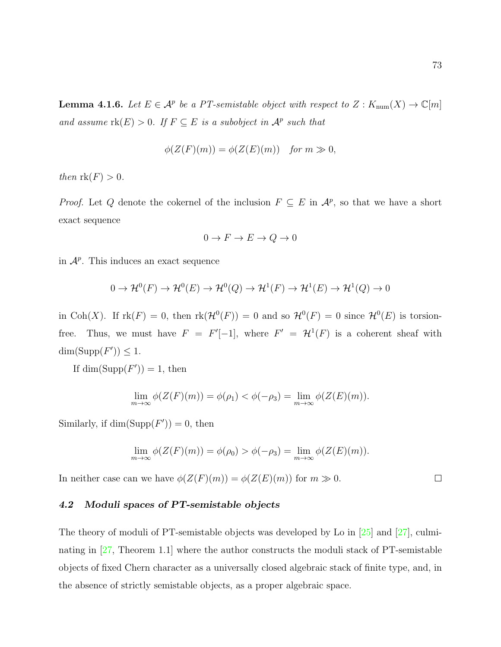<span id="page-80-0"></span>**Lemma 4.1.6.** Let  $E \in \mathcal{A}^p$  be a PT-semistable object with respect to  $Z: K_{\text{num}}(X) \to \mathbb{C}[m]$ and assume  $\text{rk}(E) > 0$ . If  $F \subseteq E$  is a subobject in  $\mathcal{A}^p$  such that

$$
\phi(Z(F)(m)) = \phi(Z(E)(m)) \quad \text{for } m \gg 0,
$$

then  $\text{rk}(F) > 0$ .

*Proof.* Let Q denote the cokernel of the inclusion  $F \subseteq E$  in  $\mathcal{A}^p$ , so that we have a short exact sequence

$$
0 \to F \to E \to Q \to 0
$$

in  $\mathcal{A}^p$ . This induces an exact sequence

$$
0 \to \mathcal{H}^0(F) \to \mathcal{H}^0(E) \to \mathcal{H}^0(Q) \to \mathcal{H}^1(F) \to \mathcal{H}^1(E) \to \mathcal{H}^1(Q) \to 0
$$

in Coh(X). If  $rk(F) = 0$ , then  $rk(\mathcal{H}^0(F)) = 0$  and so  $\mathcal{H}^0(F) = 0$  since  $\mathcal{H}^0(E)$  is torsionfree. Thus, we must have  $F = F'[-1]$ , where  $F' = \mathcal{H}^1(F)$  is a coherent sheaf with  $\dim(\mathrm{Supp}(F')) \leq 1.$ 

If  $\dim(\mathrm{Supp}(F'))=1$ , then

$$
\lim_{m \to \infty} \phi(Z(F)(m)) = \phi(\rho_1) < \phi(-\rho_3) = \lim_{m \to \infty} \phi(Z(E)(m)).
$$

Similarly, if  $\dim(\mathrm{Supp}(F'))=0$ , then

$$
\lim_{m \to \infty} \phi(Z(F)(m)) = \phi(\rho_0) > \phi(-\rho_3) = \lim_{m \to \infty} \phi(Z(E)(m)).
$$

In neither case can we have  $\phi(Z(F)(m)) = \phi(Z(E)(m))$  for  $m \gg 0$ .

## 4.2 Moduli spaces of PT-semistable objects

The theory of moduli of PT-semistable objects was developed by Lo in [\[25\]](#page-108-1) and [\[27\]](#page-109-0), culminating in [\[27,](#page-109-0) Theorem 1.1] where the author constructs the moduli stack of PT-semistable objects of fixed Chern character as a universally closed algebraic stack of finite type, and, in the absence of strictly semistable objects, as a proper algebraic space.

 $\Box$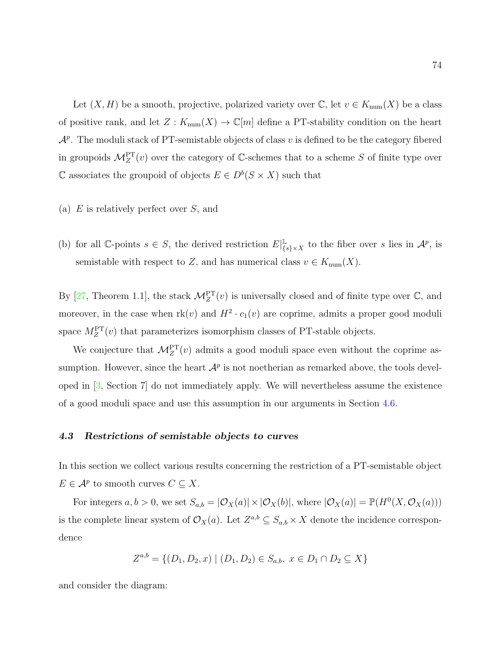Let  $(X, H)$  be a smooth, projective, polarized variety over  $\mathbb{C}$ , let  $v \in K_{\text{num}}(X)$  be a class of positive rank, and let  $Z: K_{\text{num}}(X) \to \mathbb{C}[m]$  define a PT-stability condition on the heart  $\mathcal{A}^p$ . The moduli stack of PT-semistable objects of class v is defined to be the category fibered in groupoids  $\mathcal{M}_Z^{\text{PT}}(v)$  over the category of C-schemes that to a scheme S of finite type over  $\mathbb C$  associates the groupoid of objects  $E \in D^b(S \times X)$  such that

- (a)  $E$  is relatively perfect over  $S$ , and
- (b) for all  $\mathbb{C}$ -points  $s \in S$ , the derived restriction  $E|_{I}^{\mathbb{L}}$  $\mathbb{L}_{\{s\}\times X}$  to the fiber over s lies in  $\mathcal{A}^p$ , is semistable with respect to Z, and has numerical class  $v \in K_{\text{num}}(X)$ .

By [\[27,](#page-109-0) Theorem 1.1], the stack  $\mathcal{M}_Z^{\text{PT}}(v)$  is universally closed and of finite type over  $\mathbb{C}$ , and moreover, in the case when  $rk(v)$  and  $H^2 \cdot c_1(v)$  are coprime, admits a proper good moduli space  $M_Z^{\text{PT}}(v)$  that parameterizes isomorphism classes of PT-stable objects.

We conjecture that  $\mathcal{M}_Z^{\text{PT}}(v)$  admits a good moduli space even without the coprime assumption. However, since the heart  $\mathcal{A}^p$  is not noetherian as remarked above, the tools developed in [\[3,](#page-107-1) Section 7] do not immediately apply. We will nevertheless assume the existence of a good moduli space and use this assumption in our arguments in Section [4.6.](#page-95-0)

#### 4.3 Restrictions of semistable objects to curves

In this section we collect various results concerning the restriction of a PT-semistable object  $E \in \mathcal{A}^p$  to smooth curves  $C \subseteq X$ .

For integers  $a, b > 0$ , we set  $S_{a,b} = |\mathcal{O}_X(a)| \times |\mathcal{O}_X(b)|$ , where  $|\mathcal{O}_X(a)| = \mathbb{P}(H^0(X, \mathcal{O}_X(a)))$ is the complete linear system of  $\mathcal{O}_X(a)$ . Let  $Z^{a,b} \subseteq S_{a,b} \times X$  denote the incidence correspondence

$$
Z^{a,b} = \{ (D_1, D_2, x) \mid (D_1, D_2) \in S_{a,b}, x \in D_1 \cap D_2 \subseteq X \}
$$

and consider the diagram: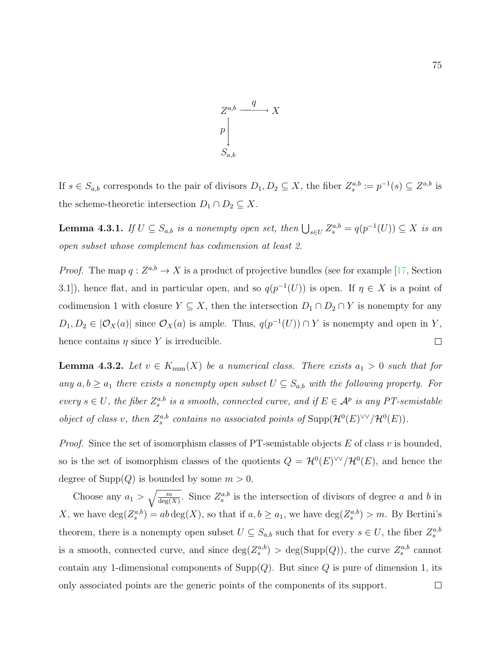

If  $s \in S_{a,b}$  corresponds to the pair of divisors  $D_1, D_2 \subseteq X$ , the fiber  $Z_s^{a,b} := p^{-1}(s) \subseteq Z^{a,b}$  is the scheme-theoretic intersection  $D_1 \cap D_2 \subseteq X$ .

<span id="page-82-1"></span>**Lemma 4.3.1.** If  $U \subseteq S_{a,b}$  is a nonempty open set, then  $\bigcup_{s \in U} Z_s^{a,b} = q(p^{-1}(U)) \subseteq X$  is an open subset whose complement has codimension at least 2.

*Proof.* The map  $q: Z^{a,b} \to X$  is a product of projective bundles (see for example [\[17,](#page-108-2) Section 3.1), hence flat, and in particular open, and so  $q(p^{-1}(U))$  is open. If  $\eta \in X$  is a point of codimension 1 with closure  $Y \subseteq X$ , then the intersection  $D_1 \cap D_2 \cap Y$  is nonempty for any  $D_1, D_2 \in |{\mathcal O}_X(a)|$  since  ${\mathcal O}_X(a)$  is ample. Thus,  $q(p^{-1}(U)) \cap Y$  is nonempty and open in Y, hence contains  $\eta$  since Y is irreducible.  $\Box$ 

<span id="page-82-0"></span>**Lemma 4.3.2.** Let  $v \in K_{num}(X)$  be a numerical class. There exists  $a_1 > 0$  such that for any  $a, b \ge a_1$  there exists a nonempty open subset  $U \subseteq S_{a,b}$  with the following property. For every  $s \in U$ , the fiber  $Z_s^{a,b}$  is a smooth, connected curve, and if  $E \in \mathcal{A}^p$  is any PT-semistable object of class v, then  $Z_s^{a,b}$  contains no associated points of  $\text{Supp}(\mathcal{H}^0(E)^{\vee\vee}/\mathcal{H}^0(E)).$ 

*Proof.* Since the set of isomorphism classes of PT-semistable objects  $E$  of class  $v$  is bounded, so is the set of isomorphism classes of the quotients  $Q = \mathcal{H}^0(E)^{\vee\vee}/\mathcal{H}^0(E)$ , and hence the degree of  $\text{Supp}(Q)$  is bounded by some  $m > 0$ .

Choose any  $a_1 > \sqrt{\frac{m}{\deg(X)}}$ . Since  $Z_s^{a,b}$  is the intersection of divisors of degree a and b in X, we have  $\deg(Z_s^{a,b}) = ab \deg(X)$ , so that if  $a, b \ge a_1$ , we have  $\deg(Z_s^{a,b}) > m$ . By Bertini's theorem, there is a nonempty open subset  $U \subseteq S_{a,b}$  such that for every  $s \in U$ , the fiber  $Z_s^{a,b}$ is a smooth, connected curve, and since  $deg(Z_s^{a,b}) > deg(Supp(Q))$ , the curve  $Z_s^{a,b}$  cannot contain any 1-dimensional components of  $\text{Supp}(Q)$ . But since Q is pure of dimension 1, its only associated points are the generic points of the components of its support. $\Box$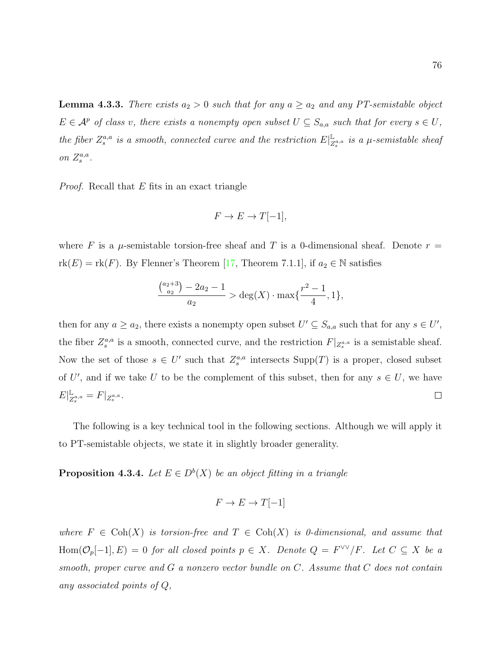<span id="page-83-0"></span>**Lemma 4.3.3.** There exists  $a_2 > 0$  such that for any  $a \ge a_2$  and any PT-semistable object  $E \in \mathcal{A}^p$  of class v, there exists a nonempty open subset  $U \subseteq S_{a,a}$  such that for every  $s \in U$ , the fiber  $Z_s^{a,a}$  is a smooth, connected curve and the restriction  $E|_Z^{\mathbb{L}}$  $\frac{\mathbb{L}}{Z^{a,a}_s}$  is a  $\mu$ -semistable sheaf on  $Z_s^{a,a}$ .

Proof. Recall that E fits in an exact triangle

$$
F \to E \to T[-1],
$$

where F is a  $\mu$ -semistable torsion-free sheaf and T is a 0-dimensional sheaf. Denote  $r =$  $rk(E) = rk(F)$ . By Flenner's Theorem [\[17,](#page-108-2) Theorem 7.1.1], if  $a_2 \in \mathbb{N}$  satisfies

$$
\frac{\binom{a_2+3}{a_2}-2a_2-1}{a_2} > \deg(X) \cdot \max\{\frac{r^2-1}{4}, 1\},\
$$

then for any  $a \ge a_2$ , there exists a nonempty open subset  $U' \subseteq S_{a,a}$  such that for any  $s \in U'$ , the fiber  $Z_s^{a,a}$  is a smooth, connected curve, and the restriction  $F|_{Z_s^{a,a}}$  is a semistable sheaf. Now the set of those  $s \in U'$  such that  $Z_s^{a,a}$  intersects  $\text{Supp}(T)$  is a proper, closed subset of U', and if we take U to be the complement of this subset, then for any  $s \in U$ , we have  $E|_{\mathcal{Z}}^{\mathbb{L}}$  $_{Z^{a,a}_s}=F|_{Z^{a,a}_s}.$  $\Box$ 

The following is a key technical tool in the following sections. Although we will apply it to PT-semistable objects, we state it in slightly broader generality.

<span id="page-83-1"></span>**Proposition 4.3.4.** Let  $E \in D^b(X)$  be an object fitting in a triangle

$$
F \to E \to T[-1]
$$

where  $F \in \text{Coh}(X)$  is torsion-free and  $T \in \text{Coh}(X)$  is 0-dimensional, and assume that Hom $(\mathcal{O}_p[-1], E) = 0$  for all closed points  $p \in X$ . Denote  $Q = F^{\vee \vee}/F$ . Let  $C \subseteq X$  be a smooth, proper curve and  $G$  a nonzero vector bundle on  $C$ . Assume that  $C$  does not contain any associated points of Q,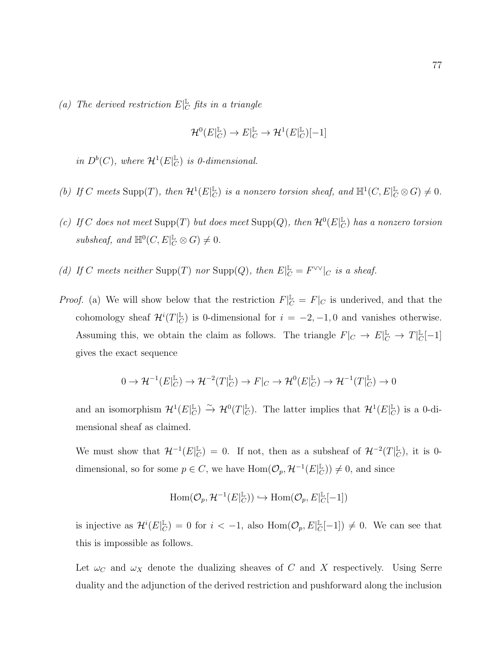(a) The derived restriction  $E|_{C}^{\mathbb{L}}$  fits in a triangle

$$
\mathcal{H}^0(E|_C^{\mathbb{L}}) \to E|_C^{\mathbb{L}} \to \mathcal{H}^1(E|_C^{\mathbb{L}})[-1]
$$

in  $D^b(C)$ , where  $\mathcal{H}^1(E|_C^{\mathbb{L}})$  $_{C}^{\mathbb{L}}$ ) is 0-dimensional.

- (b) If C meets Supp(T), then  $\mathcal{H}^1(E|_C^{\mathbb{L}})$  $_{C}^{\mathbb{L}}$ ) is a nonzero torsion sheaf, and  $\mathbb{H}^1(C, E|_{C}^{\mathbb{L}} \otimes G) \neq 0$ .
- (c) If C does not meet Supp(T) but does meet Supp(Q), then  $\mathcal{H}^0(E|_G^{\mathbb{L}})$  $_{C}^{\mathbb{L}}$ ) has a nonzero torsion subsheaf, and  $\mathbb{H}^0(C, E|_C^{\mathbb{L}} \otimes G) \neq 0$ .
- (d) If C meets neither Supp(T) nor Supp(Q), then  $E|_{C}^{\mathbb{L}} = F^{\vee\vee}|_{C}$  is a sheaf.
- *Proof.* (a) We will show below that the restriction  $F|_{C}^{\mathbb{L}} = F|_{C}$  is underived, and that the cohomology sheaf  $\mathcal{H}^i(T)_{\mathcal{C}}^{\mathbb{L}}$  $\mathbb{L}_{C}$ ) is 0-dimensional for  $i = -2, -1, 0$  and vanishes otherwise. Assuming this, we obtain the claim as follows. The triangle  $F|_C \to E|_C^{\mathbb{L}} \to T|_C^{\mathbb{L}}$  $_C^{\mathbb{L}}[-1]$ gives the exact sequence

$$
0 \to \mathcal{H}^{-1}(E|_C^{\mathbb{L}}) \to \mathcal{H}^{-2}(T|_C^{\mathbb{L}}) \to F|_C \to \mathcal{H}^0(E|_C^{\mathbb{L}}) \to \mathcal{H}^{-1}(T|_C^{\mathbb{L}}) \to 0
$$

and an isomorphism  $\mathcal{H}^1(E|_C^{\mathbb{L}})$  $_{C}^{\mathbb{L}}$ )  $\stackrel{\sim}{\rightarrow}$   $\mathcal{H}^{0}(T|_{C}^{\mathbb{L}})$  $_{C}^{\mathbb{L}}$ ). The latter implies that  $\mathcal{H}^1(E|_{C}^{\mathbb{L}})$  $_C^{\mathbb{L}}$ ) is a 0-dimensional sheaf as claimed.

We must show that  $\mathcal{H}^{-1}(E|_{\mathcal{L}}^{\mathbb{L}})$  $\mathcal{L}_{C}^{L}$ ) = 0. If not, then as a subsheaf of  $\mathcal{H}^{-2}(T)\mathcal{L}_{C}^{L}$  $_{C}^{\mathbb{L}}$ ), it is 0dimensional, so for some  $p \in C$ , we have  $\text{Hom}(\mathcal{O}_p, \mathcal{H}^{-1}(E)_{\mathcal{O}}^{\mathbb{L}})$  $_{C}^{\mathbb{L}}$ )  $\neq$  0, and since

$$
\mathrm{Hom}(\mathcal{O}_{p},\mathcal{H}^{-1}(E|_{C}^{\mathbb{L}}))\hookrightarrow \mathrm{Hom}(\mathcal{O}_{p},E|_{C}^{\mathbb{L}}[-1])
$$

is injective as  $\mathcal{H}^i(E_{\mathcal{C}}^{\mathbb{L}})$  $\mathcal{L}_C^{\mathbb{L}}$ ) = 0 for  $i < -1$ , also Hom $(\mathcal{O}_p, E)_{C}^{\mathbb{L}}$  $_{C}^{\mathbb{L}}[-1]$   $\neq$  0. We can see that this is impossible as follows.

Let  $\omega_C$  and  $\omega_X$  denote the dualizing sheaves of C and X respectively. Using Serre duality and the adjunction of the derived restriction and pushforward along the inclusion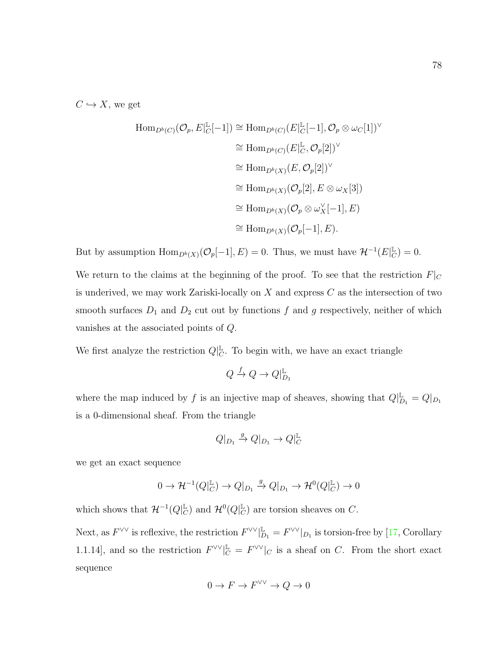$C \hookrightarrow X$ , we get

$$
\text{Hom}_{D^b(C)}(\mathcal{O}_p, E|_{C}^{\mathbb{L}}[-1]) \cong \text{Hom}_{D^b(C)}(E|_{C}^{\mathbb{L}}[-1], \mathcal{O}_p \otimes \omega_C[1])^{\vee}
$$
  
\n
$$
\cong \text{Hom}_{D^b(C)}(E|_{C}^{\mathbb{L}}, \mathcal{O}_p[2])^{\vee}
$$
  
\n
$$
\cong \text{Hom}_{D^b(X)}(E, \mathcal{O}_p[2])^{\vee}
$$
  
\n
$$
\cong \text{Hom}_{D^b(X)}(\mathcal{O}_p[2], E \otimes \omega_X[3])
$$
  
\n
$$
\cong \text{Hom}_{D^b(X)}(\mathcal{O}_p \otimes \omega_X^{\vee}[-1], E)
$$
  
\n
$$
\cong \text{Hom}_{D^b(X)}(\mathcal{O}_p[-1], E).
$$

But by assumption  $\text{Hom}_{D^b(X)}(\mathcal{O}_p[-1], E) = 0$ . Thus, we must have  $\mathcal{H}^{-1}(E|_C^{\mathbb{L}})$  $_C^{\mathbb{L}}$ ) = 0.

We return to the claims at the beginning of the proof. To see that the restriction  $F\vert_C$ is underived, we may work Zariski-locally on  $X$  and express  $C$  as the intersection of two smooth surfaces  $D_1$  and  $D_2$  cut out by functions f and g respectively, neither of which vanishes at the associated points of Q.

We first analyze the restriction  $Q|_C^{\mathbb{L}}$  $_{C}^{\mathbb{L}}$ . To begin with, we have an exact triangle

$$
Q \xrightarrow{f} Q \to Q|_{D_1}^{\mathbb{L}}
$$

where the map induced by f is an injective map of sheaves, showing that  $Q|_{D_1}^{\mathbb{L}} = Q|_{D_1}$ is a 0-dimensional sheaf. From the triangle

$$
Q|_{D_1} \xrightarrow{g} Q|_{D_1} \to Q|_{C}^{\mathbb{L}}
$$

we get an exact sequence

$$
0 \to \mathcal{H}^{-1}(Q|_{C}^{\mathbb{L}}) \to Q|_{D_1} \xrightarrow{g} Q|_{D_1} \to \mathcal{H}^0(Q|_{C}^{\mathbb{L}}) \to 0
$$

which shows that  $\mathcal{H}^{-1}(Q)_{\mathcal{C}}^{\mathbb{L}}$  $_{C}^{\mathbb{L}}$ ) and  $\mathcal{H}^{0}(Q|_{C}^{\mathbb{L}}$  $_C^{\mathbb{L}}$ ) are torsion sheaves on C.

Next, as  $F^{\vee\vee}$  is reflexive, the restriction  $F^{\vee\vee}|_{D_1}^{\mathbb{L}} = F^{\vee\vee}|_{D_1}$  is torsion-free by [\[17,](#page-108-2) Corollary 1.1.14, and so the restriction  $F^{\vee\vee}|_{C}^{\mathbb{L}} = F^{\vee\vee}|_{C}$  is a sheaf on C. From the short exact sequence

$$
0 \to F \to F^{\vee\vee} \to Q \to 0
$$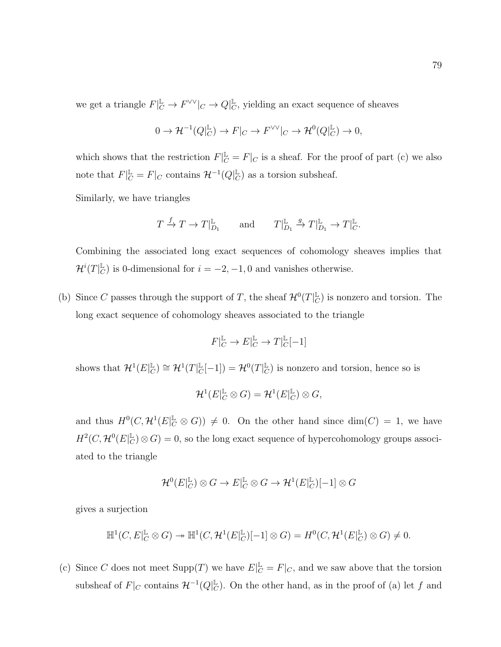we get a triangle  $F|_{C}^{\mathbb{L}} \to F^{\vee\vee}|_{C} \to Q|_{C}^{\mathbb{L}}$  $\mathbb{L}_{C}$ , yielding an exact sequence of sheaves

$$
0 \to \mathcal{H}^{-1}(Q|_C^{\mathbb{L}}) \to F|_C \to F^{\vee \vee}|_C \to \mathcal{H}^0(Q|_C^{\mathbb{L}}) \to 0,
$$

which shows that the restriction  $F|_{C}^{\mathbb{L}} = F|_{C}$  is a sheaf. For the proof of part (c) we also note that  $F|_{C}^{\mathbb{L}} = F|_{C}$  contains  $\mathcal{H}^{-1}(Q|_{C}^{\mathbb{L}})$  $_{C}^{\mathbb{L}}$ ) as a torsion subsheaf.

Similarly, we have triangles

$$
T \xrightarrow{f} T \to T|_{D_1}^{\mathbb{L}} \quad \text{and} \quad T|_{D_1}^{\mathbb{L}} \xrightarrow{g} T|_{D_1}^{\mathbb{L}} \to T|_{C}^{\mathbb{L}}.
$$

Combining the associated long exact sequences of cohomology sheaves implies that  $\mathcal{H}^i(T|_C^\mathbb{L}$  $\mathbb{L}_{C}$ ) is 0-dimensional for  $i = -2, -1, 0$  and vanishes otherwise.

(b) Since C passes through the support of T, the sheaf  $\mathcal{H}^0(T|\mathcal{L})$  $_{C}^{\mathbb{L}}$ ) is nonzero and torsion. The long exact sequence of cohomology sheaves associated to the triangle

$$
F|_C^{\mathbb{L}} \to E|_C^{\mathbb{L}} \to T|_C^{\mathbb{L}}[-1]
$$

shows that  $\mathcal{H}^1(E|_C^{\mathbb{L}})$  $_{C}^{\mathbb{L}}$ )  $\cong$   $\mathcal{H}^1(T|_{C}^{\mathbb{L}})$  $_{C}^{\mathbb{L}}[-1])=\mathcal{H}^{0}(T|_{C}^{\mathbb{L}})$  $_{C}^{\mathbb{L}}$ ) is nonzero and torsion, hence so is

$$
\mathcal{H}^1(E|_C^{\mathbb{L}} \otimes G) = \mathcal{H}^1(E|_C^{\mathbb{L}}) \otimes G,
$$

and thus  $H^0(C, \mathcal{H}^1(E_{|C}^{\mathbb{L}} \otimes G)) \neq 0$ . On the other hand since  $\dim(C) = 1$ , we have  $H^2(C, \mathcal{H}^0(E)[^{\mathbb{L}}_C$  $\mathbb{L}_C^{\mathbb{L}}(\mathbb{C}) \otimes G = 0$ , so the long exact sequence of hypercohomology groups associated to the triangle

$$
\mathcal{H}^0(E|_C^{\mathbb{L}}) \otimes G \to E|_C^{\mathbb{L}} \otimes G \to \mathcal{H}^1(E|_C^{\mathbb{L}})[-1] \otimes G
$$

gives a surjection

$$
\mathbb{H}^1(C, E|_C^{\mathbb{L}} \otimes G) \to \mathbb{H}^1(C, \mathcal{H}^1(E|_C^{\mathbb{L}})[-1] \otimes G) = H^0(C, \mathcal{H}^1(E|_C^{\mathbb{L}}) \otimes G) \neq 0.
$$

(c) Since C does not meet  $\text{Supp}(T)$  we have  $E|_C^{\mathbb{L}} = F|_C$ , and we saw above that the torsion subsheaf of  $F|_C$  contains  $\mathcal{H}^{-1}(Q|_C^{\mathbb{L}})$  $\mathbb{L}_{\mathcal{C}}$ ). On the other hand, as in the proof of (a) let f and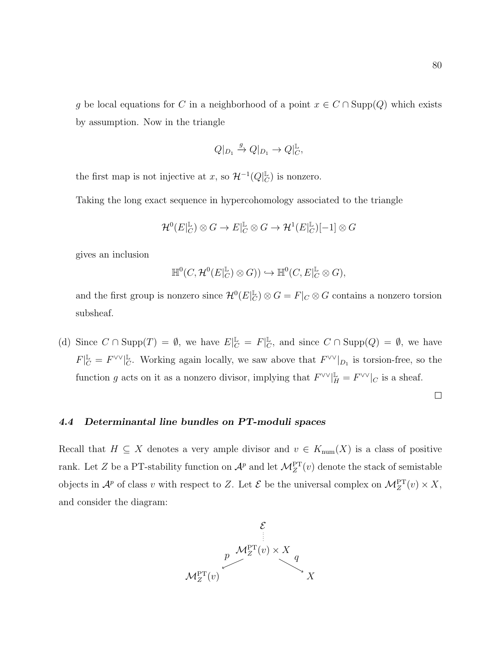g be local equations for C in a neighborhood of a point  $x \in C \cap \text{Supp}(Q)$  which exists by assumption. Now in the triangle

$$
Q|_{D_1} \xrightarrow{g} Q|_{D_1} \to Q|_{C}^{\mathbb{L}},
$$

the first map is not injective at x, so  $\mathcal{H}^{-1}(Q_{\mathcal{C}}^{\mathbb{L}})$  $_C^{\mathbb{L}}$ ) is nonzero.

Taking the long exact sequence in hypercohomology associated to the triangle

$$
\mathcal{H}^0(E|_C^{\mathbb{L}}) \otimes G \to E|_C^{\mathbb{L}} \otimes G \to \mathcal{H}^1(E|_C^{\mathbb{L}})[-1] \otimes G
$$

gives an inclusion

$$
\mathbb{H}^0(C, \mathcal{H}^0(E|_C^{\mathbb{L}}) \otimes G)) \hookrightarrow \mathbb{H}^0(C, E|_C^{\mathbb{L}} \otimes G),
$$

and the first group is nonzero since  $\mathcal{H}^0(E|_C^{\mathbb{L}})$  $_C^{\mathbb{L}}$ )  $\otimes G = F|_C \otimes G$  contains a nonzero torsion subsheaf.

(d) Since  $C \cap \text{Supp}(T) = \emptyset$ , we have  $E|_{C}^{\mathbb{L}} = F|_{C}^{\mathbb{L}}$  $\mathcal{L}_{C}$ , and since  $C \cap \text{Supp}(Q) = \emptyset$ , we have  $F|_C^{\mathbb{L}} = F^{\vee\vee}|_C^{\mathbb{L}}$ Let Us are usually, we saw above that  $F^{\vee\vee}|_{D_1}$  is torsion-free, so the function g acts on it as a nonzero divisor, implying that  $F^{\vee\vee}|_H^{\mathbb{L}} = F^{\vee\vee}|_C$  is a sheaf.

 $\Box$ 

## 4.4 Determinantal line bundles on PT-moduli spaces

Recall that  $H \subseteq X$  denotes a very ample divisor and  $v \in K_{num}(X)$  is a class of positive rank. Let Z be a PT-stability function on  $\mathcal{A}^p$  and let  $\mathcal{M}_Z^{\text{PT}}(v)$  denote the stack of semistable objects in  $\mathcal{A}^p$  of class v with respect to Z. Let  $\mathcal{E}$  be the universal complex on  $\mathcal{M}_Z^{\text{PT}}(v) \times X$ , and consider the diagram:

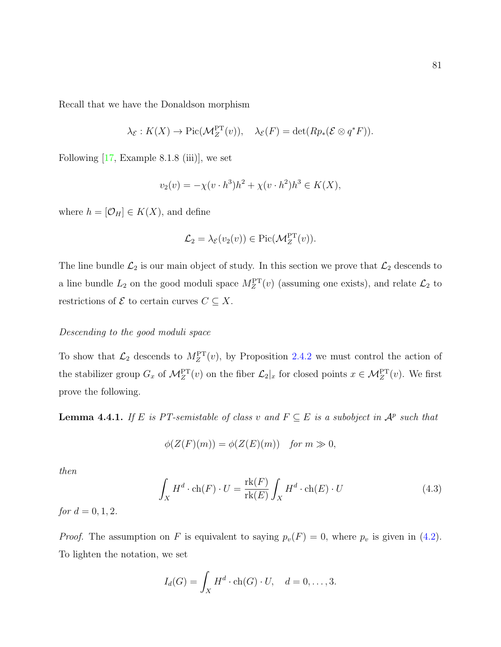Recall that we have the Donaldson morphism

$$
\lambda_{\mathcal{E}} : K(X) \to Pic(\mathcal{M}_Z^{\text{PT}}(v)), \quad \lambda_{\mathcal{E}}(F) = \det(Rp_*(\mathcal{E} \otimes q^*F)).
$$

Following  $[17, \text{Example } 8.1.8 \text{ (iii)}]$ , we set

$$
v_2(v) = -\chi(v \cdot h^3)h^2 + \chi(v \cdot h^2)h^3 \in K(X),
$$

where  $h = [\mathcal{O}_H] \in K(X)$ , and define

$$
\mathcal{L}_2 = \lambda_{\mathcal{E}}(v_2(v)) \in \mathrm{Pic}(\mathcal{M}_Z^{\mathrm{PT}}(v)).
$$

The line bundle  $\mathcal{L}_2$  is our main object of study. In this section we prove that  $\mathcal{L}_2$  descends to a line bundle  $L_2$  on the good moduli space  $M_Z^{\rm PT}(v)$  (assuming one exists), and relate  $\mathcal{L}_2$  to restrictions of  $\mathcal E$  to certain curves  $C \subseteq X$ .

#### Descending to the good moduli space

To show that  $\mathcal{L}_2$  descends to  $M_Z^{\text{PT}}(v)$ , by Proposition [2.4.2](#page-25-0) we must control the action of the stabilizer group  $G_x$  of  $\mathcal{M}_Z^{\text{PT}}(v)$  on the fiber  $\mathcal{L}_2|_x$  for closed points  $x \in \mathcal{M}_Z^{\text{PT}}(v)$ . We first prove the following.

<span id="page-88-1"></span>**Lemma 4.4.1.** If E is PT-semistable of class v and  $F \subseteq E$  is a subobject in  $\mathcal{A}^p$  such that

$$
\phi(Z(F)(m)) = \phi(Z(E)(m)) \quad \text{for } m \gg 0,
$$

then

<span id="page-88-0"></span>
$$
\int_{X} H^{d} \cdot \text{ch}(F) \cdot U = \frac{\text{rk}(F)}{\text{rk}(E)} \int_{X} H^{d} \cdot \text{ch}(E) \cdot U \tag{4.3}
$$

*for*  $d = 0, 1, 2$ .

*Proof.* The assumption on F is equivalent to saying  $p_v(F) = 0$ , where  $p_v$  is given in [\(4.2\)](#page-78-0). To lighten the notation, we set

$$
I_d(G) = \int_X H^d \cdot \text{ch}(G) \cdot U, \quad d = 0, \dots, 3.
$$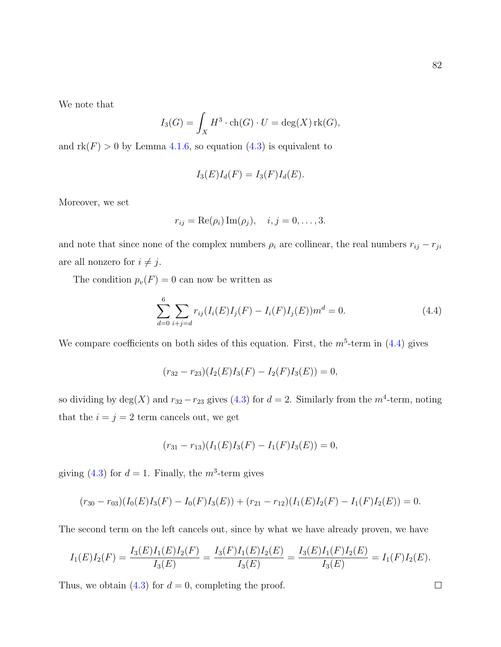We note that

$$
I_3(G) = \int_X H^3 \cdot \text{ch}(G) \cdot U = \text{deg}(X) \text{rk}(G),
$$

and  $rk(F) > 0$  by Lemma [4.1.6,](#page-80-0) so equation  $(4.3)$  is equivalent to

$$
I_3(E)I_d(F) = I_3(F)I_d(E).
$$

Moreover, we set

$$
r_{ij} = \text{Re}(\rho_i) \,\text{Im}(\rho_j), \quad i, j = 0, \ldots, 3.
$$

and note that since none of the complex numbers  $\rho_i$  are collinear, the real numbers  $r_{ij} - r_{ji}$ are all nonzero for  $i \neq j$ .

The condition  $p_v(F) = 0$  can now be written as

<span id="page-89-0"></span>
$$
\sum_{d=0}^{6} \sum_{i+j=d} r_{ij} (I_i(E)I_j(F) - I_i(F)I_j(E))m^d = 0.
$$
\n(4.4)

We compare coefficients on both sides of this equation. First, the  $m^5$ -term in [\(4.4\)](#page-89-0) gives

$$
(r_{32}-r_{23})(I_2(E)I_3(F) - I_2(F)I_3(E)) = 0,
$$

so dividing by  $deg(X)$  and  $r_{32} - r_{23}$  gives [\(4.3\)](#page-88-0) for  $d = 2$ . Similarly from the  $m^4$ -term, noting that the  $i = j = 2$  term cancels out, we get

$$
(r_{31} - r_{13})(I_1(E)I_3(F) - I_1(F)I_3(E)) = 0,
$$

giving [\(4.3\)](#page-88-0) for  $d = 1$ . Finally, the  $m^3$ -term gives

$$
(r_{30}-r_{03})(I_0(E)I_3(F)-I_0(F)I_3(E))+(r_{21}-r_{12})(I_1(E)I_2(F)-I_1(F)I_2(E))=0.
$$

The second term on the left cancels out, since by what we have already proven, we have

$$
I_1(E)I_2(F) = \frac{I_3(E)I_1(E)I_2(F)}{I_3(E)} = \frac{I_3(F)I_1(E)I_2(E)}{I_3(E)} = \frac{I_3(E)I_1(F)I_2(E)}{I_3(E)} = I_1(F)I_2(E).
$$

Thus, we obtain [\(4.3\)](#page-88-0) for  $d = 0$ , completing the proof.

 $\Box$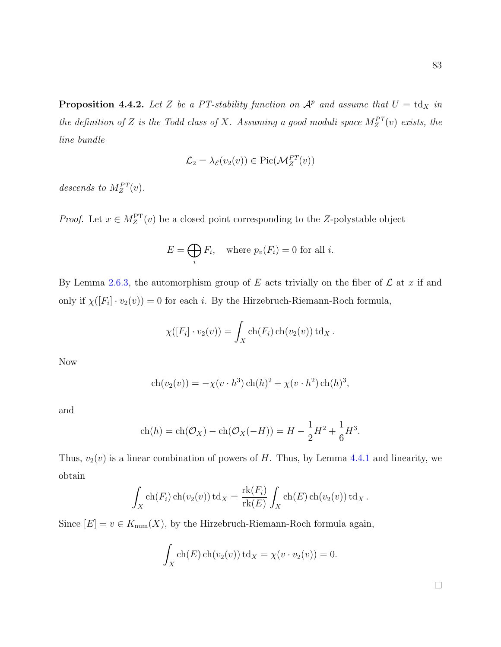<span id="page-90-0"></span>**Proposition 4.4.2.** Let Z be a PT-stability function on  $\mathcal{A}^p$  and assume that  $U = \text{td}_X$  in the definition of Z is the Todd class of X. Assuming a good moduli space  $M_Z^{PT}(v)$  exists, the line bundle

$$
\mathcal{L}_2 = \lambda_{\mathcal{E}}(v_2(v)) \in \mathrm{Pic}(\mathcal{M}_Z^{PT}(v))
$$

descends to  $M_Z^{PT}(v)$ .

*Proof.* Let  $x \in M_Z^{\text{PT}}(v)$  be a closed point corresponding to the Z-polystable object

$$
E = \bigoplus_{i} F_i, \quad \text{where } p_v(F_i) = 0 \text{ for all } i.
$$

By Lemma [2.6.3,](#page-35-0) the automorphism group of E acts trivially on the fiber of  $\mathcal L$  at x if and only if  $\chi([F_i] \cdot v_2(v)) = 0$  for each *i*. By the Hirzebruch-Riemann-Roch formula,

$$
\chi([F_i] \cdot v_2(v)) = \int_X \operatorname{ch}(F_i) \operatorname{ch}(v_2(v)) \operatorname{td}_X.
$$

Now

$$
ch(v_2(v)) = -\chi(v \cdot h^3) ch(h)^2 + \chi(v \cdot h^2) ch(h)^3,
$$

and

$$
ch(h) = ch(O_X) - ch(O_X(-H)) = H - \frac{1}{2}H^2 + \frac{1}{6}H^3.
$$

Thus,  $v_2(v)$  is a linear combination of powers of H. Thus, by Lemma [4.4.1](#page-88-1) and linearity, we obtain

$$
\int_X \operatorname{ch}(F_i) \operatorname{ch}(v_2(v)) \operatorname{td}_X = \frac{\operatorname{rk}(F_i)}{\operatorname{rk}(E)} \int_X \operatorname{ch}(E) \operatorname{ch}(v_2(v)) \operatorname{td}_X.
$$

Since  $[E] = v \in K_{\text{num}}(X)$ , by the Hirzebruch-Riemann-Roch formula again,

$$
\int_X \operatorname{ch}(E) \operatorname{ch}(v_2(v)) \operatorname{td}_X = \chi(v \cdot v_2(v)) = 0.
$$

 $\Box$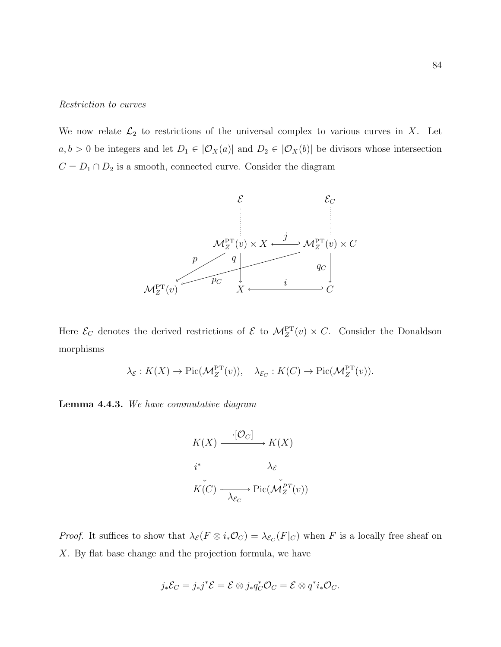#### Restriction to curves

We now relate  $\mathcal{L}_2$  to restrictions of the universal complex to various curves in X. Let  $a, b > 0$  be integers and let  $D_1 \in |\mathcal{O}_X(a)|$  and  $D_2 \in |\mathcal{O}_X(b)|$  be divisors whose intersection  $C = D_1 \cap D_2$  is a smooth, connected curve. Consider the diagram



Here  $\mathcal{E}_C$  denotes the derived restrictions of  $\mathcal{E}$  to  $\mathcal{M}_Z^{\text{PT}}(v) \times C$ . Consider the Donaldson morphisms

$$
\lambda_{\mathcal{E}} : K(X) \to \mathrm{Pic}(\mathcal{M}_Z^{\mathrm{PT}}(v)), \quad \lambda_{\mathcal{E}_C} : K(C) \to \mathrm{Pic}(\mathcal{M}_Z^{\mathrm{PT}}(v)).
$$

<span id="page-91-0"></span>Lemma 4.4.3. We have commutative diagram

$$
K(X) \xrightarrow{\cdot [\mathcal{O}_C]} K(X)
$$
  
\n
$$
i^* \downarrow \qquad \lambda_{\mathcal{E}} \downarrow
$$
  
\n
$$
K(C) \xrightarrow{\cdot} \text{Pic}(\mathcal{M}_Z^{PT}(v))
$$

*Proof.* It suffices to show that  $\lambda_{\mathcal{E}}(F \otimes i_* \mathcal{O}_C) = \lambda_{\mathcal{E}_C}(F|_C)$  when F is a locally free sheaf on X. By flat base change and the projection formula, we have

$$
j_*\mathcal{E}_C=j_*j^*\mathcal{E}=\mathcal{E}\otimes j_*q_C^*\mathcal{O}_C=\mathcal{E}\otimes q^*i_*\mathcal{O}_C.
$$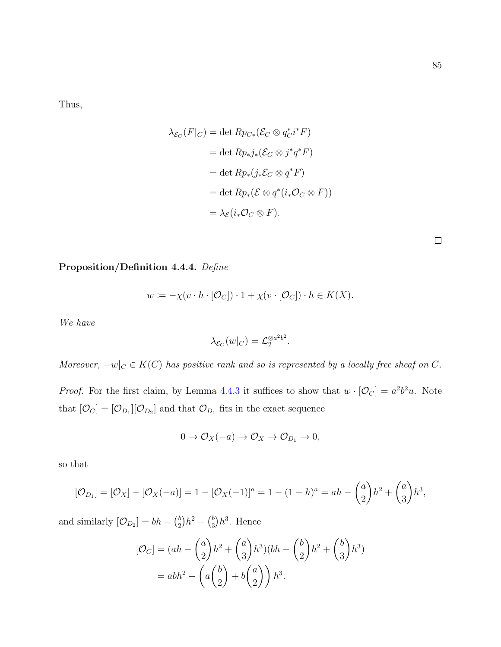Thus,

$$
\lambda_{\mathcal{E}_C}(F|_C) = \det Rp_{C*}(\mathcal{E}_C \otimes q_C^* i^* F)
$$
  
= 
$$
\det Rp_*j_*(\mathcal{E}_C \otimes j^* q^* F)
$$
  
= 
$$
\det Rp_*(j_*\mathcal{E}_C \otimes q^* F)
$$
  
= 
$$
\det Rp_*(\mathcal{E} \otimes q^*(i_*\mathcal{O}_C \otimes F))
$$
  
= 
$$
\lambda_{\mathcal{E}}(i_*\mathcal{O}_C \otimes F).
$$

<span id="page-92-0"></span>Proposition/Definition 4.4.4. Define

$$
w := -\chi(v \cdot h \cdot [\mathcal{O}_C]) \cdot 1 + \chi(v \cdot [\mathcal{O}_C]) \cdot h \in K(X).
$$

We have

$$
\lambda_{\mathcal{E}_C}(w|_C) = \mathcal{L}_2^{\otimes a^2 b^2}.
$$

Moreover,  $-w|_{C} \in K(C)$  has positive rank and so is represented by a locally free sheaf on C.

*Proof.* For the first claim, by Lemma [4.4.3](#page-91-0) it suffices to show that  $w \cdot [\mathcal{O}_C] = a^2 b^2 u$ . Note that  $[\mathcal{O}_C] = [\mathcal{O}_{D_1}][\mathcal{O}_{D_2}]$  and that  $\mathcal{O}_{D_1}$  fits in the exact sequence

$$
0 \to \mathcal{O}_X(-a) \to \mathcal{O}_X \to \mathcal{O}_{D_1} \to 0,
$$

so that

$$
[\mathcal{O}_{D_1}] = [\mathcal{O}_X] - [\mathcal{O}_X(-a)] = 1 - [\mathcal{O}_X(-1)]^a = 1 - (1 - h)^a = ah - \binom{a}{2}h^2 + \binom{a}{3}h^3,
$$

and similarly  $[\mathcal{O}_{D_2}] = bh - {b \choose 2}$  $\binom{b}{2}h^2 + \binom{b}{3}$  $\binom{b}{3}h^3$ . Hence

$$
[\mathcal{O}_C] = (ah - \binom{a}{2}h^2 + \binom{a}{3}h^3)(bh - \binom{b}{2}h^2 + \binom{b}{3}h^3)
$$

$$
= abh^2 - \left(a\binom{b}{2} + b\binom{a}{2}\right)h^3.
$$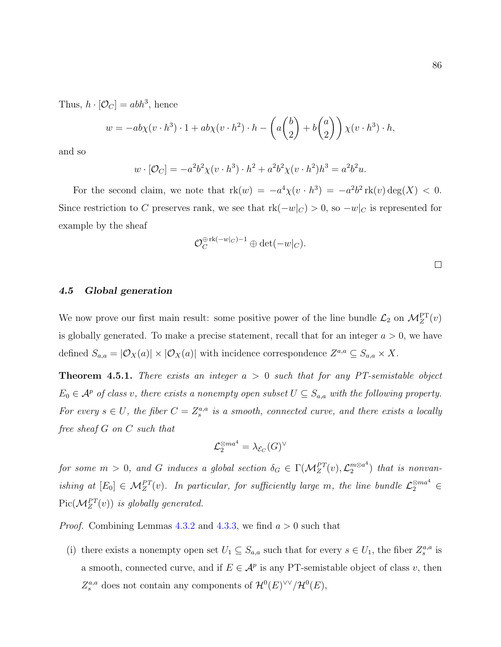Thus,  $h \cdot [\mathcal{O}_C] = abh^3$ , hence

$$
w = -ab\chi(v \cdot h^3) \cdot 1 + ab\chi(v \cdot h^2) \cdot h - \left(a\binom{b}{2} + b\binom{a}{2}\right)\chi(v \cdot h^3) \cdot h,
$$

and so

$$
w \cdot [\mathcal{O}_C] = -a^2 b^2 \chi(v \cdot h^3) \cdot h^2 + a^2 b^2 \chi(v \cdot h^2) h^3 = a^2 b^2 u.
$$

For the second claim, we note that  $rk(w) = -a^4\chi(v \cdot h^3) = -a^2b^2 \, rk(v) \deg(X) < 0$ . Since restriction to C preserves rank, we see that  $rk(-w|_{C}) > 0$ , so  $-w|_{C}$  is represented for example by the sheaf

$$
{\mathcal O}_C^{\oplus \operatorname{rk}(-w|_C)-1} \oplus \det(-w|_C).
$$

 $\Box$ 

## 4.5 Global generation

We now prove our first main result: some positive power of the line bundle  $\mathcal{L}_2$  on  $\mathcal{M}_Z^{\text{PT}}(v)$ is globally generated. To make a precise statement, recall that for an integer  $a > 0$ , we have defined  $S_{a,a} = |\mathcal{O}_X(a)| \times |\mathcal{O}_X(a)|$  with incidence correspondence  $Z^{a,a} \subseteq S_{a,a} \times X$ .

<span id="page-93-0"></span>**Theorem 4.5.1.** There exists an integer  $a > 0$  such that for any PT-semistable object  $E_0 \in \mathcal{A}^p$  of class v, there exists a nonempty open subset  $U \subseteq S_{a,a}$  with the following property. For every  $s \in U$ , the fiber  $C = Z_s^{a,a}$  is a smooth, connected curve, and there exists a locally free sheaf G on C such that

$$
\mathcal{L}_{2}^{\otimes ma^{4}}=\lambda_{\mathcal{E}_{C}}(G)^{\vee}
$$

for some  $m > 0$ , and G induces a global section  $\delta_G \in \Gamma(\mathcal{M}_Z^{PT}(v), \mathcal{L}_2^{m \otimes a^4})$  $\binom{m\otimes a^*}{2}$  that is nonvanishing at  $[E_0] \in M_Z^{PT}(v)$ . In particular, for sufficiently large m, the line bundle  $\mathcal{L}_2^{\otimes ma^4}$  $Pic(\mathcal{M}_Z^{PT}(v))$  is globally generated.

*Proof.* Combining Lemmas [4.3.2](#page-82-0) and [4.3.3,](#page-83-0) we find  $a > 0$  such that

(i) there exists a nonempty open set  $U_1 \subseteq S_{a,a}$  such that for every  $s \in U_1$ , the fiber  $Z_s^{a,a}$  is a smooth, connected curve, and if  $E \in \mathcal{A}^p$  is any PT-semistable object of class v, then  $Z_s^{a,a}$  does not contain any components of  $\mathcal{H}^0(E)^{\vee\vee}/\mathcal{H}^0(E)$ ,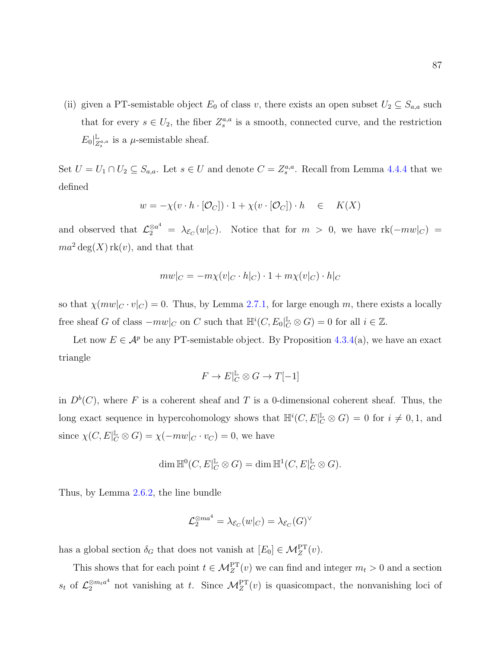(ii) given a PT-semistable object  $E_0$  of class v, there exists an open subset  $U_2 \subseteq S_{a,a}$  such that for every  $s \in U_2$ , the fiber  $Z_s^{a,a}$  is a smooth, connected curve, and the restriction  $E_0|^{\mathbb{L}}_Z$  $\mathbb{Z}_s^{a,a}$  is a  $\mu$ -semistable sheaf.

Set  $U = U_1 \cap U_2 \subseteq S_{a,a}$ . Let  $s \in U$  and denote  $C = Z_s^{a,a}$ . Recall from Lemma [4.4.4](#page-92-0) that we defined

$$
w = -\chi(v \cdot h \cdot [\mathcal{O}_C]) \cdot 1 + \chi(v \cdot [\mathcal{O}_C]) \cdot h \in K(X)
$$

and observed that  $\mathcal{L}_2^{\otimes a^4} = \lambda_{\mathcal{E}_C}(w|_C)$ . Notice that for  $m > 0$ , we have  $\text{rk}(-mw|_C) =$  $ma^2 \deg(X)$  rk(v), and that that

$$
mw|_C = -m\chi(v|_C \cdot h|_C) \cdot 1 + m\chi(v|_C) \cdot h|_C
$$

so that  $\chi(mw|_C \cdot v|_C) = 0$ . Thus, by Lemma [2.7.1,](#page-37-0) for large enough m, there exists a locally free sheaf G of class  $-mw|_C$  on C such that  $\mathbb{H}^i(C, E_0|_C^{\mathbb{L}} \otimes G) = 0$  for all  $i \in \mathbb{Z}$ .

Let now  $E \in \mathcal{A}^p$  be any PT-semistable object. By Proposition [4.3.4\(](#page-83-1)a), we have an exact triangle

$$
F\to E|_C^{\mathbb{L}}\otimes G\to T[-1]
$$

in  $D<sup>b</sup>(C)$ , where F is a coherent sheaf and T is a 0-dimensional coherent sheaf. Thus, the long exact sequence in hypercohomology shows that  $\mathbb{H}^i(C, E|_{C}^{\mathbb{L}} \otimes G) = 0$  for  $i \neq 0, 1$ , and since  $\chi(C, E|_{C}^{\mathbb{L}} \otimes G) = \chi(-mw|_{C} \cdot v_{C}) = 0$ , we have

$$
\dim \mathbb{H}^0(C, E|_C^{\mathbb{L}} \otimes G) = \dim \mathbb{H}^1(C, E|_C^{\mathbb{L}} \otimes G).
$$

Thus, by Lemma [2.6.2,](#page-33-0) the line bundle

$$
\mathcal{L}_2^{\otimes ma^4}=\lambda_{\mathcal{E}_C}(w|_C)=\lambda_{\mathcal{E}_C}(G)^\vee
$$

has a global section  $\delta_G$  that does not vanish at  $[E_0] \in \mathcal{M}_Z^{\text{PT}}(v)$ .

This shows that for each point  $t \in \mathcal{M}_Z^{\text{PT}}(v)$  we can find and integer  $m_t > 0$  and a section  $s_t$  of  $\mathcal{L}_2^{\otimes m_t a^4}$  not vanishing at t. Since  $\mathcal{M}_Z^{\text{PT}}(v)$  is quasicompact, the nonvanishing loci of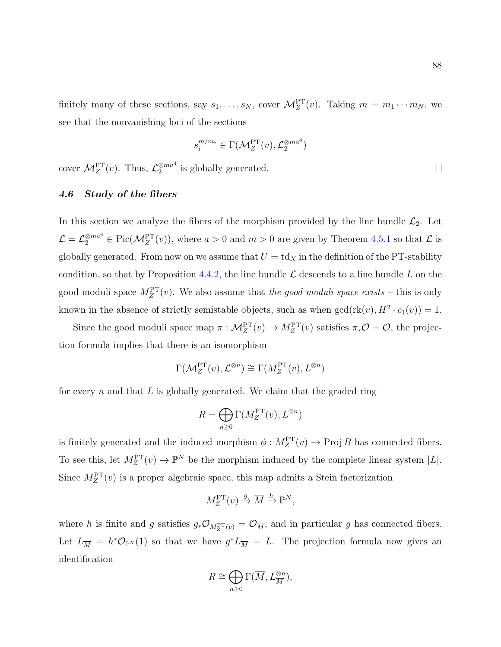finitely many of these sections, say  $s_1, \ldots, s_N$ , cover  $\mathcal{M}_Z^{\text{PT}}(v)$ . Taking  $m = m_1 \cdots m_N$ , we see that the nonvanishing loci of the sections

$$
s_i^{m/m_i} \in \Gamma(\mathcal{M}_Z^{\rm PT}(v), \mathcal{L}_2^{\otimes ma^4})
$$

cover  $\mathcal{M}_Z^{\text{PT}}(v)$ . Thus,  $\mathcal{L}_2^{\otimes ma^4}$  is globally generated.

## <span id="page-95-0"></span>4.6 Study of the fibers

In this section we analyze the fibers of the morphism provided by the line bundle  $\mathcal{L}_2$ . Let  $\mathcal{L} = \mathcal{L}_2^{\otimes ma^4} \in \text{Pic}(\mathcal{M}_Z^{\text{PT}}(v)),$  where  $a > 0$  and  $m > 0$  are given by Theorem [4.5.1](#page-93-0) so that  $\mathcal{L}$  is globally generated. From now on we assume that  $U = \text{td}_X$  in the definition of the PT-stability condition, so that by Proposition [4.4.2,](#page-90-0) the line bundle  $\mathcal L$  descends to a line bundle L on the good moduli space  $M_Z^{\text{PT}}(v)$ . We also assume that the good moduli space exists – this is only known in the absence of strictly semistable objects, such as when  $gcd(r k(v), H^2 \cdot c_1(v)) = 1$ .

Since the good moduli space map  $\pi: \mathcal{M}_Z^{\text{PT}}(v) \to M_Z^{\text{PT}}(v)$  satisfies  $\pi_* \mathcal{O} = \mathcal{O}$ , the projection formula implies that there is an isomorphism

$$
\Gamma(\mathcal{M}_Z^{\text{PT}}(v), \mathcal{L}^{\otimes n}) \cong \Gamma(M_Z^{\text{PT}}(v), L^{\otimes n})
$$

for every n and that L is globally generated. We claim that the graded ring

$$
R = \bigoplus_{n \ge 0} \Gamma(M_Z^{\text{PT}}(v), L^{\otimes n})
$$

is finitely generated and the induced morphism  $\phi: M_Z^{\text{PT}}(v) \to \text{Proj } R$  has connected fibers. To see this, let  $M_Z^{\text{PT}}(v) \to \mathbb{P}^N$  be the morphism induced by the complete linear system  $|L|$ . Since  $M_Z^{\text{PT}}(v)$  is a proper algebraic space, this map admits a Stein factorization

$$
M_Z^{\rm PT}(v) \xrightarrow{g} \overline{M} \xrightarrow{h} \mathbb{P}^N,
$$

where h is finite and g satisfies  $g_*\mathcal{O}_{M_Z^{\text{PT}}(v)} = \mathcal{O}_{\overline{M}}$ , and in particular g has connected fibers. Let  $L_{\overline{M}} = h^* \mathcal{O}_{\mathbb{P}^N}(1)$  so that we have  $g^* L_{\overline{M}} = L$ . The projection formula now gives an identification

$$
R \cong \bigoplus_{n \geq 0} \Gamma(\overline{M}, L_{\overline{M}}^{\otimes n}),
$$

 $\Box$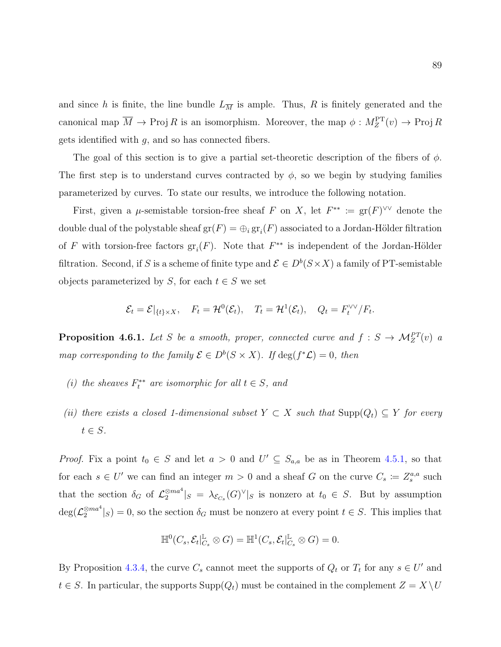and since h is finite, the line bundle  $L_{\overline{M}}$  is ample. Thus, R is finitely generated and the canonical map  $\overline{M} \to \text{Proj } R$  is an isomorphism. Moreover, the map  $\phi: M_Z^{\text{PT}}(v) \to \text{Proj } R$ gets identified with  $g$ , and so has connected fibers.

The goal of this section is to give a partial set-theoretic description of the fibers of  $\phi$ . The first step is to understand curves contracted by  $\phi$ , so we begin by studying families parameterized by curves. To state our results, we introduce the following notation.

First, given a  $\mu$ -semistable torsion-free sheaf F on X, let  $F^{**} := \text{gr}(F)^{\vee \vee}$  denote the double dual of the polystable sheaf  $gr(F) = \bigoplus_i gr_i(F)$  associated to a Jordan-Hölder filtration of F with torsion-free factors  $gr_i(F)$ . Note that  $F^{**}$  is independent of the Jordan-Hölder filtration. Second, if S is a scheme of finite type and  $\mathcal{E} \in D^b(S \times X)$  a family of PT-semistable objects parameterized by S, for each  $t \in S$  we set

$$
\mathcal{E}_t = \mathcal{E}|_{\{t\} \times X}, \quad F_t = \mathcal{H}^0(\mathcal{E}_t), \quad T_t = \mathcal{H}^1(\mathcal{E}_t), \quad Q_t = F_t^{\vee \vee}/F_t.
$$

<span id="page-96-0"></span>**Proposition 4.6.1.** Let S be a smooth, proper, connected curve and  $f : S \to M_Z^{PT}(v)$  a map corresponding to the family  $\mathcal{E} \in D^b(S \times X)$ . If  $\deg(f^*\mathcal{L}) = 0$ , then

- (i) the sheaves  $F_t^{**}$  are isomorphic for all  $t \in S$ , and
- (ii) there exists a closed 1-dimensional subset  $Y \subset X$  such that  $\text{Supp}(Q_t) \subseteq Y$  for every  $t \in S$ .

*Proof.* Fix a point  $t_0 \in S$  and let  $a > 0$  and  $U' \subseteq S_{a,a}$  be as in Theorem [4.5.1,](#page-93-0) so that for each  $s \in U'$  we can find an integer  $m > 0$  and a sheaf G on the curve  $C_s := Z_s^{a,a}$  such that the section  $\delta_G$  of  $\mathcal{L}_2^{\otimes ma^4}|_S = \lambda_{\mathcal{E}_{C_s}}(G)^{\vee}|_S$  is nonzero at  $t_0 \in S$ . But by assumption  $\deg(\mathcal{L}_2^{\otimes ma^4}|_S) = 0$ , so the section  $\delta_G$  must be nonzero at every point  $t \in S$ . This implies that

$$
\mathbb{H}^0(C_s, \mathcal{E}_t|_{C_s}^{\mathbb{L}} \otimes G) = \mathbb{H}^1(C_s, \mathcal{E}_t|_{C_s}^{\mathbb{L}} \otimes G) = 0.
$$

By Proposition [4.3.4,](#page-83-1) the curve  $C_s$  cannot meet the supports of  $Q_t$  or  $T_t$  for any  $s \in U'$  and  $t \in S$ . In particular, the supports  $\text{Supp}(Q_t)$  must be contained in the complement  $Z = X \setminus U$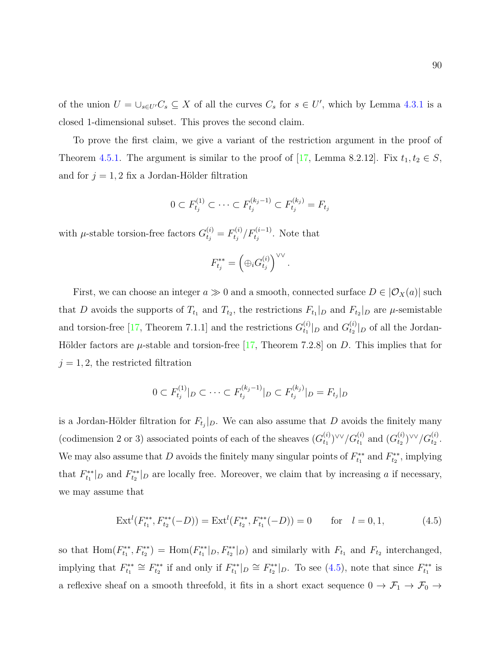of the union  $U = \bigcup_{s \in U'} C_s \subseteq X$  of all the curves  $C_s$  for  $s \in U'$ , which by Lemma [4.3.1](#page-82-1) is a closed 1-dimensional subset. This proves the second claim.

To prove the first claim, we give a variant of the restriction argument in the proof of Theorem [4.5.1.](#page-93-0) The argument is similar to the proof of [\[17,](#page-108-2) Lemma 8.2.12]. Fix  $t_1, t_2 \in S$ , and for  $j = 1, 2$  fix a Jordan-Hölder filtration

$$
0 \subset F_{t_j}^{(1)} \subset \cdots \subset F_{t_j}^{(k_j - 1)} \subset F_{t_j}^{(k_j)} = F_{t_j}
$$

with  $\mu$ -stable torsion-free factors  $G_{t_j}^{(i)} = F_{t_j}^{(i)}$  $t_j^{(i)}/F_{t_j}^{(i-1)}$ . Note that

$$
F_{t_j}^{**} = \left(\oplus_i G_{t_j}^{(i)}\right)^{\vee \vee}.
$$

First, we can choose an integer  $a \gg 0$  and a smooth, connected surface  $D \in |{\mathcal{O}}_X(a)|$  such that D avoids the supports of  $T_{t_1}$  and  $T_{t_2}$ , the restrictions  $F_{t_1}|_D$  and  $F_{t_2}|_D$  are  $\mu$ -semistable and torsion-free [\[17,](#page-108-2) Theorem 7.1.1] and the restrictions  $G_t^{(i)}$  $t_1^{(i)}|_D$  and  $G_{t_2}^{(i)}$  $t_2^{(i)}|_D$  of all the Jordan-Hölder factors are  $\mu$ -stable and torsion-free [\[17,](#page-108-2) Theorem 7.2.8] on D. This implies that for  $j=1,2,$  the restricted filtration

$$
0 \subset F_{t_j}^{(1)}|_{D} \subset \cdots \subset F_{t_j}^{(k_j-1)}|_{D} \subset F_{t_j}^{(k_j)}|_{D} = F_{t_j}|_{D}
$$

is a Jordan-Hölder filtration for  $F_{t_j}|_{D}$ . We can also assume that D avoids the finitely many (codimension 2 or 3) associated points of each of the sheaves  $(G_t^{(i)})$  $_{t_{1}}^{(i)}$ ) $\vee\vee/G_{t_{1}}^{(i)}$  and  $(G_{t_{2}}^{(i)}$  $\binom{(i)}{t_2}$ VV $/G_{t_2}^{(i)}$ . We may also assume that D avoids the finitely many singular points of  $F_{t_1}^{**}$  and  $F_{t_2}^{**}$ , implying that  $F_{t_1}^{**}|_D$  and  $F_{t_2}^{**}|_D$  are locally free. Moreover, we claim that by increasing a if necessary, we may assume that

<span id="page-97-0"></span>
$$
\operatorname{Ext}^{l}(F_{t_{1}}^{**}, F_{t_{2}}^{**}(-D)) = \operatorname{Ext}^{l}(F_{t_{2}}^{**}, F_{t_{1}}^{**}(-D)) = 0 \quad \text{for} \quad l = 0, 1,
$$
 (4.5)

so that  $\text{Hom}(F_{t_1}^{**}, F_{t_2}^{**}) = \text{Hom}(F_{t_1}^{**}|_D, F_{t_2}^{**}|_D)$  and similarly with  $F_{t_1}$  and  $F_{t_2}$  interchanged, implying that  $F_{t_1}^{**} \cong F_{t_2}^{**}$  if and only if  $F_{t_1}^{**}|_D \cong F_{t_2}^{**}|_D$ . To see [\(4.5\)](#page-97-0), note that since  $F_{t_1}^{**}$  is a reflexive sheaf on a smooth threefold, it fits in a short exact sequence  $0 \to \mathcal{F}_1 \to \mathcal{F}_0 \to$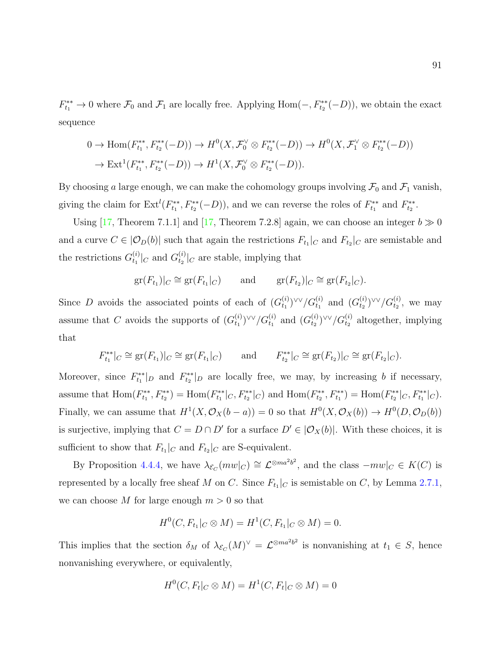$F_{t_1}^{**} \to 0$  where  $\mathcal{F}_0$  and  $\mathcal{F}_1$  are locally free. Applying Hom $(-, F_{t_2}^{**}(-D))$ , we obtain the exact sequence

$$
0 \to \text{Hom}(F_{t_1}^{**}, F_{t_2}^{**}(-D)) \to H^0(X, \mathcal{F}_0^{\vee} \otimes F_{t_2}^{**}(-D)) \to H^0(X, \mathcal{F}_1^{\vee} \otimes F_{t_2}^{**}(-D))
$$
  

$$
\to \text{Ext}^1(F_{t_1}^{**}, F_{t_2}^{**}(-D)) \to H^1(X, \mathcal{F}_0^{\vee} \otimes F_{t_2}^{**}(-D)).
$$

By choosing a large enough, we can make the cohomology groups involving  $\mathcal{F}_0$  and  $\mathcal{F}_1$  vanish, giving the claim for  $\text{Ext}^l(F_{t_1}^{**}, F_{t_2}^{**}(-D))$ , and we can reverse the roles of  $F_{t_1}^{**}$  and  $F_{t_2}^{**}$ .

Using [\[17,](#page-108-2) Theorem 7.1.1] and [17, Theorem 7.2.8] again, we can choose an integer  $b \gg 0$ and a curve  $C \in |O_D(b)|$  such that again the restrictions  $F_{t_1}|_C$  and  $F_{t_2}|_C$  are semistable and the restrictions  $G_{t_1}^{(i)}$  $t_1^{(i)}|_C$  and  $G_{t_2}^{(i)}$  $t_2^{(i)}|_C$  are stable, implying that

$$
gr(F_{t_1})|_C \cong gr(F_{t_1}|_C)
$$
 and  $gr(F_{t_2})|_C \cong gr(F_{t_2}|_C).$ 

Since D avoids the associated points of each of  $(G_t^{(i)})$  $_{t_{1}}^{(i)}$ ) $\{V\}$  $\}/G_{t_{1}}^{(i)}$  and  $(G_{t_{2}}^{(i)}$  $_{t_{2}}^{(i)}$ ) $\vee \vee/G_{t_{2}}^{(i)}$ , we may assume that C avoids the supports of  $(G_t^{(i)})$  $_{t_{1}}^{(i)}$ ) $\vee\vee/G_{t_{1}}^{(i)}$  and  $(G_{t_{2}}^{(i)}$  $\binom{(i)}{t_2}$ <sup> $\vee\vee$ </sup>  $/G$ <sup>(i)</sup> altogether, implying that

$$
F_{t_1}^{**}|_C \cong \text{gr}(F_{t_1})|_C \cong \text{gr}(F_{t_1}|_C) \quad \text{and} \quad F_{t_2}^{**}|_C \cong \text{gr}(F_{t_2})|_C \cong \text{gr}(F_{t_2}|_C).
$$

Moreover, since  $F_{t_1}^{**}|_D$  and  $F_{t_2}^{**}|_D$  are locally free, we may, by increasing b if necessary, assume that  $\text{Hom}(F_{t_1}^{**}, F_{t_2}^{**}) = \text{Hom}(F_{t_1}^{**}|_C, F_{t_2}^{**}|_C)$  and  $\text{Hom}(F_{t_2}^{**}, F_{t_1}^{**}) = \text{Hom}(F_{t_2}^{**}|_C, F_{t_1}^{**}|_C)$ . Finally, we can assume that  $H^1(X, \mathcal{O}_X(b-a)) = 0$  so that  $H^0(X, \mathcal{O}_X(b)) \to H^0(D, \mathcal{O}_D(b))$ is surjective, implying that  $C = D \cap D'$  for a surface  $D' \in |O_X(b)|$ . With these choices, it is sufficient to show that  $F_{t_1}|_C$  and  $F_{t_2}|_C$  are S-equivalent.

By Proposition [4.4.4,](#page-92-0) we have  $\lambda_{\mathcal{E}_C}(mw|_C) \cong \mathcal{L}^{\otimes ma^2b^2}$ , and the class  $-mw|_C \in K(C)$  is represented by a locally free sheaf M on C. Since  $F_{t_1}|_C$  is semistable on C, by Lemma [2.7.1,](#page-37-0) we can choose M for large enough  $m > 0$  so that

$$
H^{0}(C, F_{t_1}|_{C} \otimes M) = H^{1}(C, F_{t_1}|_{C} \otimes M) = 0.
$$

This implies that the section  $\delta_M$  of  $\lambda_{\mathcal{E}_C}(M)^{\vee} = \mathcal{L}^{\otimes m a^2 b^2}$  is nonvanishing at  $t_1 \in S$ , hence nonvanishing everywhere, or equivalently,

$$
H^0(C, F_t|_C \otimes M) = H^1(C, F_t|_C \otimes M) = 0
$$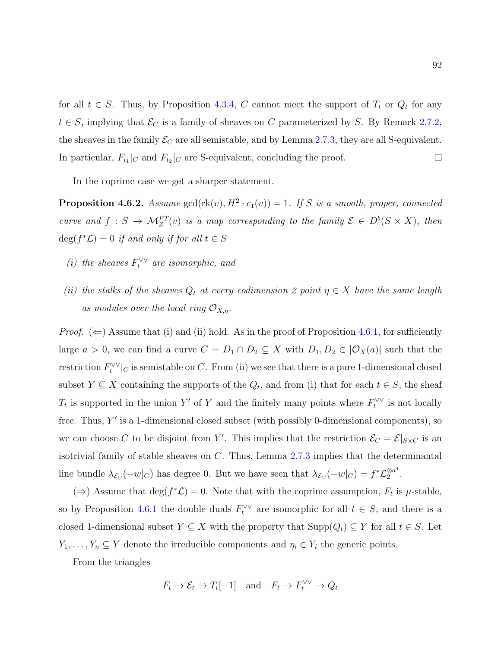for all  $t \in S$ . Thus, by Proposition [4.3.4,](#page-83-1) C cannot meet the support of  $T_t$  or  $Q_t$  for any  $t \in S$ , implying that  $\mathcal{E}_C$  is a family of sheaves on C parameterized by S. By Remark [2.7.2,](#page-37-1) the sheaves in the family  $\mathcal{E}_C$  are all semistable, and by Lemma [2.7.3,](#page-38-0) they are all S-equivalent. In particular,  $F_{t_1}|_C$  and  $F_{t_2}|_C$  are S-equivalent, concluding the proof.  $\Box$ 

In the coprime case we get a sharper statement.

<span id="page-99-0"></span>**Proposition 4.6.2.** Assume  $gcd(rk(v), H^2 \cdot c_1(v)) = 1$ . If S is a smooth, proper, connected curve and  $f: S \to \mathcal{M}_Z^{PT}(v)$  is a map corresponding to the family  $\mathcal{E} \in D^b(S \times X)$ , then  $deg(f^*\mathcal{L}) = 0$  if and only if for all  $t \in S$ 

- (i) the sheaves  $F_t^{\vee\vee}$  are isomorphic, and
- (ii) the stalks of the sheaves  $Q_t$  at every codimension 2 point  $\eta \in X$  have the same length as modules over the local ring  $\mathcal{O}_{X,n}$ .

*Proof.*  $(\Leftarrow)$  Assume that (i) and (ii) hold. As in the proof of Proposition [4.6.1,](#page-96-0) for sufficiently large  $a > 0$ , we can find a curve  $C = D_1 \cap D_2 \subseteq X$  with  $D_1, D_2 \in |O_X(a)|$  such that the  $\text{restriction } F_t^{\vee\vee}|_C$  is semistable on C. From (ii) we see that there is a pure 1-dimensional closed subset  $Y \subseteq X$  containing the supports of the  $Q_t$ , and from (i) that for each  $t \in S$ , the sheaf  $T_t$  is supported in the union Y' of Y and the finitely many points where  $F_t^{\vee\vee}$  is not locally free. Thus,  $Y'$  is a 1-dimensional closed subset (with possibly 0-dimensional components), so we can choose C to be disjoint from Y'. This implies that the restriction  $\mathcal{E}_C = \mathcal{E}|_{S \times C}$  is an isotrivial family of stable sheaves on C. Thus, Lemma [2.7.3](#page-38-0) implies that the determinantal line bundle  $\lambda_{\mathcal{E}_C}(-w|_C)$  has degree 0. But we have seen that  $\lambda_{\mathcal{E}_C}(-w|_C) = f^*\mathcal{L}_2^{\otimes a^4}$  $\frac{\otimes a^*}{2}$ .

(⇒) Assume that  $\deg(f^*\mathcal{L}) = 0$ . Note that with the coprime assumption,  $F_t$  is  $\mu$ -stable, so by Proposition [4.6.1](#page-96-0) the double duals  $F_t^{\vee\vee}$  are isomorphic for all  $t \in S$ , and there is a closed 1-dimensional subset  $Y \subseteq X$  with the property that  $\text{Supp}(Q_t) \subseteq Y$  for all  $t \in S$ . Let  $Y_1, \ldots, Y_n \subseteq Y$  denote the irreducible components and  $\eta_i \in Y_i$  the generic points.

From the triangles

$$
F_t \to \mathcal{E}_t \to T_t[-1]
$$
 and  $F_t \to F_t^{\vee \vee} \to Q_t$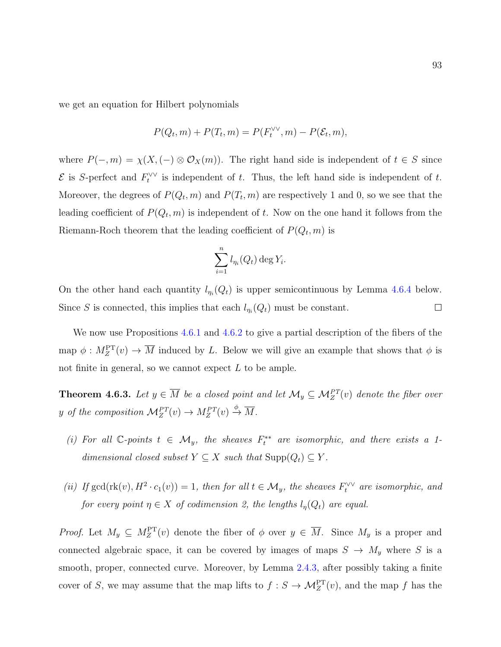we get an equation for Hilbert polynomials

$$
P(Q_t, m) + P(T_t, m) = P(F_t^{\vee \vee}, m) - P(\mathcal{E}_t, m),
$$

where  $P(-, m) = \chi(X, (-) \otimes \mathcal{O}_X(m))$ . The right hand side is independent of  $t \in S$  since  $\mathcal E$  is S-perfect and  $F_t^{\vee\vee}$  is independent of t. Thus, the left hand side is independent of t. Moreover, the degrees of  $P(Q_t, m)$  and  $P(T_t, m)$  are respectively 1 and 0, so we see that the leading coefficient of  $P(Q_t, m)$  is independent of t. Now on the one hand it follows from the Riemann-Roch theorem that the leading coefficient of  $P(Q_t, m)$  is

$$
\sum_{i=1}^n l_{\eta_i}(Q_t) \deg Y_i.
$$

On the other hand each quantity  $l_{\eta_i}(Q_t)$  is upper semicontinuous by Lemma [4.6.4](#page-101-0) below. Since S is connected, this implies that each  $l_{\eta_i}(Q_t)$  must be constant.  $\Box$ 

We now use Propositions [4.6.1](#page-96-0) and [4.6.2](#page-99-0) to give a partial description of the fibers of the map  $\phi: M_Z^{\text{PT}}(v) \to \overline{M}$  induced by L. Below we will give an example that shows that  $\phi$  is not finite in general, so we cannot expect  $L$  to be ample.

**Theorem 4.6.3.** Let  $y \in \overline{M}$  be a closed point and let  $\mathcal{M}_y \subseteq \mathcal{M}_Z^{PT}(v)$  denote the fiber over y of the composition  $\mathcal{M}_Z^{PT}(v) \to M_Z^{PT}(v) \stackrel{\phi}{\to} \overline{M}$ .

- (i) For all  $\mathbb{C}$ -points  $t \in \mathcal{M}_y$ , the sheaves  $F_t^{**}$  are isomorphic, and there exists a 1dimensional closed subset  $Y \subseteq X$  such that  $\text{Supp}(Q_t) \subseteq Y$ .
- (ii) If  $gcd(\text{rk}(v), H^2 \cdot c_1(v)) = 1$ , then for all  $t \in \mathcal{M}_y$ , the sheaves  $F_t^{\vee\vee}$  are isomorphic, and for every point  $\eta \in X$  of codimension 2, the lengths  $l_{\eta}(Q_t)$  are equal.

*Proof.* Let  $M_y \subseteq M_Z^{\text{PT}}(v)$  denote the fiber of  $\phi$  over  $y \in \overline{M}$ . Since  $M_y$  is a proper and connected algebraic space, it can be covered by images of maps  $S \to M_y$  where S is a smooth, proper, connected curve. Moreover, by Lemma [2.4.3,](#page-26-0) after possibly taking a finite cover of S, we may assume that the map lifts to  $f : S \to \mathcal{M}_Z^{\text{PT}}(v)$ , and the map f has the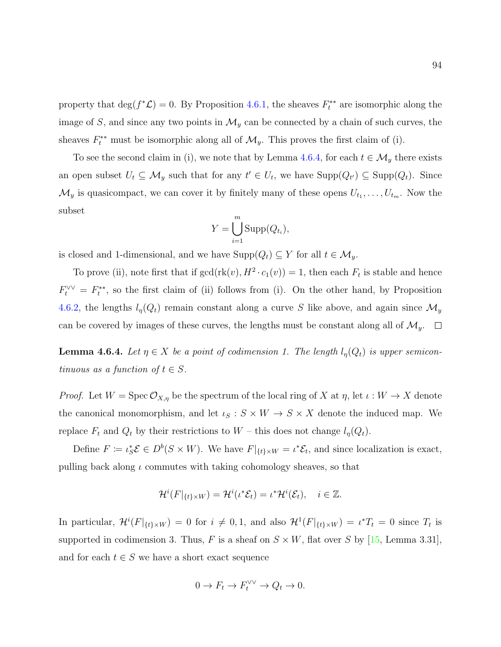property that  $\deg(f^*\mathcal{L}) = 0$ . By Proposition [4.6.1,](#page-96-0) the sheaves  $F_t^{**}$  are isomorphic along the image of S, and since any two points in  $\mathcal{M}_y$  can be connected by a chain of such curves, the sheaves  $F_t^{**}$  must be isomorphic along all of  $\mathcal{M}_y$ . This proves the first claim of (i).

To see the second claim in (i), we note that by Lemma [4.6.4,](#page-101-0) for each  $t \in \mathcal{M}_y$  there exists an open subset  $U_t \subseteq \mathcal{M}_y$  such that for any  $t' \in U_t$ , we have  $\text{Supp}(Q_{t'}) \subseteq \text{Supp}(Q_t)$ . Since  $\mathcal{M}_y$  is quasicompact, we can cover it by finitely many of these opens  $U_{t_1}, \ldots, U_{t_m}$ . Now the subset

$$
Y = \bigcup_{i=1}^{m} \text{Supp}(Q_{t_i}),
$$

is closed and 1-dimensional, and we have  $\text{Supp}(Q_t) \subseteq Y$  for all  $t \in \mathcal{M}_y$ .

To prove (ii), note first that if  $gcd(\text{rk}(v), H^2 \cdot c_1(v)) = 1$ , then each  $F_t$  is stable and hence  $F_t^{\vee\vee} = F_t^{**}$ , so the first claim of (ii) follows from (i). On the other hand, by Proposition [4.6.2,](#page-99-0) the lengths  $l_{\eta}(Q_t)$  remain constant along a curve S like above, and again since  $\mathcal{M}_y$ can be covered by images of these curves, the lengths must be constant along all of  $\mathcal{M}_y$ .  $\Box$ 

<span id="page-101-0"></span>**Lemma 4.6.4.** Let  $\eta \in X$  be a point of codimension 1. The length  $l_{\eta}(Q_t)$  is upper semicontinuous as a function of  $t \in S$ .

*Proof.* Let  $W = \text{Spec } \mathcal{O}_{X,\eta}$  be the spectrum of the local ring of X at  $\eta$ , let  $\iota : W \to X$  denote the canonical monomorphism, and let  $\iota_S : S \times W \to S \times X$  denote the induced map. We replace  $F_t$  and  $Q_t$  by their restrictions to  $W$  – this does not change  $l_{\eta}(Q_t)$ .

Define  $F := \iota_S^* \mathcal{E} \in D^b(S \times W)$ . We have  $F|_{\{t\} \times W} = \iota^* \mathcal{E}_t$ , and since localization is exact, pulling back along  $\iota$  commutes with taking cohomology sheaves, so that

$$
\mathcal{H}^i(F|_{\{t\}\times W}) = \mathcal{H}^i(\iota^*\mathcal{E}_t) = \iota^*\mathcal{H}^i(\mathcal{E}_t), \quad i \in \mathbb{Z}.
$$

In particular,  $\mathcal{H}^{i}(F|_{\{t\}\times W}) = 0$  for  $i \neq 0,1$ , and also  $\mathcal{H}^{1}(F|_{\{t\}\times W}) = \iota^{*}T_{t} = 0$  since  $T_{t}$  is supported in codimension 3. Thus, F is a sheaf on  $S \times W$ , flat over S by [\[15,](#page-108-3) Lemma 3.31], and for each  $t \in S$  we have a short exact sequence

$$
0 \to F_t \to F_t^{\vee \vee} \to Q_t \to 0.
$$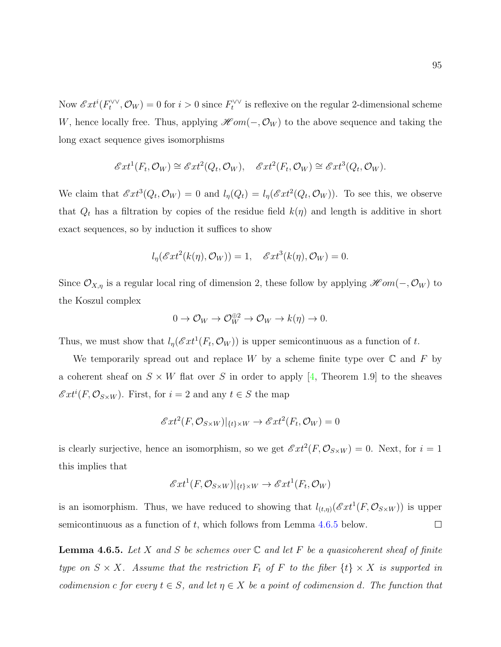Now  $\mathscr{E}xt^{i}(F_t^{\vee\vee},\mathcal{O}_W) = 0$  for  $i > 0$  since  $F_t^{\vee\vee}$  is reflexive on the regular 2-dimensional scheme W, hence locally free. Thus, applying  $\mathscr{H}om(-, \mathcal{O}_W)$  to the above sequence and taking the long exact sequence gives isomorphisms

$$
\mathscr{E}xt^{1}(F_{t},\mathcal{O}_{W})\cong \mathscr{E}xt^{2}(Q_{t},\mathcal{O}_{W}),\quad \mathscr{E}xt^{2}(F_{t},\mathcal{O}_{W})\cong \mathscr{E}xt^{3}(Q_{t},\mathcal{O}_{W}).
$$

We claim that  $\mathscr{E}xt^3(Q_t,\mathcal{O}_W)=0$  and  $l_\eta(Q_t)=l_\eta(\mathscr{E}xt^2(Q_t,\mathcal{O}_W))$ . To see this, we observe that  $Q_t$  has a filtration by copies of the residue field  $k(\eta)$  and length is additive in short exact sequences, so by induction it suffices to show

$$
l_{\eta}(\mathscr{E}xt^{2}(k(\eta),\mathcal{O}_{W}))=1, \quad \mathscr{E}xt^{3}(k(\eta),\mathcal{O}_{W})=0.
$$

Since  $\mathcal{O}_{X,\eta}$  is a regular local ring of dimension 2, these follow by applying  $\mathscr{H} om(-, \mathcal{O}_W)$  to the Koszul complex

$$
0 \to \mathcal{O}_W \to \mathcal{O}_W^{\oplus 2} \to \mathcal{O}_W \to k(\eta) \to 0.
$$

Thus, we must show that  $l_{\eta}(\mathscr{E}xt^{1}(F_{t},\mathcal{O}_{W}))$  is upper semicontinuous as a function of t.

We temporarily spread out and replace W by a scheme finite type over  $\mathbb C$  and F by a coherent sheaf on  $S \times W$  flat over S in order to apply [\[4,](#page-107-2) Theorem 1.9] to the sheaves  $\mathscr{E}xt^{i}(F,\mathcal{O}_{S\times W})$ . First, for  $i=2$  and any  $t\in S$  the map

$$
\mathcal{E}xt^2(F, \mathcal{O}_{S\times W})|_{\{t\}\times W} \to \mathcal{E}xt^2(F_t, \mathcal{O}_W) = 0
$$

is clearly surjective, hence an isomorphism, so we get  $\mathscr{E}xt^2(F, \mathcal{O}_{S\times W}) = 0$ . Next, for  $i = 1$ this implies that

$$
\mathscr{E}xt^{1}(F, \mathcal{O}_{S\times W})|_{\{t\}\times W} \to \mathscr{E}xt^{1}(F_{t}, \mathcal{O}_{W})
$$

is an isomorphism. Thus, we have reduced to showing that  $l_{(t,\eta)}(\mathscr{E}xt^{1}(F,\mathcal{O}_{S\times W}))$  is upper semicontinuous as a function of  $t$ , which follows from Lemma [4.6.5](#page-102-0) below.  $\Box$ 

<span id="page-102-0"></span>**Lemma 4.6.5.** Let X and S be schemes over  $\mathbb C$  and let F be a quasicoherent sheaf of finite type on  $S \times X$ . Assume that the restriction  $F_t$  of F to the fiber  $\{t\} \times X$  is supported in codimension c for every  $t \in S$ , and let  $\eta \in X$  be a point of codimension d. The function that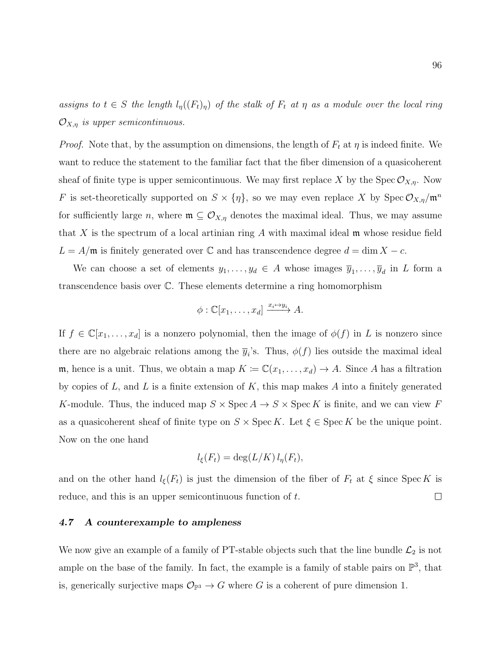assigns to  $t \in S$  the length  $l_{\eta}((F_t)_{\eta})$  of the stalk of  $F_t$  at  $\eta$  as a module over the local ring  $\mathcal{O}_{X,\eta}$  is upper semicontinuous.

*Proof.* Note that, by the assumption on dimensions, the length of  $F_t$  at  $\eta$  is indeed finite. We want to reduce the statement to the familiar fact that the fiber dimension of a quasicoherent sheaf of finite type is upper semicontinuous. We may first replace X by the Spec  $\mathcal{O}_{X,\eta}$ . Now F is set-theoretically supported on  $S \times \{\eta\}$ , so we may even replace X by Spec  $\mathcal{O}_{X,\eta}/\mathfrak{m}^n$ for sufficiently large n, where  $\mathfrak{m} \subseteq \mathcal{O}_{X,\eta}$  denotes the maximal ideal. Thus, we may assume that X is the spectrum of a local artinian ring  $A$  with maximal ideal  $\mathfrak m$  whose residue field  $L = A/\mathfrak{m}$  is finitely generated over  $\mathbb C$  and has transcendence degree  $d = \dim X - c$ .

We can choose a set of elements  $y_1, \ldots, y_d \in A$  whose images  $\overline{y}_1, \ldots, \overline{y}_d$  in L form a transcendence basis over C. These elements determine a ring homomorphism

$$
\phi : \mathbb{C}[x_1,\ldots,x_d] \xrightarrow{x_i \mapsto y_i} A.
$$

If  $f \in \mathbb{C}[x_1,\ldots,x_d]$  is a nonzero polynomial, then the image of  $\phi(f)$  in L is nonzero since there are no algebraic relations among the  $\bar{y}_i$ 's. Thus,  $\phi(f)$  lies outside the maximal ideal m, hence is a unit. Thus, we obtain a map  $K := \mathbb{C}(x_1, \ldots, x_d) \to A$ . Since A has a filtration by copies of  $L$ , and  $L$  is a finite extension of  $K$ , this map makes  $A$  into a finitely generated K-module. Thus, the induced map  $S \times \operatorname{Spec} A \to S \times \operatorname{Spec} K$  is finite, and we can view F as a quasicoherent sheaf of finite type on  $S \times \operatorname{Spec} K$ . Let  $\xi \in \operatorname{Spec} K$  be the unique point. Now on the one hand

$$
l_{\xi}(F_t) = \deg(L/K) l_{\eta}(F_t),
$$

and on the other hand  $l_{\xi}(F_t)$  is just the dimension of the fiber of  $F_t$  at  $\xi$  since Spec K is  $\Box$ reduce, and this is an upper semicontinuous function of t.

## 4.7 A counterexample to ampleness

We now give an example of a family of PT-stable objects such that the line bundle  $\mathcal{L}_2$  is not ample on the base of the family. In fact, the example is a family of stable pairs on  $\mathbb{P}^3$ , that is, generically surjective maps  $\mathcal{O}_{\mathbb{P}^3} \to G$  where G is a coherent of pure dimension 1.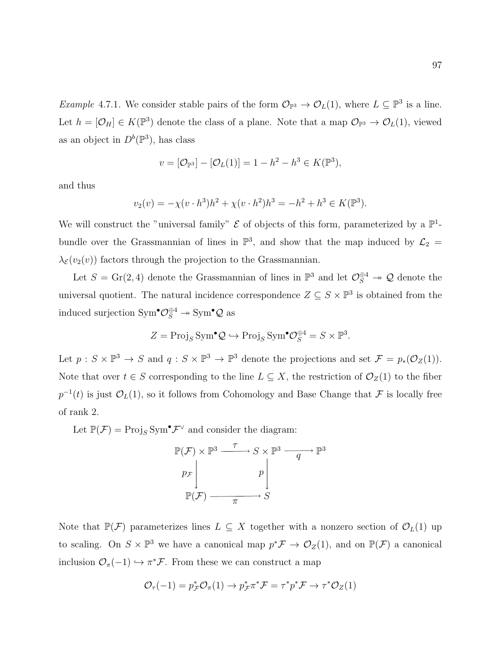*Example* 4.7.1. We consider stable pairs of the form  $\mathcal{O}_{\mathbb{P}^3} \to \mathcal{O}_L(1)$ , where  $L \subseteq \mathbb{P}^3$  is a line. Let  $h = [\mathcal{O}_H] \in K(\mathbb{P}^3)$  denote the class of a plane. Note that a map  $\mathcal{O}_{\mathbb{P}^3} \to \mathcal{O}_L(1)$ , viewed as an object in  $D^b(\mathbb{P}^3)$ , has class

$$
v = [\mathcal{O}_{\mathbb{P}^3}] - [\mathcal{O}_L(1)] = 1 - h^2 - h^3 \in K(\mathbb{P}^3),
$$

and thus

$$
v_2(v) = -\chi(v \cdot h^3)h^2 + \chi(v \cdot h^2)h^3 = -h^2 + h^3 \in K(\mathbb{P}^3).
$$

We will construct the "universal family"  $\mathcal E$  of objects of this form, parameterized by a  $\mathbb P^1$ bundle over the Grassmannian of lines in  $\mathbb{P}^3$ , and show that the map induced by  $\mathcal{L}_2 =$  $\lambda_{\mathcal{E}}(v_2(v))$  factors through the projection to the Grassmannian.

Let  $S = \text{Gr}(2, 4)$  denote the Grassmannian of lines in  $\mathbb{P}^3$  and let  $\mathcal{O}_S^{\oplus 4} \to \mathcal{Q}$  denote the universal quotient. The natural incidence correspondence  $Z \subseteq S \times \mathbb{P}^3$  is obtained from the induced surjection  $\text{Sym}^{\bullet} \mathcal{O}_S^{\oplus 4} \to \text{Sym}^{\bullet} \mathcal{Q}$  as

$$
Z = \text{Proj}_S \text{Sym}^{\bullet} \mathcal{Q} \hookrightarrow \text{Proj}_S \text{Sym}^{\bullet} \mathcal{O}_S^{\oplus 4} = S \times \mathbb{P}^3.
$$

Let  $p: S \times \mathbb{P}^3 \to S$  and  $q: S \times \mathbb{P}^3 \to \mathbb{P}^3$  denote the projections and set  $\mathcal{F} = p_*(\mathcal{O}_Z(1)).$ Note that over  $t \in S$  corresponding to the line  $L \subseteq X$ , the restriction of  $\mathcal{O}_Z(1)$  to the fiber  $p^{-1}(t)$  is just  $\mathcal{O}_L(1)$ , so it follows from Cohomology and Base Change that F is locally free of rank 2.

Let  $\mathbb{P}(\mathcal{F}) = \text{Proj}_S \text{Sym}^{\bullet} \mathcal{F}^{\vee}$  and consider the diagram:

$$
\mathbb{P}(\mathcal{F}) \times \mathbb{P}^3 \xrightarrow{\tau} S \times \mathbb{P}^3 \xrightarrow{q} \mathbb{P}^3
$$
\n
$$
p_{\mathcal{F}} \downarrow \qquad p \downarrow
$$
\n
$$
\mathbb{P}(\mathcal{F}) \xrightarrow{\pi} S
$$

Note that  $\mathbb{P}(\mathcal{F})$  parameterizes lines  $L \subseteq X$  together with a nonzero section of  $\mathcal{O}_L(1)$  up to scaling. On  $S \times \mathbb{P}^3$  we have a canonical map  $p^* \mathcal{F} \to \mathcal{O}_Z(1)$ , and on  $\mathbb{P}(\mathcal{F})$  a canonical inclusion  $\mathcal{O}_{\pi}(-1) \hookrightarrow \pi^* \mathcal{F}$ . From these we can construct a map

$$
\mathcal{O}_{\tau}(-1) = p_{\mathcal{F}}^* \mathcal{O}_{\pi}(1) \to p_{\mathcal{F}}^* \pi^* \mathcal{F} = \tau^* p^* \mathcal{F} \to \tau^* \mathcal{O}_Z(1)
$$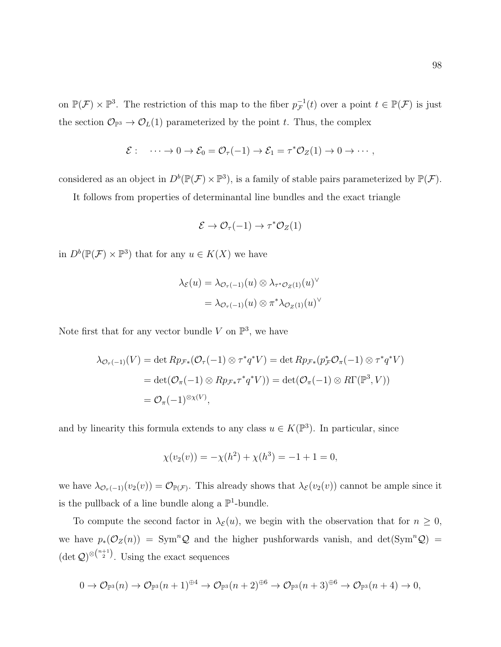on  $\mathbb{P}(\mathcal{F}) \times \mathbb{P}^3$ . The restriction of this map to the fiber  $p_{\mathcal{F}}^{-1}$  $_{\mathcal{F}}^{-1}(t)$  over a point  $t \in \mathbb{P}(\mathcal{F})$  is just the section  $\mathcal{O}_{\mathbb{P}^3} \to \mathcal{O}_L(1)$  parameterized by the point t. Thus, the complex

$$
\mathcal{E}: \quad \cdots \to 0 \to \mathcal{E}_0 = \mathcal{O}_{\tau}(-1) \to \mathcal{E}_1 = \tau^* \mathcal{O}_Z(1) \to 0 \to \cdots,
$$

considered as an object in  $D^b(\mathbb{P}(\mathcal{F}) \times \mathbb{P}^3)$ , is a family of stable pairs parameterized by  $\mathbb{P}(\mathcal{F})$ .

It follows from properties of determinantal line bundles and the exact triangle

$$
\mathcal{E} \to \mathcal{O}_{\tau}(-1) \to \tau^* \mathcal{O}_Z(1)
$$

in  $D^b(\mathbb{P}(\mathcal{F}) \times \mathbb{P}^3)$  that for any  $u \in K(X)$  we have

$$
\lambda_{\mathcal{E}}(u) = \lambda_{\mathcal{O}_{\tau}(-1)}(u) \otimes \lambda_{\tau^* \mathcal{O}_Z(1)}(u)^{\vee}
$$

$$
= \lambda_{\mathcal{O}_{\tau}(-1)}(u) \otimes \pi^* \lambda_{\mathcal{O}_Z(1)}(u)^{\vee}
$$

Note first that for any vector bundle V on  $\mathbb{P}^3$ , we have

$$
\lambda_{\mathcal{O}_{\tau}(-1)}(V) = \det Rp_{\mathcal{F}*}(\mathcal{O}_{\tau}(-1) \otimes \tau^*q^*V) = \det Rp_{\mathcal{F}*}(p_{\mathcal{F}}^*\mathcal{O}_{\pi}(-1) \otimes \tau^*q^*V)
$$
  
= 
$$
\det(\mathcal{O}_{\pi}(-1) \otimes Rp_{\mathcal{F}*}\tau^*q^*V)) = \det(\mathcal{O}_{\pi}(-1) \otimes R\Gamma(\mathbb{P}^3, V))
$$
  
= 
$$
\mathcal{O}_{\pi}(-1)^{\otimes \chi(V)},
$$

and by linearity this formula extends to any class  $u \in K(\mathbb{P}^3)$ . In particular, since

$$
\chi(v_2(v)) = -\chi(h^2) + \chi(h^3) = -1 + 1 = 0,
$$

we have  $\lambda_{\mathcal{O}_{\tau}(-1)}(v_2(v)) = \mathcal{O}_{\mathbb{P}(\mathcal{F})}$ . This already shows that  $\lambda_{\mathcal{E}}(v_2(v))$  cannot be ample since it is the pullback of a line bundle along a  $\mathbb{P}^1$ -bundle.

To compute the second factor in  $\lambda_{\mathcal{E}}(u)$ , we begin with the observation that for  $n \geq 0$ , we have  $p_*(\mathcal{O}_Z(n)) = \text{Sym}^n \mathcal{Q}$  and the higher pushforwards vanish, and det(Sym<sup>n</sup>Q) =  $(\det Q)^{\otimes {n+1 \choose 2}}$ . Using the exact sequences

$$
0 \to \mathcal{O}_{\mathbb{P}^3}(n) \to \mathcal{O}_{\mathbb{P}^3}(n+1)^{\oplus 4} \to \mathcal{O}_{\mathbb{P}^3}(n+2)^{\oplus 6} \to \mathcal{O}_{\mathbb{P}^3}(n+3)^{\oplus 6} \to \mathcal{O}_{\mathbb{P}^3}(n+4) \to 0,
$$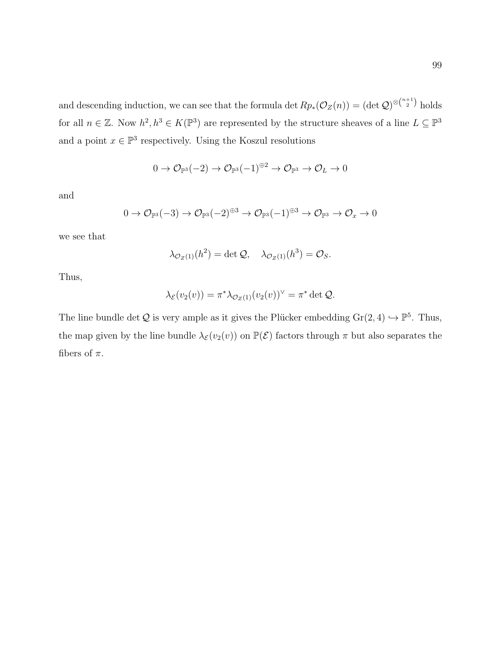and descending induction, we can see that the formula det  $Rp_*(\mathcal{O}_Z(n)) = (\det \mathcal{Q})^{\otimes \binom{n+1}{2}}$  holds for all  $n \in \mathbb{Z}$ . Now  $h^2, h^3 \in K(\mathbb{P}^3)$  are represented by the structure sheaves of a line  $L \subseteq \mathbb{P}^3$ and a point  $x \in \mathbb{P}^3$  respectively. Using the Koszul resolutions

$$
0 \to \mathcal{O}_{\mathbb{P}^3}(-2) \to \mathcal{O}_{\mathbb{P}^3}(-1)^{\oplus 2} \to \mathcal{O}_{\mathbb{P}^3} \to \mathcal{O}_L \to 0
$$

and

$$
0 \to \mathcal{O}_{\mathbb{P}^3}(-3) \to \mathcal{O}_{\mathbb{P}^3}(-2)^{\oplus 3} \to \mathcal{O}_{\mathbb{P}^3}(-1)^{\oplus 3} \to \mathcal{O}_{\mathbb{P}^3} \to \mathcal{O}_x \to 0
$$

we see that

$$
\lambda_{\mathcal{O}_Z(1)}(h^2) = \det \mathcal{Q}, \quad \lambda_{\mathcal{O}_Z(1)}(h^3) = \mathcal{O}_S.
$$

Thus,

$$
\lambda_{\mathcal{E}}(v_2(v)) = \pi^* \lambda_{\mathcal{O}_Z(1)}(v_2(v))^{\vee} = \pi^* \det \mathcal{Q}.
$$

The line bundle det Q is very ample as it gives the Plücker embedding  $Gr(2, 4) \hookrightarrow \mathbb{P}^5$ . Thus, the map given by the line bundle  $\lambda_{\mathcal{E}}(v_2(v))$  on  $\mathbb{P}(\mathcal{E})$  factors through  $\pi$  but also separates the fibers of  $\pi$ .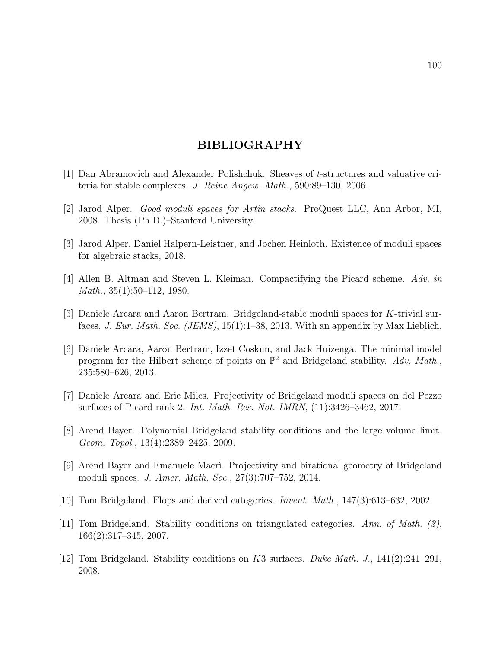## BIBLIOGRAPHY

- [1] Dan Abramovich and Alexander Polishchuk. Sheaves of t-structures and valuative criteria for stable complexes. J. Reine Angew. Math., 590:89–130, 2006.
- [2] Jarod Alper. Good moduli spaces for Artin stacks. ProQuest LLC, Ann Arbor, MI, 2008. Thesis (Ph.D.)–Stanford University.
- <span id="page-107-1"></span>[3] Jarod Alper, Daniel Halpern-Leistner, and Jochen Heinloth. Existence of moduli spaces for algebraic stacks, 2018.
- <span id="page-107-2"></span>[4] Allen B. Altman and Steven L. Kleiman. Compactifying the Picard scheme. Adv. in  $Math., 35(1):50–112, 1980.$
- [5] Daniele Arcara and Aaron Bertram. Bridgeland-stable moduli spaces for K-trivial surfaces. J. Eur. Math. Soc. (JEMS), 15(1):1–38, 2013. With an appendix by Max Lieblich.
- [6] Daniele Arcara, Aaron Bertram, Izzet Coskun, and Jack Huizenga. The minimal model program for the Hilbert scheme of points on  $\mathbb{P}^2$  and Bridgeland stability. Adv. Math., 235:580–626, 2013.
- [7] Daniele Arcara and Eric Miles. Projectivity of Bridgeland moduli spaces on del Pezzo surfaces of Picard rank 2. Int. Math. Res. Not. IMRN, (11):3426–3462, 2017.
- <span id="page-107-0"></span>[8] Arend Bayer. Polynomial Bridgeland stability conditions and the large volume limit. Geom. Topol., 13(4):2389–2425, 2009.
- [9] Arend Bayer and Emanuele Macr`ı. Projectivity and birational geometry of Bridgeland moduli spaces. J. Amer. Math. Soc., 27(3):707–752, 2014.
- [10] Tom Bridgeland. Flops and derived categories. Invent. Math., 147(3):613–632, 2002.
- [11] Tom Bridgeland. Stability conditions on triangulated categories. Ann. of Math.  $(2)$ , 166(2):317–345, 2007.
- [12] Tom Bridgeland. Stability conditions on K3 surfaces. Duke Math. J., 141(2):241–291, 2008.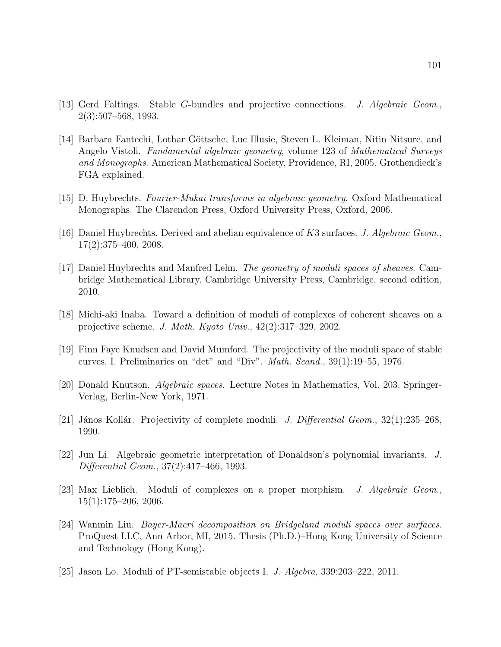- [13] Gerd Faltings. Stable G-bundles and projective connections. J. Algebraic Geom., 2(3):507–568, 1993.
- [14] Barbara Fantechi, Lothar Göttsche, Luc Illusie, Steven L. Kleiman, Nitin Nitsure, and Angelo Vistoli. Fundamental algebraic geometry, volume 123 of Mathematical Surveys and Monographs. American Mathematical Society, Providence, RI, 2005. Grothendieck's FGA explained.
- [15] D. Huybrechts. Fourier-Mukai transforms in algebraic geometry. Oxford Mathematical Monographs. The Clarendon Press, Oxford University Press, Oxford, 2006.
- [16] Daniel Huybrechts. Derived and abelian equivalence of K3 surfaces. J. Algebraic Geom., 17(2):375–400, 2008.
- [17] Daniel Huybrechts and Manfred Lehn. The geometry of moduli spaces of sheaves. Cambridge Mathematical Library. Cambridge University Press, Cambridge, second edition, 2010.
- [18] Michi-aki Inaba. Toward a definition of moduli of complexes of coherent sheaves on a projective scheme. J. Math. Kyoto Univ.,  $42(2):317-329$ , 2002.
- [19] Finn Faye Knudsen and David Mumford. The projectivity of the moduli space of stable curves. I. Preliminaries on "det" and "Div". Math. Scand., 39(1):19–55, 1976.
- [20] Donald Knutson. Algebraic spaces. Lecture Notes in Mathematics, Vol. 203. Springer-Verlag, Berlin-New York, 1971.
- [21] János Kollár. Projectivity of complete moduli. J. Differential Geom.,  $32(1):235-268$ , 1990.
- [22] Jun Li. Algebraic geometric interpretation of Donaldson's polynomial invariants. J. Differential Geom., 37(2):417–466, 1993.
- [23] Max Lieblich. Moduli of complexes on a proper morphism. J. Algebraic Geom., 15(1):175–206, 2006.
- [24] Wanmin Liu. Bayer-Macri decomposition on Bridgeland moduli spaces over surfaces. ProQuest LLC, Ann Arbor, MI, 2015. Thesis (Ph.D.)–Hong Kong University of Science and Technology (Hong Kong).
- [25] Jason Lo. Moduli of PT-semistable objects I. J. Algebra, 339:203–222, 2011.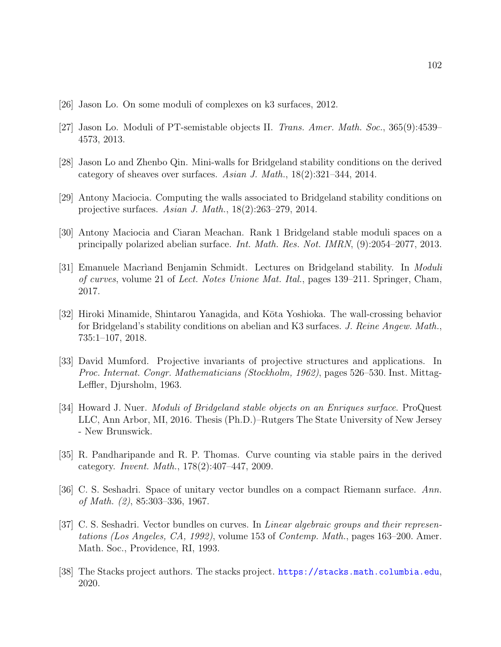- [26] Jason Lo. On some moduli of complexes on k3 surfaces, 2012.
- [27] Jason Lo. Moduli of PT-semistable objects II. Trans. Amer. Math. Soc., 365(9):4539– 4573, 2013.
- [28] Jason Lo and Zhenbo Qin. Mini-walls for Bridgeland stability conditions on the derived category of sheaves over surfaces. Asian J. Math., 18(2):321–344, 2014.
- [29] Antony Maciocia. Computing the walls associated to Bridgeland stability conditions on projective surfaces. Asian J. Math., 18(2):263–279, 2014.
- [30] Antony Maciocia and Ciaran Meachan. Rank 1 Bridgeland stable moduli spaces on a principally polarized abelian surface. Int. Math. Res. Not. IMRN, (9):2054–2077, 2013.
- [31] Emanuele Macriand Benjamin Schmidt. Lectures on Bridgeland stability. In *Moduli* of curves, volume 21 of Lect. Notes Unione Mat. Ital., pages 139–211. Springer, Cham, 2017.
- [32] Hiroki Minamide, Shintarou Yanagida, and Kōta Yoshioka. The wall-crossing behavior for Bridgeland's stability conditions on abelian and K3 surfaces. J. Reine Angew. Math., 735:1–107, 2018.
- [33] David Mumford. Projective invariants of projective structures and applications. In Proc. Internat. Congr. Mathematicians (Stockholm, 1962), pages 526–530. Inst. Mittag-Leffler, Djursholm, 1963.
- [34] Howard J. Nuer. *Moduli of Bridgeland stable objects on an Enriques surface*. ProQuest LLC, Ann Arbor, MI, 2016. Thesis (Ph.D.)–Rutgers The State University of New Jersey - New Brunswick.
- [35] R. Pandharipande and R. P. Thomas. Curve counting via stable pairs in the derived category. Invent. Math., 178(2):407–447, 2009.
- [36] C. S. Seshadri. Space of unitary vector bundles on a compact Riemann surface. Ann. of Math. (2), 85:303–336, 1967.
- [37] C. S. Seshadri. Vector bundles on curves. In Linear algebraic groups and their representations (Los Angeles, CA, 1992), volume 153 of Contemp. Math., pages 163–200. Amer. Math. Soc., Providence, RI, 1993.
- [38] The Stacks project authors. The stacks project. <https://stacks.math.columbia.edu>, 2020.